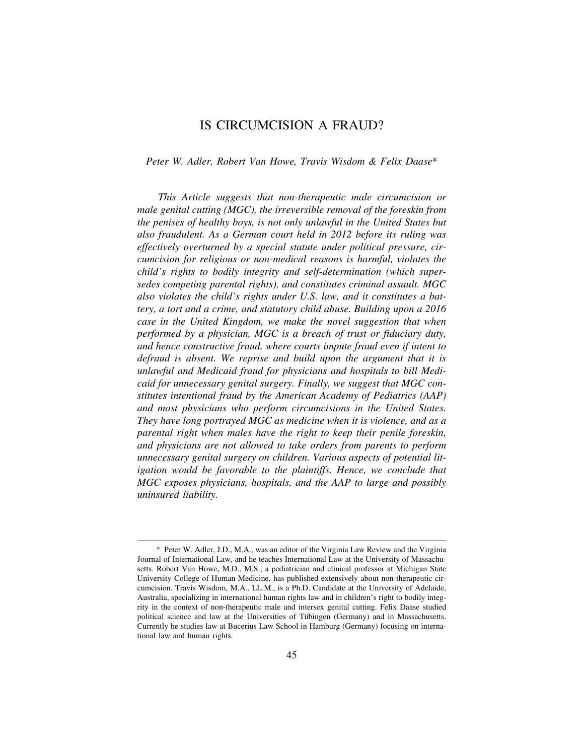# IS CIRCUMCISION A FRAUD?

#### *Peter W. Adler, Robert Van Howe, Travis Wisdom & Felix Daase*\*

*This Article suggests that non-therapeutic male circumcision or male genital cutting (MGC), the irreversible removal of the foreskin from the penises of healthy boys, is not only unlawful in the United States but also fraudulent. As a German court held in 2012 before its ruling was effectively overturned by a special statute under political pressure, circumcision for religious or non-medical reasons is harmful, violates the child's rights to bodily integrity and self-determination (which supersedes competing parental rights), and constitutes criminal assault. MGC also violates the child's rights under U.S. law, and it constitutes a battery, a tort and a crime, and statutory child abuse. Building upon a 2016 case in the United Kingdom, we make the novel suggestion that when performed by a physician, MGC is a breach of trust or fiduciary duty, and hence constructive fraud, where courts impute fraud even if intent to defraud is absent. We reprise and build upon the argument that it is unlawful and Medicaid fraud for physicians and hospitals to bill Medicaid for unnecessary genital surgery. Finally, we suggest that MGC constitutes intentional fraud by the American Academy of Pediatrics (AAP) and most physicians who perform circumcisions in the United States. They have long portrayed MGC as medicine when it is violence, and as a parental right when males have the right to keep their penile foreskin, and physicians are not allowed to take orders from parents to perform unnecessary genital surgery on children. Various aspects of potential litigation would be favorable to the plaintiffs. Hence, we conclude that MGC exposes physicians, hospitals, and the AAP to large and possibly uninsured liability.* 

<sup>\*</sup> Peter W. Adler, J.D., M.A., was an editor of the Virginia Law Review and the Virginia Journal of International Law, and he teaches International Law at the University of Massachusetts. Robert Van Howe, M.D., M.S., a pediatrician and clinical professor at Michigan State University College of Human Medicine, has published extensively about non-therapeutic circumcision. Travis Wisdom, M.A., LL.M., is a Ph.D. Candidate at the University of Adelaide, Australia, specializing in international human rights law and in children's right to bodily integrity in the context of non-therapeutic male and intersex genital cutting. Felix Daase studied political science and law at the Universities of Tübingen (Germany) and in Massachusetts. Currently he studies law at Bucerius Law School in Hamburg (Germany) focusing on international law and human rights.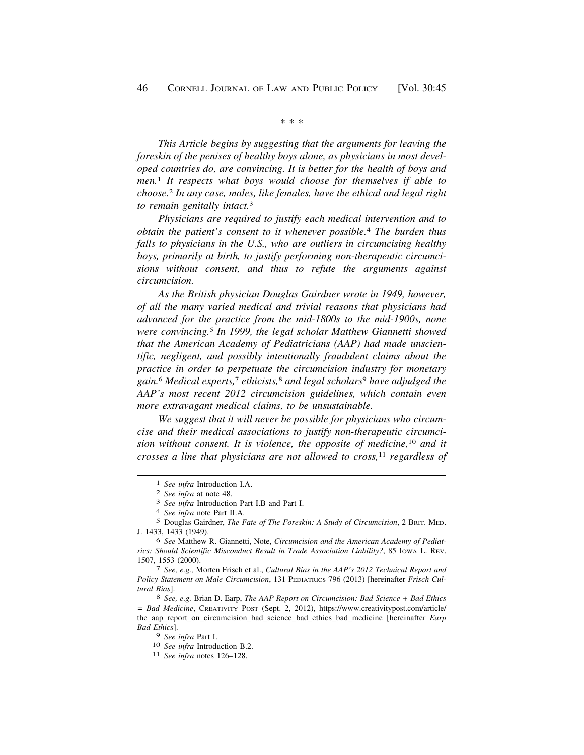\* \* \*

*This Article begins by suggesting that the arguments for leaving the foreskin of the penises of healthy boys alone, as physicians in most developed countries do, are convincing. It is better for the health of boys and men.*1 *It respects what boys would choose for themselves if able to choose.*2 *In any case, males, like females, have the ethical and legal right to remain genitally intact.*<sup>3</sup>

*Physicians are required to justify each medical intervention and to obtain the patient's consent to it whenever possible.*4 *The burden thus falls to physicians in the U.S., who are outliers in circumcising healthy boys, primarily at birth, to justify performing non-therapeutic circumcisions without consent, and thus to refute the arguments against circumcision.* 

*As the British physician Douglas Gairdner wrote in 1949, however, of all the many varied medical and trivial reasons that physicians had advanced for the practice from the mid-1800s to the mid-1900s, none were convincing.*5 *In 1999, the legal scholar Matthew Giannetti showed that the American Academy of Pediatricians (AAP) had made unscientific, negligent, and possibly intentionally fraudulent claims about the practice in order to perpetuate the circumcision industry for monetary gain.*6 *Medical experts,*7 *ethicists,*8 *and legal scholars*9 *have adjudged the AAP's most recent 2012 circumcision guidelines, which contain even more extravagant medical claims, to be unsustainable.* 

*We suggest that it will never be possible for physicians who circumcise and their medical associations to justify non-therapeutic circumcision without consent. It is violence, the opposite of medicine,*10 *and it crosses a line that physicians are not allowed to cross,*11 *regardless of* 

5 Douglas Gairdner, *The Fate of The Foreskin: A Study of Circumcision*, 2 BRIT. MED. J. 1433, 1433 (1949).

6 *See* Matthew R. Giannetti, Note, *Circumcision and the American Academy of Pediatrics: Should Scientific Misconduct Result in Trade Association Liability?*, 85 IOWA L. REV. 1507, 1553 (2000). 7 *See, e.g.,* Morten Frisch et al., *Cultural Bias in the AAP's 2012 Technical Report and* 

*Policy Statement on Male Circumcision*, 131 PEDIATRICS 796 (2013) [hereinafter *Frisch Cultural Bias*]. 8 *See, e.g.* Brian D. Earp, *The AAP Report on Circumcision: Bad Science + Bad Ethics* 

*= Bad Medicine*, CREATIVITY POST (Sept. 2, 2012), [https://www.creativitypost.com/article/](https://www.creativitypost.com/article) the\_aap\_report\_on\_circumcision\_bad\_science\_bad\_ethics\_bad\_medicine [hereinafter *Earp Bad Ethics*].

<sup>9</sup>*See infra* Part I. 10 *See infra* Introduction B.2. 11 *See infra* notes 126–128.

<sup>1</sup>*See infra* Introduction I.A. 2 *See infra* at note 48. 3 *See infra* Introduction Part I.B and Part I. 4 *See infra* note Part II.A.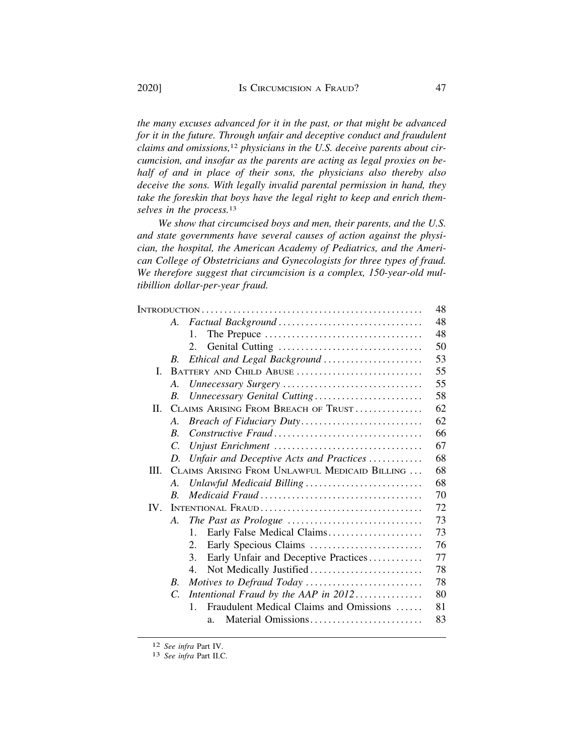*the many excuses advanced for it in the past, or that might be advanced for it in the future. Through unfair and deceptive conduct and fraudulent claims and omissions,*12 *physicians in the U.S. deceive parents about circumcision, and insofar as the parents are acting as legal proxies on behalf of and in place of their sons, the physicians also thereby also deceive the sons. With legally invalid parental permission in hand, they take the foreskin that boys have the legal right to keep and enrich themselves in the process.*<sup>13</sup>

*We show that circumcised boys and men, their parents, and the U.S. and state governments have several causes of action against the physician, the hospital, the American Academy of Pediatrics, and the American College of Obstetricians and Gynecologists for three types of fraud. We therefore suggest that circumcision is a complex, 150-year-old multibillion dollar-per-year fraud.* 

|          |                                               |                                                           | 48 |  |  |  |
|----------|-----------------------------------------------|-----------------------------------------------------------|----|--|--|--|
|          | A.                                            |                                                           | 48 |  |  |  |
|          |                                               | $\mathbf{1}$ .                                            | 48 |  |  |  |
|          |                                               | 2.                                                        | 50 |  |  |  |
|          | В.                                            | Ethical and Legal Background                              | 53 |  |  |  |
| L        | BATTERY AND CHILD ABUSE                       |                                                           |    |  |  |  |
|          | A.                                            | Unnecessary Surgery                                       | 55 |  |  |  |
|          | B.                                            | Unnecessary Genital Cutting                               | 58 |  |  |  |
| П.       | CLAIMS ARISING FROM BREACH OF TRUST           |                                                           |    |  |  |  |
|          | $A_{\cdot}$                                   |                                                           | 62 |  |  |  |
|          | $\overline{B}$ .                              | Constructive Fraud                                        | 66 |  |  |  |
|          | C.                                            |                                                           | 67 |  |  |  |
|          | D.                                            | Unfair and Deceptive Acts and Practices                   | 68 |  |  |  |
| III.     | CLAIMS ARISING FROM UNLAWFUL MEDICAID BILLING |                                                           |    |  |  |  |
|          | $\mathcal{A}_{\cdot}$                         | Unlawful Medicaid Billing                                 | 68 |  |  |  |
|          | R.                                            |                                                           | 70 |  |  |  |
| $IV_{-}$ | INTENTIONAL FRAUD                             |                                                           |    |  |  |  |
|          | $A_{-}$                                       |                                                           | 73 |  |  |  |
|          |                                               | $\mathbf{1}$ .<br>Early False Medical Claims              | 73 |  |  |  |
|          |                                               | 2.<br>Early Specious Claims                               | 76 |  |  |  |
|          |                                               | 3.<br>Early Unfair and Deceptive Practices                | 77 |  |  |  |
|          |                                               | Not Medically Justified<br>4.                             | 78 |  |  |  |
|          | B.                                            | Motives to Defraud Today                                  | 78 |  |  |  |
|          | $\mathcal{C}$ .                               | Intentional Fraud by the AAP in $2012$                    | 80 |  |  |  |
|          |                                               | Fraudulent Medical Claims and Omissions<br>$\mathbf{1}$ . | 81 |  |  |  |
|          |                                               | Material Omissions<br>a.                                  | 83 |  |  |  |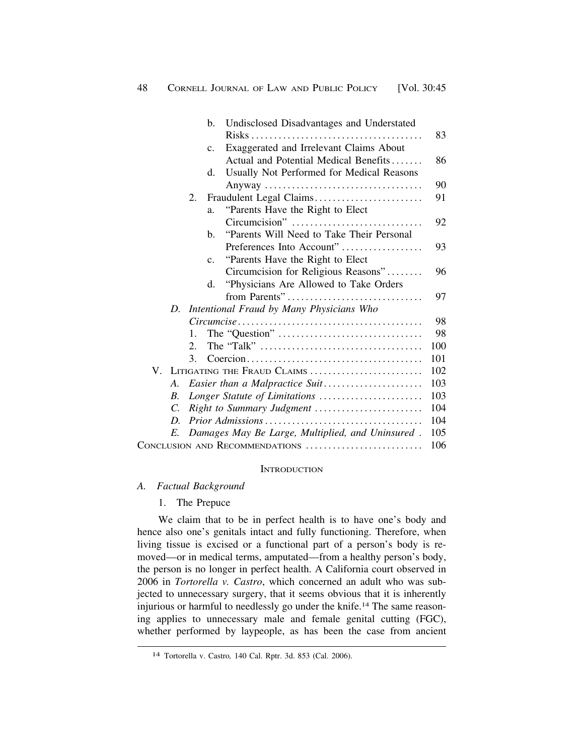<span id="page-3-0"></span>

|                                |                    |                                  | b.                                       | Undisclosed Disadvantages and Understated        |            |  |  |
|--------------------------------|--------------------|----------------------------------|------------------------------------------|--------------------------------------------------|------------|--|--|
|                                |                    |                                  |                                          |                                                  | 83         |  |  |
|                                |                    |                                  | $c_{\cdot}$                              | Exaggerated and Irrelevant Claims About          |            |  |  |
|                                |                    |                                  |                                          | Actual and Potential Medical Benefits            | 86         |  |  |
|                                |                    |                                  | d.                                       | Usually Not Performed for Medical Reasons        |            |  |  |
|                                |                    |                                  |                                          |                                                  | 90         |  |  |
|                                |                    | 2.                               |                                          | Fraudulent Legal Claims                          | 91         |  |  |
|                                |                    |                                  | a.                                       | "Parents Have the Right to Elect"                |            |  |  |
|                                |                    |                                  |                                          | Circumcision"                                    | 92         |  |  |
|                                |                    |                                  | $\mathbf{b}$ .                           | "Parents Will Need to Take Their Personal        |            |  |  |
|                                |                    |                                  |                                          | Preferences Into Account"                        | 93         |  |  |
|                                |                    |                                  | $\mathbf{c}$ .                           | "Parents Have the Right to Elect"                |            |  |  |
|                                |                    |                                  |                                          | Circumcision for Religious Reasons"              | 96         |  |  |
|                                |                    |                                  | d.                                       | "Physicians Are Allowed to Take Orders           |            |  |  |
|                                |                    |                                  |                                          | from Parents"                                    | 97         |  |  |
|                                | D.                 |                                  | Intentional Fraud by Many Physicians Who |                                                  |            |  |  |
|                                |                    |                                  |                                          |                                                  |            |  |  |
|                                |                    | 1.                               |                                          |                                                  | 98         |  |  |
|                                |                    | 2.                               |                                          |                                                  | 100        |  |  |
|                                |                    | 3.                               |                                          |                                                  | 101        |  |  |
|                                |                    |                                  |                                          | V. LITIGATING THE FRAUD CLAIMS                   | 102        |  |  |
|                                | А.                 |                                  |                                          | Easier than a Malpractice Suit                   | 103        |  |  |
|                                | $\boldsymbol{B}$ . |                                  |                                          | Longer Statute of Limitations                    | 103        |  |  |
|                                | C.                 | 104<br>Right to Summary Judgment |                                          |                                                  |            |  |  |
|                                | D.                 |                                  |                                          |                                                  | 104        |  |  |
|                                | E.                 |                                  |                                          | Damages May Be Large, Multiplied, and Uninsured. | 105<br>106 |  |  |
| CONCLUSION AND RECOMMENDATIONS |                    |                                  |                                          |                                                  |            |  |  |

#### **INTRODUCTION**

- *A. Factual Background* 
	- 1. The Prepuce

We claim that to be in perfect health is to have one's body and hence also one's genitals intact and fully functioning. Therefore, when living tissue is excised or a functional part of a person's body is removed—or in medical terms, amputated—from a healthy person's body, the person is no longer in perfect health. A California court observed in 2006 in *Tortorella v. Castro*, which concerned an adult who was subjected to unnecessary surgery, that it seems obvious that it is inherently injurious or harmful to needlessly go under the [knife.14](https://knife.14) The same reasoning applies to unnecessary male and female genital cutting (FGC), whether performed by laypeople, as has been the case from ancient

<sup>14</sup> Tortorella v. Castro*,* 140 Cal. Rptr. 3d. 853 (Cal. 2006).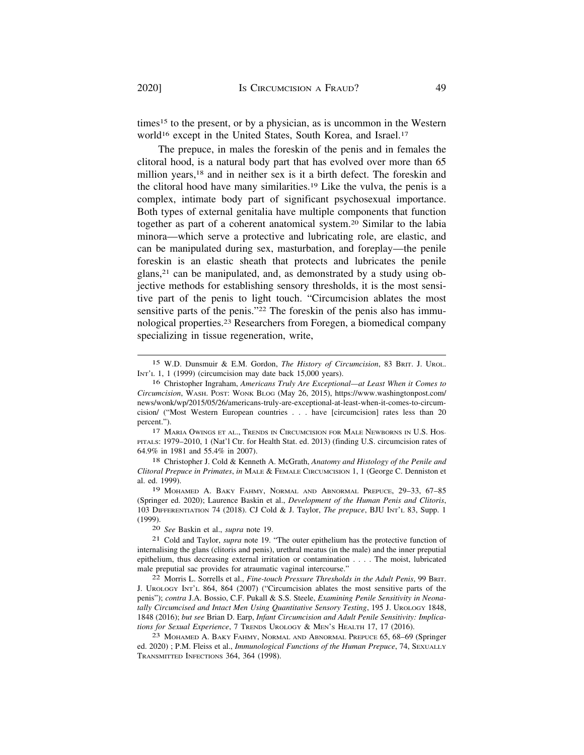times15 to the present, or by a physician, as is uncommon in the Western world<sup>16</sup> except in the United States, South Korea, and Israel.<sup>17</sup>

The prepuce, in males the foreskin of the penis and in females the clitoral hood, is a natural body part that has evolved over more than 65 million years,<sup>18</sup> and in neither sex is it a birth defect. The foreskin and the clitoral hood have many [similarities.19](https://similarities.19) Like the vulva, the penis is a complex, intimate body part of significant psychosexual importance. Both types of external genitalia have multiple components that function together as part of a coherent anatomical [system.20](https://system.20) Similar to the labia minora—which serve a protective and lubricating role, are elastic, and can be manipulated during sex, masturbation, and foreplay—the penile foreskin is an elastic sheath that protects and lubricates the penile glans,21 can be manipulated, and, as demonstrated by a study using objective methods for establishing sensory thresholds, it is the most sensitive part of the penis to light touch. "Circumcision ablates the most sensitive parts of the penis."22 The foreskin of the penis also has immunological [properties.23](https://properties.23) Researchers from Foregen, a biomedical company specializing in tissue regeneration, write,

17 MARIA OWINGS ET AL., TRENDS IN CIRCUMCISION FOR MALE NEWBORNS IN U.S. HOS-PITALS: 1979–2010, 1 (Nat'l Ctr. for Health Stat. ed. 2013) (finding U.S. circumcision rates of 64.9% in 1981 and 55.4% in 2007).

18 Christopher J. Cold & Kenneth A. McGrath, *Anatomy and Histology of the Penile and Clitoral Prepuce in Primates*, *in* MALE & FEMALE CIRCUMCISION 1, 1 (George C. Denniston et al. ed. 1999).

19 MOHAMED A. BAKY FAHMY, NORMAL AND ABNORMAL PREPUCE, 29–33, 67–85 (Springer ed. 2020); Laurence Baskin et al., *Development of the Human Penis and Clitoris*, 103 DIFFERENTIATION 74 (2018). CJ Cold & J. Taylor, *The prepuce*, BJU INT'L 83, Supp. 1 (1999).

20 *See* Baskin et al., *supra* note 19.

21 Cold and Taylor, *supra* note 19. "The outer epithelium has the protective function of internalising the glans (clitoris and penis), urethral meatus (in the male) and the inner preputial epithelium, thus decreasing external irritation or contamination . . . . The moist, lubricated male preputial sac provides for atraumatic vaginal intercourse."

22 Morris L. Sorrells et al., *Fine-touch Pressure Thresholds in the Adult Penis*, 99 BRIT. J. UROLOGY INT'L 864, 864 (2007) ("Circumcision ablates the most sensitive parts of the penis"); *contra* J.A. Bossio, C.F. Pukall & S.S. Steele, *Examining Penile Sensitivity in Neonatally Circumcised and Intact Men Using Quantitative Sensory Testing*, 195 J. UROLOGY 1848, 1848 (2016); *but see* Brian D. Earp, *Infant Circumcision and Adult Penile Sensitivity: Implications for Sexual Experience*, 7 TRENDS UROLOGY & MEN'S HEALTH 17, 17 (2016).

23 MOHAMED A. BAKY FAHMY, NORMAL AND ABNORMAL PREPUCE 65, 68–69 (Springer ed. 2020) ; P.M. Fleiss et al., *Immunological Functions of the Human Prepuce*, 74, SEXUALLY TRANSMITTED INFECTIONS 364, 364 (1998).

<sup>15</sup> W.D. Dunsmuir & E.M. Gordon, *The History of Circumcision*, 83 BRIT. J. UROL. INT'L 1, 1 (1999) (circumcision may date back  $15,000$  years).

<sup>16</sup> Christopher Ingraham, *Americans Truly Are Exceptional—at Least When it Comes to Circumcision*, WASH. POST: WONK BLOG (May 26, 2015), [https://www.washingtonpost.com/](https://www.washingtonpost.com) news/wonk/wp/2015/05/26/americans-truly-are-exceptional-at-least-when-it-comes-to-circumcision/ ("Most Western European countries . . . have [circumcision] rates less than 20 percent.").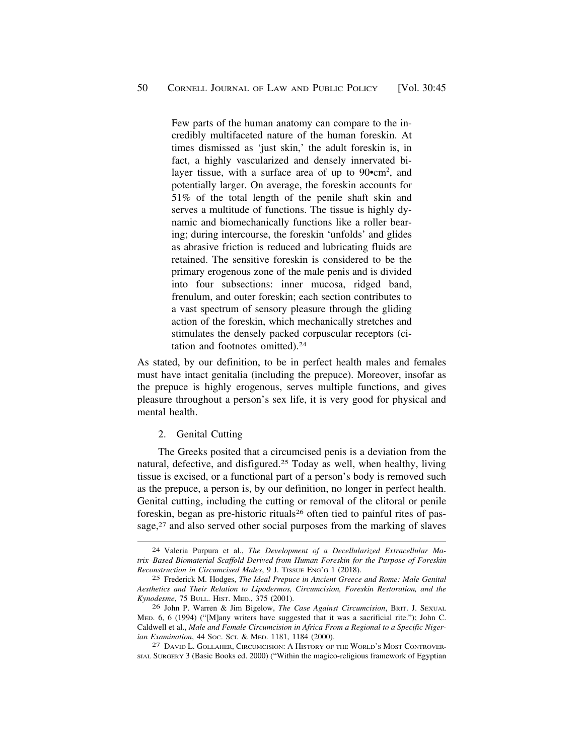<span id="page-5-0"></span>Few parts of the human anatomy can compare to the incredibly multifaceted nature of the human foreskin. At times dismissed as 'just skin,' the adult foreskin is, in fact, a highly vascularized and densely innervated bilayer tissue, with a surface area of up to  $90$   $\text{cm}^2$ , and potentially larger. On average, the foreskin accounts for 51% of the total length of the penile shaft skin and serves a multitude of functions. The tissue is highly dynamic and biomechanically functions like a roller bearing; during intercourse, the foreskin 'unfolds' and glides as abrasive friction is reduced and lubricating fluids are retained. The sensitive foreskin is considered to be the primary erogenous zone of the male penis and is divided into four subsections: inner mucosa, ridged band, frenulum, and outer foreskin; each section contributes to a vast spectrum of sensory pleasure through the gliding action of the foreskin, which mechanically stretches and stimulates the densely packed corpuscular receptors (citation and footnotes [omitted\).24](https://omitted).24)

As stated, by our definition, to be in perfect health males and females must have intact genitalia (including the prepuce). Moreover, insofar as the prepuce is highly erogenous, serves multiple functions, and gives pleasure throughout a person's sex life, it is very good for physical and mental health.

2. Genital Cutting

The Greeks posited that a circumcised penis is a deviation from the natural, defective, and [disfigured.25](https://disfigured.25) Today as well, when healthy, living tissue is excised, or a functional part of a person's body is removed such as the prepuce, a person is, by our definition, no longer in perfect health. Genital cutting, including the cutting or removal of the clitoral or penile foreskin, began as pre-historic rituals<sup>26</sup> often tied to painful rites of passage,<sup>27</sup> and also served other social purposes from the marking of slaves

<sup>24</sup> Valeria Purpura et al., *The Development of a Decellularized Extracellular Matrix–Based Biomaterial Scaffold Derived from Human Foreskin for the Purpose of Foreskin Reconstruction in Circumcised Males*, 9 J. TISSUE ENG'G 1 (2018).

<sup>25</sup> Frederick M. Hodges, *The Ideal Prepuce in Ancient Greece and Rome: Male Genital Aesthetics and Their Relation to Lipodermos, Circumcision, Foreskin Restoration, and the Kynodesme*, 75 BULL. HIST. MED., 375 (2001).

<sup>26</sup> John P. Warren & Jim Bigelow, *The Case Against Circumcision*, BRIT. J. SEXUAL MED. 6, 6 (1994) ("[M]any writers have suggested that it was a sacrificial rite."); John C. Caldwell et al., *Male and Female Circumcision in Africa From a Regional to a Specific Nigerian Examination*, 44 Soc. Sci. & Med. 1181, 1184 (2000).<br><sup>27</sup> DAVID L. GOLLAHER, CIRCUMCISION: A HISTORY OF THE WORLD'S MOST CONTROVER-

SIAL SURGERY 3 (Basic Books ed. 2000) ("Within the magico-religious framework of Egyptian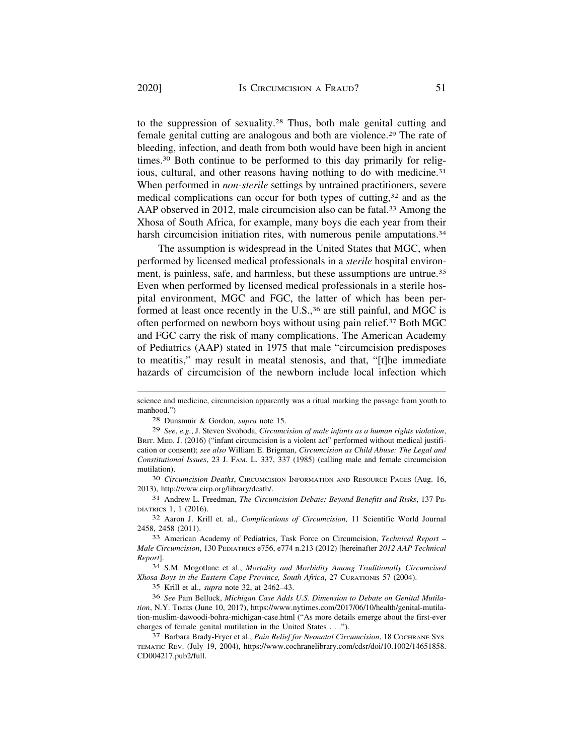to the suppression of [sexuality.28](https://sexuality.28) Thus, both male genital cutting and female genital cutting are analogous and both are [violence.29](https://violence.29) The rate of bleeding, infection, and death from both would have been high in ancient [times.30](https://times.30) Both continue to be performed to this day primarily for religious, cultural, and other reasons having nothing to do with medicine.<sup>31</sup> When performed in *non-sterile* settings by untrained practitioners, severe medical complications can occur for both types of cutting,32 and as the AAP observed in 2012, male circumcision also can be fatal.<sup>33</sup> Among the Xhosa of South Africa, for example, many boys die each year from their harsh circumcision initiation rites, with numerous penile amputations.<sup>34</sup>

The assumption is widespread in the United States that MGC, when performed by licensed medical professionals in a *sterile* hospital environment, is painless, safe, and harmless, but these assumptions are untrue.<sup>35</sup> Even when performed by licensed medical professionals in a sterile hospital environment, MGC and FGC, the latter of which has been performed at least once recently in the U.S.,<sup>36</sup> are still painful, and MGC is often performed on newborn boys without using pain [relief.37](https://relief.37) Both MGC and FGC carry the risk of many complications. The American Academy of Pediatrics (AAP) stated in 1975 that male "circumcision predisposes to meatitis," may result in meatal stenosis, and that, "[t]he immediate hazards of circumcision of the newborn include local infection which

29 *See*, *e.g.*, J. Steven Svoboda, *Circumcision of male infants as a human rights violation*, BRIT. MED. J. (2016) ("infant circumcision is a violent act" performed without medical justification or consent); *see also* William E. Brigman, *Circumcision as Child Abuse: The Legal and Constitutional Issues*, 23 J. FAM. L. 337, 337 (1985) (calling male and female circumcision mutilation).

30 *Circumcision Deaths*, CIRCUMCISION INFORMATION AND RESOURCE PAGES (Aug. 16, 2013), <http://www.cirp.org/library/death>/.

31 Andrew L. Freedman, *The Circumcision Debate: Beyond Benefits and Risks*, 137 PE-DIATRICS 1, 1 (2016).

32 Aaron J. Krill et. al., *Complications of Circumcision,* 11 Scientific World Journal 2458, 2458 (2011).

33 American Academy of Pediatrics, Task Force on Circumcision, *Technical Report – Male Circumcision*, 130 PEDIATRICS e756, e774 n.213 (2012) [hereinafter *2012 AAP Technical Report*].

34 S.M. Mogotlane et al., *Mortality and Morbidity Among Traditionally Circumcised Xhosa Boys in the Eastern Cape Province, South Africa*, 27 CURATIONIS 57 (2004).

35 Krill et al., *supra* note 32, at 2462–43.

36 *See* Pam Belluck, *Michigan Case Adds U.S. Dimension to Debate on Genital Mutilation*, N.Y. TIMES (June 10, 2017), <https://www.nytimes.com/2017/06/10/health/genital-mutila>tion-muslim-dawoodi-bohra-michigan-case.html ("As more details emerge about the first-ever charges of female genital mutilation in the United States . . .").

<sup>37</sup> Barbara Brady-Fryer et al., *Pain Relief for Neonatal Circumcision*, 18 COCHRANE SYS-TEMATIC REV. (July 19, 2004), [https://www.cochranelibrary.com/cdsr/doi/10.1002/14651858.](https://www.cochranelibrary.com/cdsr/doi/10.1002/14651858) CD004217.pub2/full.

science and medicine, circumcision apparently was a ritual marking the passage from youth to manhood.")

<sup>28</sup> Dunsmuir & Gordon, *supra* note 15.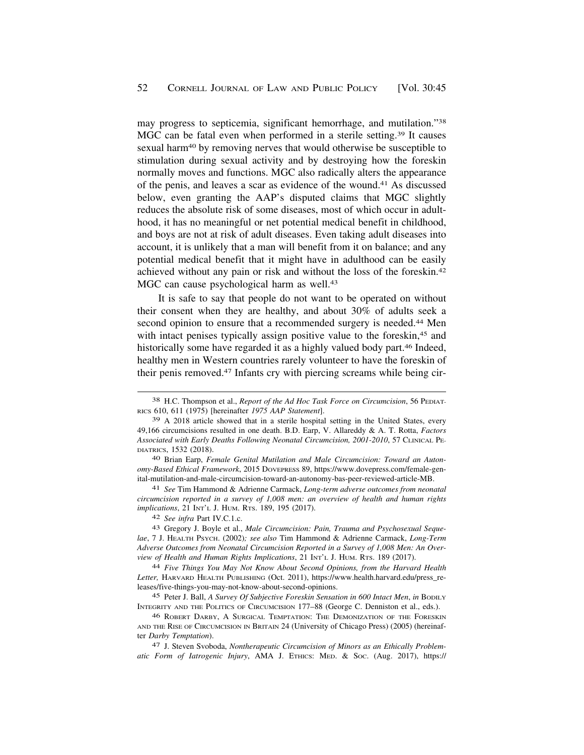may progress to septicemia, significant hemorrhage, and mutilation."38 MGC can be fatal even when performed in a sterile setting.<sup>39</sup> It causes sexual harm40 by removing nerves that would otherwise be susceptible to stimulation during sexual activity and by destroying how the foreskin normally moves and functions. MGC also radically alters the appearance of the penis, and leaves a scar as evidence of the [wound.41](https://wound.41) As discussed below, even granting the AAP's disputed claims that MGC slightly reduces the absolute risk of some diseases, most of which occur in adulthood, it has no meaningful or net potential medical benefit in childhood, and boys are not at risk of adult diseases. Even taking adult diseases into account, it is unlikely that a man will benefit from it on balance; and any potential medical benefit that it might have in adulthood can be easily achieved without any pain or risk and without the loss of the [foreskin.42](https://foreskin.42)  MGC can cause psychological harm as well.<sup>43</sup>

It is safe to say that people do not want to be operated on without their consent when they are healthy, and about 30% of adults seek a second opinion to ensure that a recommended surgery is needed.<sup>44</sup> Men with intact penises typically assign positive value to the foreskin,<sup>45</sup> and historically some have regarded it as a highly valued body part.<sup>46</sup> Indeed, healthy men in Western countries rarely volunteer to have the foreskin of their penis [removed.47](https://removed.47) Infants cry with piercing screams while being cir-

40 Brian Earp, *Female Genital Mutilation and Male Circumcision: Toward an Autonomy-Based Ethical Framework*, 2015 DOVEPRESS 89, <https://www.dovepress.com/female-gen>ital-mutilation-and-male-circumcision-toward-an-autonomy-bas-peer-reviewed-article-MB.

41 *See* Tim Hammond & Adrienne Carmack, *Long-term adverse outcomes from neonatal circumcision reported in a survey of 1,008 men: an overview of health and human rights implications*, 21 INT'L J. HUM. RTS. 189, 195 (2017).

42 *See infra* Part IV.C.1.c.

43 Gregory J. Boyle et al., *Male Circumcision: Pain, Trauma and Psychosexual Sequelae*, 7 J. HEALTH PSYCH. (2002)*; see also* Tim Hammond & Adrienne Carmack, *Long-Term Adverse Outcomes from Neonatal Circumcision Reported in a Survey of 1,008 Men: An Overview of Health and Human Rights Implications*, 21 INT'L J. HUM. RTS. 189 (2017).

44 *Five Things You May Not Know About Second Opinions, from the Harvard Health Letter,* HARVARD HEALTH PUBLISHING (Oct. 2011), [https://www.health.harvard.edu/press\\_re](https://www.health.harvard.edu/press_re)leases/five-things-you-may-not-know-about-second-opinions.

45 Peter J. Ball, *A Survey Of Subjective Foreskin Sensation in 600 Intact Men*, *in* BODILY INTEGRITY AND THE POLITICS OF CIRCUMCISION 177–88 (George C. Denniston et al., eds.).

46 ROBERT DARBY, A SURGICAL TEMPTATION: THE DEMONIZATION OF THE FORESKIN AND THE RISE OF CIRCUMCISION IN BRITAIN 24 (University of Chicago Press) (2005) (hereinafter *Darby Temptation*).

47 J. Steven Svoboda, *Nontherapeutic Circumcision of Minors as an Ethically Problematic Form of Iatrogenic Injury*, AMA J. ETHICS: MED. & SOC. (Aug. 2017), https://

<sup>38</sup> H.C. Thompson et al., *Report of the Ad Hoc Task Force on Circumcision*, 56 PEDIAT-RICS 610, 611 (1975) [hereinafter *1975 AAP Statement*].

<sup>39</sup> A 2018 article showed that in a sterile hospital setting in the United States, every 49,166 circumcisions resulted in one death. B.D. Earp, V. Allareddy & A. T. Rotta, *Factors Associated with Early Deaths Following Neonatal Circumcision, 2001-2010*, 57 CLINICAL PE-DIATRICS, 1532 (2018).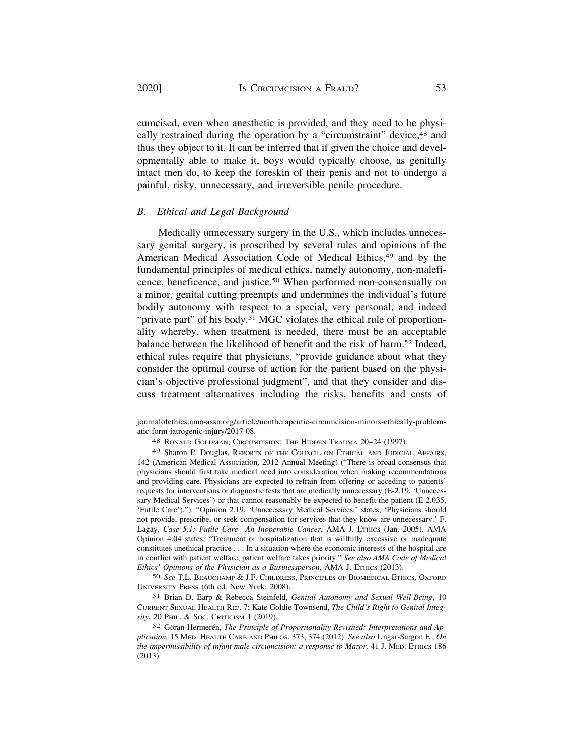cumcised, even when anesthetic is provided, and they need to be physically restrained during the operation by a "circumstraint" device, <sup>48</sup> and thus they object to it. It can be inferred that if given the choice and developmentally able to make it, boys would typically choose, as genitally intact men do, to keep the foreskin of their penis and not to undergo a painful, risky, unnecessary, and irreversible penile procedure.

### *B. Ethical and Legal Background*

Medically unnecessary surgery in the U.S., which includes unnecessary genital surgery, is proscribed by several rules and opinions of the American Medical Association Code of Medical Ethics,<sup>49</sup> and by the fundamental principles of medical ethics, namely autonomy, non-maleficence, beneficence, and [justice.50](https://justice.50) When performed non-consensually on a minor, genital cutting preempts and undermines the individual's future bodily autonomy with respect to a special, very personal, and indeed "private part" of his body.<sup>51</sup> MGC violates the ethical rule of proportionality whereby, when treatment is needed, there must be an acceptable balance between the likelihood of benefit and the risk of harm.<sup>52</sup> Indeed, ethical rules require that physicians, "provide guidance about what they consider the optimal course of action for the patient based on the physician's objective professional judgment", and that they consider and discuss treatment alternatives including the risks, benefits and costs of

50 *See* T.L. BEAUCHAMP & J.F. CHILDRESS, PRINCIPLES OF BIOMEDICAL ETHICS, OXFORD UNIVERSITY PRESS (6th ed. New York: 2008).

51 Brian D. Earp & Rebecca Steinfeld, *Genital Autonomy and Sexual Well-Being*, 10 CURRENT SEXUAL HEALTH REP. 7; Kate Goldie Townsend, *The Child's Right to Genital Integrity*, 20 PHIL. & SOC. CRITICISM 1 (2019).

[journalofethics.ama-assn.org/article/nontherapeutic-circumcision-minors-ethically-problem](https://journalofethics.ama-assn.org/article/nontherapeutic-circumcision-minors-ethically-problem)atic-form-iatrogenic-injury/2017-08.

<sup>48</sup> RONALD GOLDMAN, CIRCUMCISION: THE HIDDEN TRAUMA 20–24 (1997).

<sup>49</sup> Sharon P. Douglas, REPORTS OF THE COUNCIL ON ETHICAL AND JUDICIAL AFFAIRS, 142 (American Medical Association, 2012 Annual Meeting) ("There is broad consensus that physicians should first take medical need into consideration when making recommendations and providing care. Physicians are expected to refrain from offering or acceding to patients' requests for interventions or diagnostic tests that are medically unnecessary (E-2.19, 'Unnecessary Medical Services') or that cannot reasonably be expected to benefit the patient (E-2.035, 'Futile Care')."). "Opinion 2.19, 'Unnecessary Medical Services,' states, 'Physicians should not provide, prescribe, or seek compensation for services that they know are unnecessary.' F. Lagay, *Case 5.1: Futile Care—An Inoperable Cancer*, AMA J. ETHICS (Jan. 2005). AMA Opinion 4.04 states, "Treatment or hospitalization that is willfully excessive or inadequate constitutes unethical practice . . . In a situation where the economic interests of the hospital are in conflict with patient welfare, patient welfare takes priority." *See also AMA Code of Medical Ethics' Opinions of the Physician as a Businessperson*, AMA J. ETHICS (2013).

<sup>52</sup> Göran Hermerén, *The Principle of Proportionality Revisited: Interpretations and Application,* 15 MED. HEALTH CARE AND PHILOS. 373, 374 (2012). *See also* Ungar-Sargon E., *On the impermissibility of infant male circumcision: a response to Mazor,* 41 J. MED. ETHICS 186 (2013).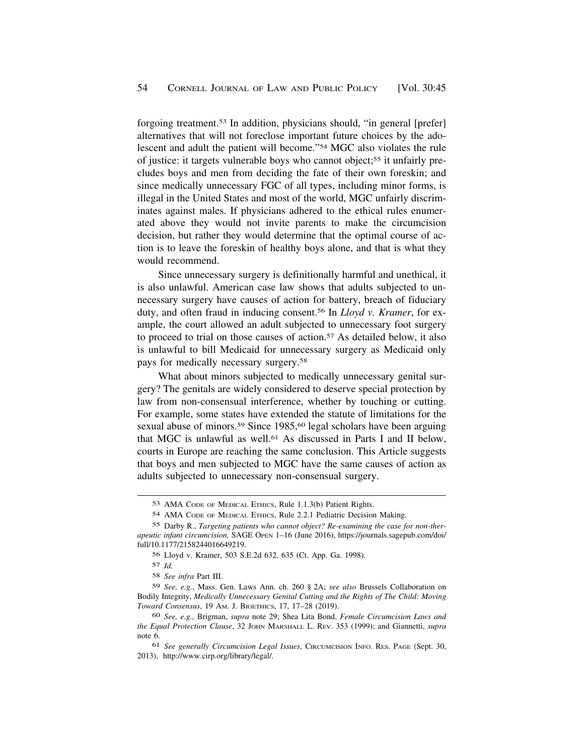forgoing [treatment.53](https://treatment.53) In addition, physicians should, "in general [prefer] alternatives that will not foreclose important future choices by the adolescent and adult the patient will become."54 MGC also violates the rule of justice: it targets vulnerable boys who cannot object;55 it unfairly precludes boys and men from deciding the fate of their own foreskin; and since medically unnecessary FGC of all types, including minor forms, is illegal in the United States and most of the world, MGC unfairly discriminates against males. If physicians adhered to the ethical rules enumerated above they would not invite parents to make the circumcision decision, but rather they would determine that the optimal course of action is to leave the foreskin of healthy boys alone, and that is what they would recommend.

Since unnecessary surgery is definitionally harmful and unethical, it is also unlawful. American case law shows that adults subjected to unnecessary surgery have causes of action for battery, breach of fiduciary duty, and often fraud in inducing [consent.56](https://consent.56) In *Lloyd v. Kramer*, for example, the court allowed an adult subjected to unnecessary foot surgery to proceed to trial on those causes of [action.57](https://action.57) As detailed below, it also is unlawful to bill Medicaid for unnecessary surgery as Medicaid only pays for medically necessary [surgery.58](https://surgery.58)

What about minors subjected to medically unnecessary genital surgery? The genitals are widely considered to deserve special protection by law from non-consensual interference, whether by touching or cutting. For example, some states have extended the statute of limitations for the sexual abuse of minors.<sup>59</sup> Since 1985,<sup>60</sup> legal scholars have been arguing that MGC is unlawful as well.61 As discussed in Parts I and II below, courts in Europe are reaching the same conclusion. This Article suggests that boys and men subjected to MGC have the same causes of action as adults subjected to unnecessary non-consensual surgery.

57 *Id.* 

58 *See infra* Part III.

59 *See, e.g.*, Mass. Gen. Laws Ann. ch. 260 § 2A; *see also* Brussels Collaboration on Bodily Integrity, *Medically Unnecessary Genital Cutting and the Rights of The Child: Moving Toward Consensus*, 19 AM. J. BIOETHICS, 17, 17–28 (2019).

<sup>53</sup> AMA CODE OF MEDICAL ETHICS, Rule 1.1.3(b) Patient Rights.

<sup>54</sup> AMA CODE OF MEDICAL ETHICS, Rule 2.2.1 Pediatric Decision Making.

<sup>55</sup> Darby R., *Targeting patients who cannot object? Re-examining the case for non-therapeutic infant circumcision,* SAGE OPEN 1–16 (June 2016), [https://journals.sagepub.com/doi/](https://journals.sagepub.com/doi) full/10.1177/2158244016649219.

<sup>56</sup> Lloyd v. Kramer, 503 S.E.2d 632, 635 (Ct. App. Ga. 1998).

<sup>60</sup> *See, e.g.,* Brigman, *supra* note 29; Shea Lita Bond, *Female Circumcision Laws and the Equal Protection Clause*, 32 JOHN MARSHALL L. REV. 353 (1999); and Giannetti, *supra*  note 6.

<sup>61</sup> *See generally Circumcision Legal Issues*, CIRCUMCISION INFO. RES. PAGE (Sept. 30, 2013), <http://www.cirp.org/library/legal>/.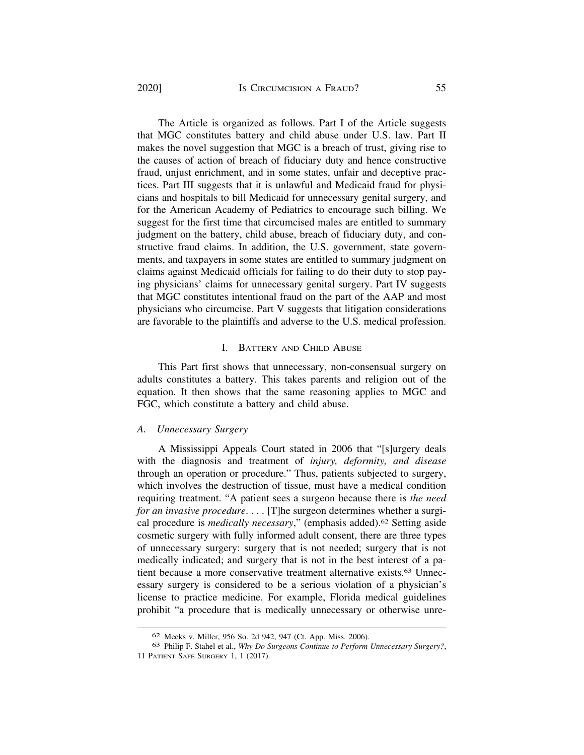The Article is organized as follows. Part I of the Article suggests that MGC constitutes battery and child abuse under U.S. law. Part II makes the novel suggestion that MGC is a breach of trust, giving rise to the causes of action of breach of fiduciary duty and hence constructive fraud, unjust enrichment, and in some states, unfair and deceptive practices. Part III suggests that it is unlawful and Medicaid fraud for physicians and hospitals to bill Medicaid for unnecessary genital surgery, and for the American Academy of Pediatrics to encourage such billing. We suggest for the first time that circumcised males are entitled to summary judgment on the battery, child abuse, breach of fiduciary duty, and constructive fraud claims. In addition, the U.S. government, state governments, and taxpayers in some states are entitled to summary judgment on claims against Medicaid officials for failing to do their duty to stop paying physicians' claims for unnecessary genital surgery. Part IV suggests that MGC constitutes intentional fraud on the part of the AAP and most physicians who circumcise. Part V suggests that litigation considerations are favorable to the plaintiffs and adverse to the U.S. medical profession.

### I. BATTERY AND CHILD ABUSE

This Part first shows that unnecessary, non-consensual surgery on adults constitutes a battery. This takes parents and religion out of the equation. It then shows that the same reasoning applies to MGC and FGC, which constitute a battery and child abuse.

### *A. Unnecessary Surgery*

A Mississippi Appeals Court stated in 2006 that "[s]urgery deals with the diagnosis and treatment of *injury, deformity, and disease*  through an operation or procedure." Thus, patients subjected to surgery, which involves the destruction of tissue, must have a medical condition requiring treatment. "A patient sees a surgeon because there is *the need for an invasive procedure*. . . . [T]he surgeon determines whether a surgical procedure is *medically necessary*," (emphasis [added\).62](https://added).62) Setting aside cosmetic surgery with fully informed adult consent, there are three types of unnecessary surgery: surgery that is not needed; surgery that is not medically indicated; and surgery that is not in the best interest of a patient because a more conservative treatment alternative [exists.63](https://exists.63) Unnecessary surgery is considered to be a serious violation of a physician's license to practice medicine. For example, Florida medical guidelines prohibit "a procedure that is medically unnecessary or otherwise unre-

<sup>62</sup> Meeks v. Miller, 956 So. 2d 942, 947 (Ct. App. Miss. 2006).

<sup>63</sup> Philip F. Stahel et al., *Why Do Surgeons Continue to Perform Unnecessary Surgery?*, 11 PATIENT SAFE SURGERY 1, 1 (2017).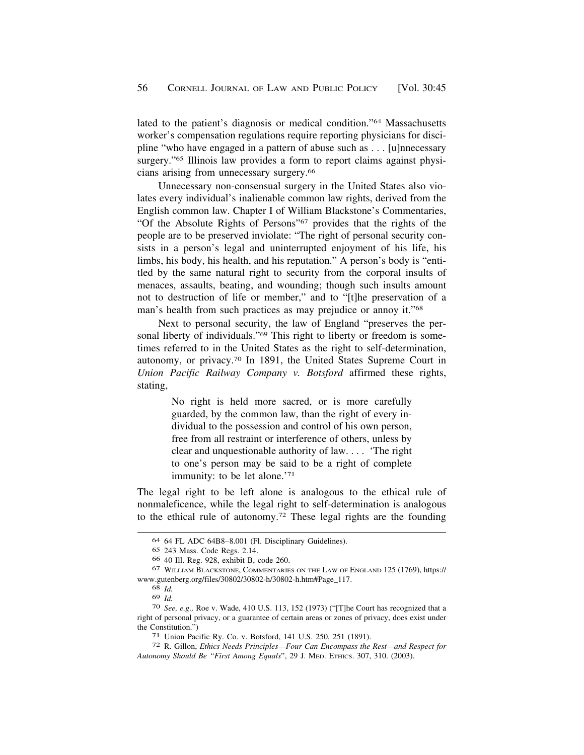lated to the patient's diagnosis or medical condition."64 Massachusetts worker's compensation regulations require reporting physicians for discipline "who have engaged in a pattern of abuse such as . . . [u]nnecessary surgery."<sup>65</sup> Illinois law provides a form to report claims against physicians arising from unnecessary [surgery.66](https://surgery.66) 

Unnecessary non-consensual surgery in the United States also violates every individual's inalienable common law rights, derived from the English common law. Chapter I of William Blackstone's Commentaries, "Of the Absolute Rights of Persons"67 provides that the rights of the people are to be preserved inviolate: "The right of personal security consists in a person's legal and uninterrupted enjoyment of his life, his limbs, his body, his health, and his reputation." A person's body is "entitled by the same natural right to security from the corporal insults of menaces, assaults, beating, and wounding; though such insults amount not to destruction of life or member," and to "[t]he preservation of a man's health from such practices as may prejudice or annoy it."68

Next to personal security, the law of England "preserves the personal liberty of individuals."<sup>69</sup> This right to liberty or freedom is sometimes referred to in the United States as the right to self-determination, autonomy, or [privacy.70](https://privacy.70) In 1891, the United States Supreme Court in *Union Pacific Railway Company v. Botsford* affirmed these rights, stating,

> No right is held more sacred, or is more carefully guarded, by the common law, than the right of every individual to the possession and control of his own person, free from all restraint or interference of others, unless by clear and unquestionable authority of law. . . . 'The right to one's person may be said to be a right of complete immunity: to be let alone.'71

The legal right to be left alone is analogous to the ethical rule of nonmaleficence, while the legal right to self-determination is analogous to the ethical rule of [autonomy.72](https://autonomy.72) These legal rights are the founding

<sup>64 64</sup> FL ADC 64B8–8.001 (Fl. Disciplinary Guidelines).

<sup>65 243</sup> Mass. Code Regs. 2.14.

<sup>66 40</sup> Ill. Reg. 928, exhibit B, code 260.

<sup>67</sup> WILLIAM BLACKSTONE, COMMENTARIES ON THE LAW OF ENGLAND 125 (1769), https:// [www.gutenberg.org/files/30802/30802-h/30802-h.htm#Page\\_117](www.gutenberg.org/files/30802/30802-h/30802-h.htm#Page_117). 68 *Id.* 

<sup>69</sup>*Id.* 70 *See, e.g.,* Roe v. Wade, 410 U.S. 113, 152 (1973) ("[T]he Court has recognized that a right of personal privacy, or a guarantee of certain areas or zones of privacy, does exist under the Constitution.")<br>
<sup>71</sup> Union Pacific Ry. Co. v. Botsford, 141 U.S. 250, 251 (1891).<br>
<sup>72</sup> R. Gillon, *Ethics Needs Principles—Four Can Encompass the Rest—and Respect for* 

*Autonomy Should Be "First Among Equals*", 29 J. MED. ETHICS. 307, 310. (2003).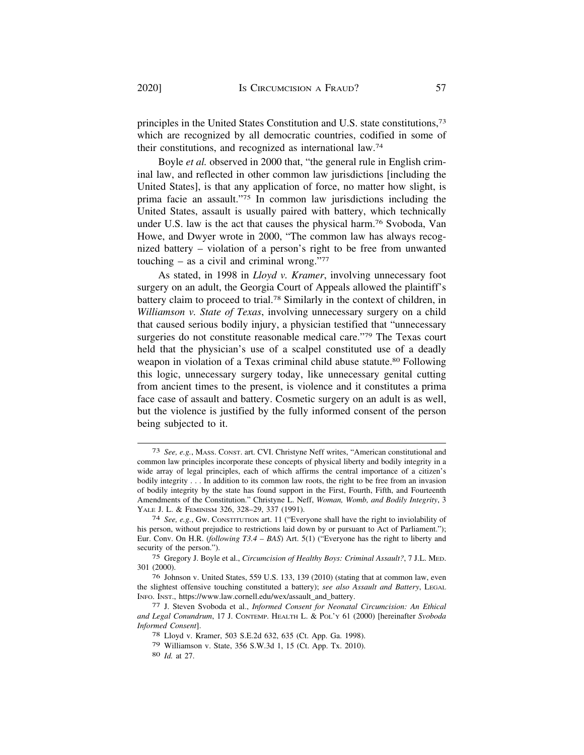principles in the United States Constitution and U.S. state constitutions,73 which are recognized by all democratic countries, codified in some of their constitutions, and recognized as international law.74

Boyle *et al.* observed in 2000 that, "the general rule in English criminal law, and reflected in other common law jurisdictions [including the United States], is that any application of force, no matter how slight, is prima facie an assault."75 In common law jurisdictions including the United States, assault is usually paired with battery, which technically under U.S. law is the act that causes the physical harm.76 Svoboda, Van Howe, and Dwyer wrote in 2000, "The common law has always recognized battery – violation of a person's right to be free from unwanted touching – as a civil and criminal wrong." $77$ 

As stated, in 1998 in *Lloyd v. Kramer*, involving unnecessary foot surgery on an adult, the Georgia Court of Appeals allowed the plaintiff's battery claim to proceed to [trial.78](https://trial.78) Similarly in the context of children, in *Williamson v. State of Texas*, involving unnecessary surgery on a child that caused serious bodily injury, a physician testified that "unnecessary surgeries do not constitute reasonable medical care."79 The Texas court held that the physician's use of a scalpel constituted use of a deadly weapon in violation of a Texas criminal child abuse statute.<sup>80</sup> Following this logic, unnecessary surgery today, like unnecessary genital cutting from ancient times to the present, is violence and it constitutes a prima face case of assault and battery. Cosmetic surgery on an adult is as well, but the violence is justified by the fully informed consent of the person being subjected to it.

<sup>73</sup> *See, e.g.*, MASS. CONST. art. CVI. Christyne Neff writes, "American constitutional and common law principles incorporate these concepts of physical liberty and bodily integrity in a wide array of legal principles, each of which affirms the central importance of a citizen's bodily integrity . . . In addition to its common law roots, the right to be free from an invasion of bodily integrity by the state has found support in the First, Fourth, Fifth, and Fourteenth Amendments of the Constitution." Christyne L. Neff, *Woman, Womb, and Bodily Integrity*, 3 YALE J. L. & FEMINISM 326, 328–29, 337 (1991).

<sup>74</sup> *See, e.g.*, Gw. CONSTITUTION art. 11 ("Everyone shall have the right to inviolability of his person, without prejudice to restrictions laid down by or pursuant to Act of Parliament."); Eur. Conv. On H.R. (*following T3.4 – BAS*) Art. 5(1) ("Everyone has the right to liberty and security of the person.").

<sup>75</sup> Gregory J. Boyle et al., *Circumcision of Healthy Boys: Criminal Assault?*, 7 J.L. MED. 301 (2000).

<sup>76</sup> Johnson v. United States, 559 U.S. 133, 139 (2010) (stating that at common law, even the slightest offensive touching constituted a battery); *see also Assault and Battery*, LEGAL INFO. INST., [https://www.law.cornell.edu/wex/assault\\_and\\_battery.](https://www.law.cornell.edu/wex/assault_and_battery) 77 J. Steven Svoboda et al., *Informed Consent for Neonatal Circumcision: An Ethical* 

*and Legal Conundrum*, 17 J. CONTEMP. HEALTH L. & POL'Y 61 (2000) [hereinafter *Svoboda Informed Consent*]. 78 Lloyd v. Kramer, 503 S.E.2d 632, 635 (Ct. App. Ga. 1998).

<sup>79</sup> Williamson v. State, 356 S.W.3d 1, 15 (Ct. App. Tx. 2010).

<sup>80</sup> *Id.* at 27.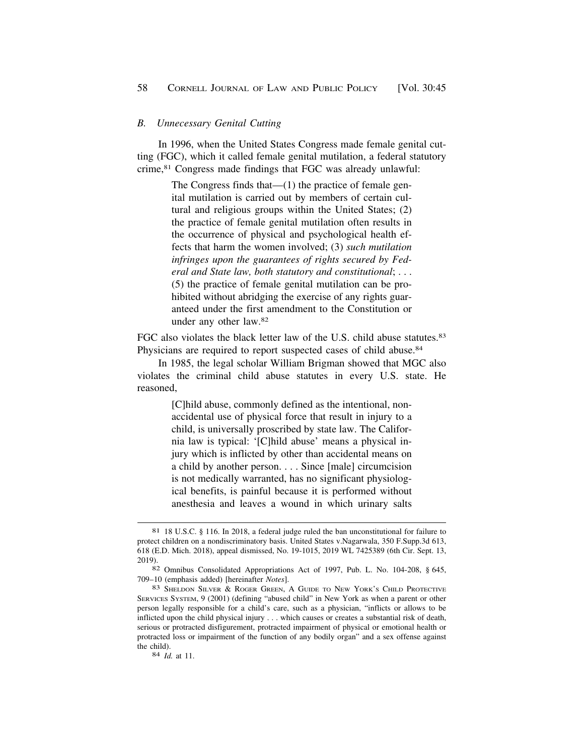### <span id="page-13-0"></span>*B. Unnecessary Genital Cutting*

In 1996, when the United States Congress made female genital cutting (FGC), which it called female genital mutilation, a federal statutory crime,81 Congress made findings that FGC was already unlawful:

> The Congress finds that—(1) the practice of female genital mutilation is carried out by members of certain cultural and religious groups within the United States; (2) the practice of female genital mutilation often results in the occurrence of physical and psychological health effects that harm the women involved; (3) *such mutilation infringes upon the guarantees of rights secured by Federal and State law, both statutory and constitutional*; . . . (5) the practice of female genital mutilation can be prohibited without abridging the exercise of any rights guaranteed under the first amendment to the Constitution or under any other law.82

FGC also violates the black letter law of the U.S. child abuse statutes.<sup>83</sup> Physicians are required to report suspected cases of child abuse.<sup>84</sup>

In 1985, the legal scholar William Brigman showed that MGC also violates the criminal child abuse statutes in every U.S. state. He reasoned,

> [C]hild abuse, commonly defined as the intentional, nonaccidental use of physical force that result in injury to a child, is universally proscribed by state law. The California law is typical: '[C]hild abuse' means a physical injury which is inflicted by other than accidental means on a child by another person. . . . Since [male] circumcision is not medically warranted, has no significant physiological benefits, is painful because it is performed without anesthesia and leaves a wound in which urinary salts

<sup>81 18</sup> U.S.C. § 116. In 2018, a federal judge ruled the ban unconstitutional for failure to protect children on a nondiscriminatory basis. United States v.Nagarwala, 350 [F.Supp.3d](https://F.Supp.3d) 613, 618 (E.D. Mich. 2018), appeal dismissed, No. 19-1015, 2019 WL 7425389 (6th Cir. Sept. 13,

<sup>2019). 82</sup> Omnibus Consolidated Appropriations Act of 1997, Pub. L. No. 104-208, § 645, 709–10 (emphasis added) [hereinafter *Notes*]. 83 SHELDON SILVER & ROGER GREEN, A GUIDE TO NEW YORK'S CHILD PROTECTIVE

SERVICES SYSTEM, 9 (2001) (defining "abused child" in New York as when a parent or other person legally responsible for a child's care, such as a physician, "inflicts or allows to be inflicted upon the child physical injury . . . which causes or creates a substantial risk of death, serious or protracted disfigurement, protracted impairment of physical or emotional health or protracted loss or impairment of the function of any bodily organ" and a sex offense against the child). 84 *Id.* at 11.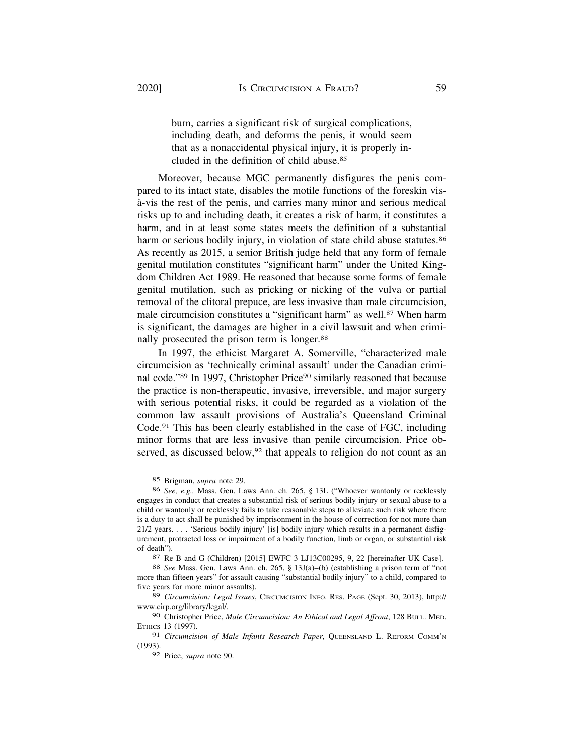burn, carries a significant risk of surgical complications, including death, and deforms the penis, it would seem that as a nonaccidental physical injury, it is properly included in the definition of child [abuse.85](https://abuse.85)

Moreover, because MGC permanently disfigures the penis compared to its intact state, disables the motile functions of the foreskin visa-vis the rest of the penis, and carries many minor and serious medical ` risks up to and including death, it creates a risk of harm, it constitutes a harm, and in at least some states meets the definition of a substantial harm or serious bodily injury, in violation of state child abuse statutes.<sup>86</sup> As recently as 2015, a senior British judge held that any form of female genital mutilation constitutes "significant harm" under the United Kingdom Children Act 1989. He reasoned that because some forms of female genital mutilation, such as pricking or nicking of the vulva or partial removal of the clitoral prepuce, are less invasive than male circumcision, male circumcision constitutes a "significant harm" as well.87 When harm is significant, the damages are higher in a civil lawsuit and when criminally prosecuted the prison term is longer.<sup>88</sup>

In 1997, the ethicist Margaret A. Somerville, "characterized male circumcision as 'technically criminal assault' under the Canadian criminal code."89 In 1997, Christopher Price<sup>90</sup> similarly reasoned that because the practice is non-therapeutic, invasive, irreversible, and major surgery with serious potential risks, it could be regarded as a violation of the common law assault provisions of Australia's Queensland Criminal Code.91 This has been clearly established in the case of FGC, including minor forms that are less invasive than penile circumcision. Price observed, as discussed below,<sup>92</sup> that appeals to religion do not count as an

<sup>85</sup> Brigman, *supra* note 29.

<sup>86</sup> *See, e.g.,* Mass. Gen. Laws Ann. ch. 265, § 13L ("Whoever wantonly or recklessly engages in conduct that creates a substantial risk of serious bodily injury or sexual abuse to a child or wantonly or recklessly fails to take reasonable steps to alleviate such risk where there is a duty to act shall be punished by imprisonment in the house of correction for not more than 21/2 years. . . . 'Serious bodily injury' [is] bodily injury which results in a permanent disfigurement, protracted loss or impairment of a bodily function, limb or organ, or substantial risk of death").

<sup>87</sup> Re B and G (Children) [2015] EWFC 3 LJ13C00295, 9, 22 [hereinafter UK Case].

<sup>88</sup> *See* Mass. Gen. Laws Ann. ch. 265, § 13J(a)–(b) (establishing a prison term of "not more than fifteen years" for assault causing "substantial bodily injury" to a child, compared to five years for more minor assaults).

<sup>89</sup> *Circumcision: Legal Issues*, CIRCUMCISION INFO. RES. PAGE (Sept. 30, 2013), http:// <www.cirp.org/library/legal>/.

<sup>90</sup> Christopher Price, *Male Circumcision: An Ethical and Legal Affront*, 128 BULL. MED. ETHICS 13 (1997).

<sup>91</sup> *Circumcision of Male Infants Research Paper*, QUEENSLAND L. REFORM COMM'N (1993).

<sup>92</sup> Price, *supra* note 90.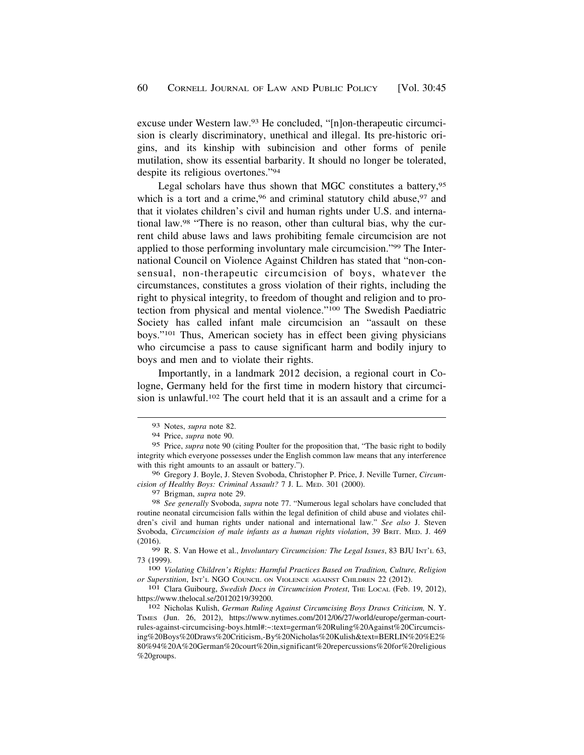excuse under Western law.93 He concluded, "[n]on-therapeutic circumcision is clearly discriminatory, unethical and illegal. Its pre-historic origins, and its kinship with subincision and other forms of penile mutilation, show its essential barbarity. It should no longer be tolerated, despite its religious overtones."94

Legal scholars have thus shown that MGC constitutes a battery,95 which is a tort and a crime,<sup>96</sup> and criminal statutory child abuse,<sup>97</sup> and that it violates children's civil and human rights under U.S. and international law.98 "There is no reason, other than cultural bias, why the current child abuse laws and laws prohibiting female circumcision are not applied to those performing involuntary male circumcision."99 The International Council on Violence Against Children has stated that "non-consensual, non-therapeutic circumcision of boys, whatever the circumstances, constitutes a gross violation of their rights, including the right to physical integrity, to freedom of thought and religion and to protection from physical and mental violence."100 The Swedish Paediatric Society has called infant male circumcision an "assault on these boys."101 Thus, American society has in effect been giving physicians who circumcise a pass to cause significant harm and bodily injury to boys and men and to violate their rights.

Importantly, in a landmark 2012 decision, a regional court in Cologne, Germany held for the first time in modern history that circumcision is unlawful.<sup>102</sup> The court held that it is an assault and a crime for a

96 Gregory J. Boyle, J. Steven Svoboda, Christopher P. Price, J. Neville Turner, *Circumcision of Healthy Boys: Criminal Assault?* 7 J. L. MED. 301 (2000).

97 Brigman, *supra* note 29.

98 *See generally* Svoboda, *supra* note 77. "Numerous legal scholars have concluded that routine neonatal circumcision falls within the legal definition of child abuse and violates children's civil and human rights under national and international law." *See also* J. Steven Svoboda, *Circumcision of male infants as a human rights violation*, 39 BRIT. MED. J. 469 (2016).

99 R. S. Van Howe et al., *Involuntary Circumcision: The Legal Issues*, 83 BJU INT'L 63, 73 (1999). 100 *Violating Children's Rights: Harmful Practices Based on Tradition, Culture, Religion* 

*or Superstition*, INT'L NGO COUNCIL ON VIOLENCE AGAINST CHILDREN 22 (2012).<br><sup>101</sup> Clara Guibourg, *Swedish Docs in Circumcision Protest*, THE LOCAL (Feb. 19, 2012),<br>https://www.thelocal.se/20120219/39200.

<sup>93</sup> Notes, *supra* note 82.

<sup>94</sup> Price, *supra* note 90.

<sup>95</sup> Price, *supra* note 90 (citing Poulter for the proposition that, "The basic right to bodily integrity which everyone possesses under the English common law means that any interference with this right amounts to an assault or battery.").

<sup>102</sup> Nicholas Kulish, *German Ruling Against Circumcising Boys Draws Criticism*, N. Y. TIMES (Jun. 26, 2012), <https://www.nytimes.com/2012/06/27/world/europe/german-court>rules-against-circumcising-boys.html#:~:text=german%20Ruling%20Against%20Circumcising%20Boys%20Draws%20Criticism,-By%20Nicholas%20Kulish&text=BERLIN%20%E2% 80%94%20A%20German%20court%20in,significant%20repercussions%20for%20religious %20groups.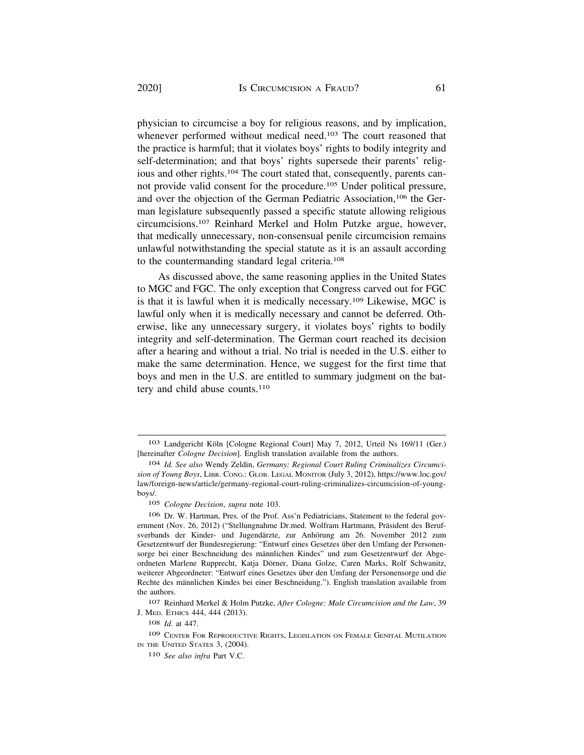physician to circumcise a boy for religious reasons, and by implication, whenever performed without medical need.<sup>103</sup> The court reasoned that the practice is harmful; that it violates boys' rights to bodily integrity and self-determination; and that boys' rights supersede their parents' religious and other rights.104 The court stated that, consequently, parents cannot provide valid consent for the procedure.105 Under political pressure, and over the objection of the German Pediatric Association,<sup>106</sup> the German legislature subsequently passed a specific statute allowing religious circumcisions.107 Reinhard Merkel and Holm Putzke argue, however, that medically unnecessary, non-consensual penile circumcision remains unlawful notwithstanding the special statute as it is an assault according to the countermanding standard legal criteria.108

As discussed above, the same reasoning applies in the United States to MGC and FGC. The only exception that Congress carved out for FGC is that it is lawful when it is medically necessary.109 Likewise, MGC is lawful only when it is medically necessary and cannot be deferred. Otherwise, like any unnecessary surgery, it violates boys' rights to bodily integrity and self-determination. The German court reached its decision after a hearing and without a trial. No trial is needed in the U.S. either to make the same determination. Hence, we suggest for the first time that boys and men in the U.S. are entitled to summary judgment on the battery and child abuse counts.<sup>110</sup>

107 Reinhard Merkel & Holm Putzke, *After Cologne: Male Circumcision and the Law*, 39 J. MED. ETHICS 444, 444 (2013).

<sup>103</sup> Landgericht Köln [Cologne Regional Court] May 7, 2012, Urteil Ns 169/11 (Ger.) [hereinafter *Cologne Decision*]. English translation available from the authors.

<sup>104</sup> *Id. See also* Wendy Zeldin, *Germany: Regional Court Ruling Criminalizes Circumcision of Young Boys*, LIBR. CONG.: GLOB. LEGAL MONITOR (July 3, 2012), [https://www.loc.gov/](https://www.loc.gov) law/foreign-news/article/germany-regional-court-ruling-criminalizes-circumcision-of-youngboys/.

<sup>105</sup> *Cologne Decision*, *supra* note 103.

<sup>106</sup> Dr. W. Hartman, Pres. of the Prof. Ass'n Pediatricians, Statement to the federal government (Nov. 26, 2012) ("Stellungnahme Dr.med. Wolfram Hartmann, Präsident des Berufsverbands der Kinder- und Jugendärzte, zur Anhörung am 26. November 2012 zum Gesetzentwurf der Bundesregierung: "Entwurf eines Gesetzes über den Umfang der Personensorge bei einer Beschneidung des männlichen Kindes" und zum Gesetzentwurf der Abgeordneten Marlene Rupprecht, Katja Dörner, Diana Golze, Caren Marks, Rolf Schwanitz, weiterer Abgeordneter: "Entwurf eines Gesetzes über den Umfang der Personensorge und die Rechte des männlichen Kindes bei einer Beschneidung."). English translation available from the authors.

<sup>108</sup> *Id.* at 447.

<sup>109</sup> CENTER FOR REPRODUCTIVE RIGHTS, LEGISLATION ON FEMALE GENITAL MUTILATION IN THE UNITED STATES 3, (2004).

<sup>110</sup> *See also infra* Part V.C.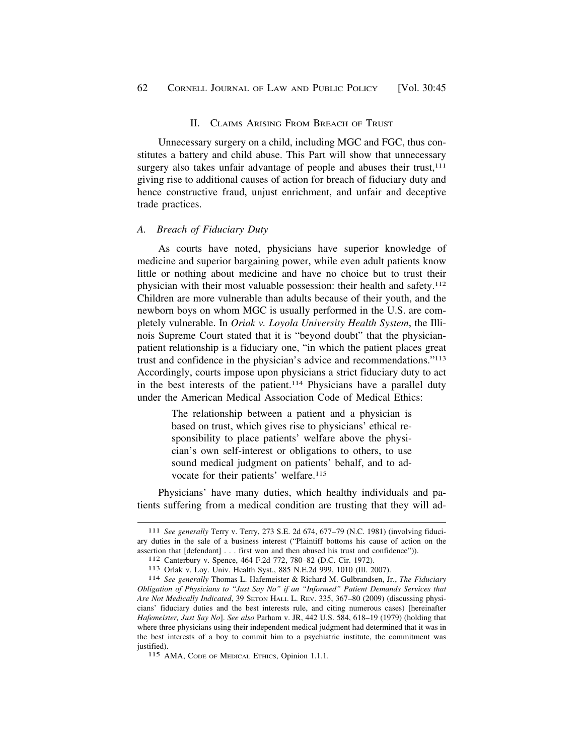### II. CLAIMS ARISING FROM BREACH OF TRUST

<span id="page-17-0"></span>Unnecessary surgery on a child, including MGC and FGC, thus constitutes a battery and child abuse. This Part will show that unnecessary surgery also takes unfair advantage of people and abuses their trust,<sup>111</sup> giving rise to additional causes of action for breach of fiduciary duty and hence constructive fraud, unjust enrichment, and unfair and deceptive trade practices.

#### *A. Breach of Fiduciary Duty*

As courts have noted, physicians have superior knowledge of medicine and superior bargaining power, while even adult patients know little or nothing about medicine and have no choice but to trust their physician with their most valuable possession: their health and safety.112 Children are more vulnerable than adults because of their youth, and the newborn boys on whom MGC is usually performed in the U.S. are completely vulnerable. In *Oriak v. Loyola University Health System*, the Illinois Supreme Court stated that it is "beyond doubt" that the physicianpatient relationship is a fiduciary one, "in which the patient places great trust and confidence in the physician's advice and recommendations."113 Accordingly, courts impose upon physicians a strict fiduciary duty to act in the best interests of the patient.114 Physicians have a parallel duty under the American Medical Association Code of Medical Ethics:

> The relationship between a patient and a physician is based on trust, which gives rise to physicians' ethical responsibility to place patients' welfare above the physician's own self-interest or obligations to others, to use sound medical judgment on patients' behalf, and to advocate for their patients' welfare.<sup>115</sup>

Physicians' have many duties, which healthy individuals and patients suffering from a medical condition are trusting that they will ad-

<sup>111</sup> *See generally* Terry v. Terry, 273 S.E. 2d 674, 677–79 (N.C. 1981) (involving fiduciary duties in the sale of a business interest ("Plaintiff bottoms his cause of action on the assertion that [defendant] . . . first won and then abused his trust and confidence")).<br>
<sup>112</sup> Canterbury v. Spence, 464 F.2d 772, 780–82 (D.C. Cir. 1972).<br>
<sup>113</sup> Orlak v. Loy. Univ. Health Syst., 885 N.E.2d 999, 1010 (Ill

*Obligation of Physicians to "Just Say No" if an "Informed" Patient Demands Services that Are Not Medically Indicated*, 39 SETON HALL L. REV. 335, 367–80 (2009) (discussing physicians' fiduciary duties and the best interests rule, and citing numerous cases) [hereinafter *Hafemeister, Just Say No*]. *See also* Parham v. JR, 442 U.S. 584, 618–19 (1979) (holding that where three physicians using their independent medical judgment had determined that it was in the best interests of a boy to commit him to a psychiatric institute, the commitment was justified).

<sup>115</sup> AMA, CODE OF MEDICAL ETHICS, Opinion 1.1.1.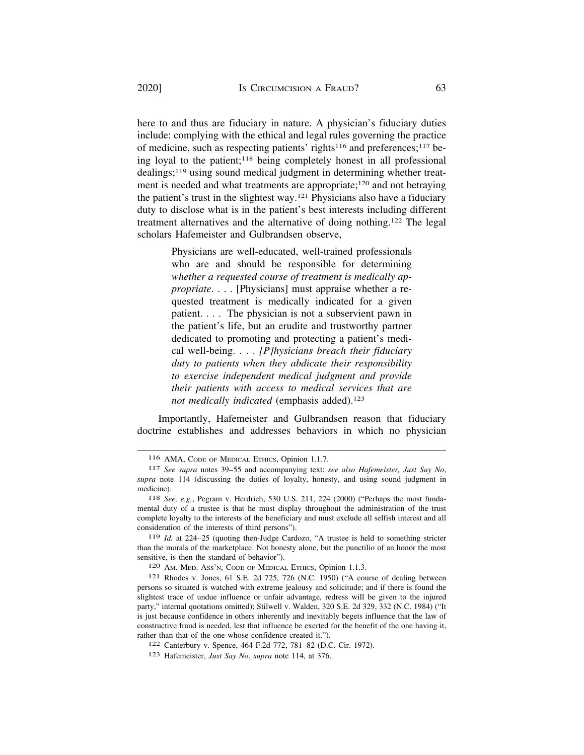here to and thus are fiduciary in nature. A physician's fiduciary duties include: complying with the ethical and legal rules governing the practice of medicine, such as respecting patients' rights116 and preferences;117 being loyal to the patient;118 being completely honest in all professional dealings;119 using sound medical judgment in determining whether treatment is needed and what treatments are appropriate;120 and not betraying the patient's trust in the slightest way.121 Physicians also have a fiduciary duty to disclose what is in the patient's best interests including different treatment alternatives and the alternative of doing nothing.122 The legal scholars Hafemeister and Gulbrandsen observe,

> Physicians are well-educated, well-trained professionals who are and should be responsible for determining *whether a requested course of treatment is medically appropriate*. . . . [Physicians] must appraise whether a requested treatment is medically indicated for a given patient. . . . The physician is not a subservient pawn in the patient's life, but an erudite and trustworthy partner dedicated to promoting and protecting a patient's medical well-being. . . . *[P]hysicians breach their fiduciary duty to patients when they abdicate their responsibility to exercise independent medical judgment and provide their patients with access to medical services that are*  not medically indicated (emphasis added).<sup>123</sup>

Importantly, Hafemeister and Gulbrandsen reason that fiduciary doctrine establishes and addresses behaviors in which no physician

119 *Id.* at 224–25 (quoting then-Judge Cardozo, "A trustee is held to something stricter than the morals of the marketplace. Not honesty alone, but the punctilio of an honor the most sensitive, is then the standard of behavior").

120 AM. MED. ASS'N, CODE OF MEDICAL ETHICS, Opinion 1.1.3.

<sup>116</sup> AMA, CODE OF MEDICAL ETHICS, Opinion 1.1.7.

<sup>117</sup> *See supra* notes 39–55 and accompanying text; *see also Hafemeister, Just Say No*, *supra* note 114 (discussing the duties of loyalty, honesty, and using sound judgment in medicine).

<sup>118</sup> *See, e.g.*, Pegram v. Herdrich, 530 U.S. 211, 224 (2000) ("Perhaps the most fundamental duty of a trustee is that he must display throughout the administration of the trust complete loyalty to the interests of the beneficiary and must exclude all selfish interest and all consideration of the interests of third persons").

<sup>121</sup> Rhodes v. Jones, 61 S.E. 2d 725, 726 (N.C. 1950) ("A course of dealing between persons so situated is watched with extreme jealousy and solicitude; and if there is found the slightest trace of undue influence or unfair advantage, redress will be given to the injured party," internal quotations omitted); Stilwell v. Walden, 320 S.E. 2d 329, 332 (N.C. 1984) ("It is just because confidence in others inherently and inevitably begets influence that the law of constructive fraud is needed, lest that influence be exerted for the benefit of the one having it, rather than that of the one whose confidence created it.").

<sup>122</sup> Canterbury v. Spence, 464 F.2d 772, 781–82 (D.C. Cir. 1972).

<sup>123</sup> Hafemeister, *Just Say No*, *supra* note 114, at 376.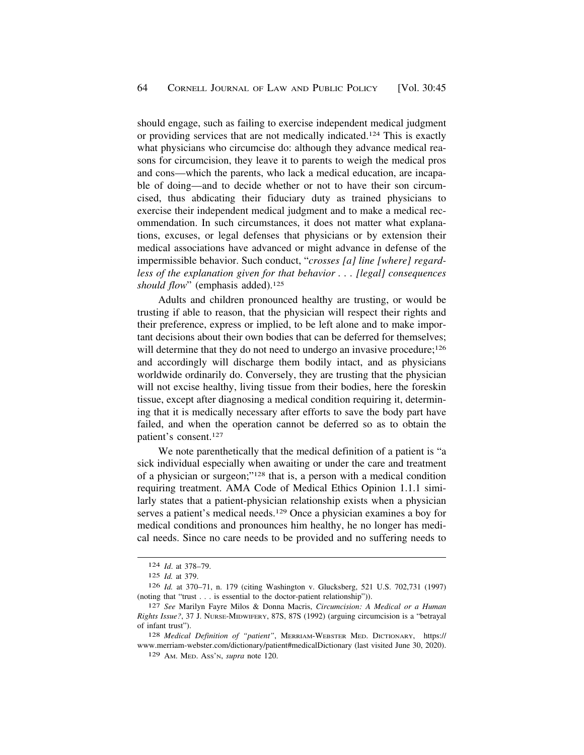should engage, such as failing to exercise independent medical judgment or providing services that are not medically indicated.124 This is exactly what physicians who circumcise do: although they advance medical reasons for circumcision, they leave it to parents to weigh the medical pros and cons—which the parents, who lack a medical education, are incapable of doing—and to decide whether or not to have their son circumcised, thus abdicating their fiduciary duty as trained physicians to exercise their independent medical judgment and to make a medical recommendation. In such circumstances, it does not matter what explanations, excuses, or legal defenses that physicians or by extension their medical associations have advanced or might advance in defense of the impermissible behavior. Such conduct, "*crosses [a] line [where] regardless of the explanation given for that behavior . . . [legal] consequences*  should flow" (emphasis added).<sup>125</sup>

Adults and children pronounced healthy are trusting, or would be trusting if able to reason, that the physician will respect their rights and their preference, express or implied, to be left alone and to make important decisions about their own bodies that can be deferred for themselves; will determine that they do not need to undergo an invasive procedure;<sup>126</sup> and accordingly will discharge them bodily intact, and as physicians worldwide ordinarily do. Conversely, they are trusting that the physician will not excise healthy, living tissue from their bodies, here the foreskin tissue, except after diagnosing a medical condition requiring it, determining that it is medically necessary after efforts to save the body part have failed, and when the operation cannot be deferred so as to obtain the patient's consent.127

We note parenthetically that the medical definition of a patient is "a sick individual especially when awaiting or under the care and treatment of a physician or surgeon;"128 that is, a person with a medical condition requiring treatment. AMA Code of Medical Ethics Opinion 1.1.1 similarly states that a patient-physician relationship exists when a physician serves a patient's medical needs.129 Once a physician examines a boy for medical conditions and pronounces him healthy, he no longer has medical needs. Since no care needs to be provided and no suffering needs to

128 *Medical Definition of "patient"*, MERRIAM-WEBSTER MED. DICTIONARY, https:// <www.merriam-webster.com/dictionary/patient#medicalDictionary> (last visited June 30, 2020).

<sup>124</sup> *Id*. at 378–79.

<sup>125</sup> *Id.* at 379.

<sup>126</sup> *Id.* at 370–71, n. 179 (citing Washington v. Glucksberg, 521 U.S. 702,731 (1997) (noting that "trust . . . is essential to the doctor-patient relationship")).

<sup>127</sup> *See* Marilyn Fayre Milos & Donna Macris, *Circumcision: A Medical or a Human Rights Issue?*, 37 J. NURSE-MIDWIFERY, 87S, 87S (1992) (arguing circumcision is a "betrayal of infant trust").

<sup>129</sup> AM. MED. ASS'N, *supra* note 120.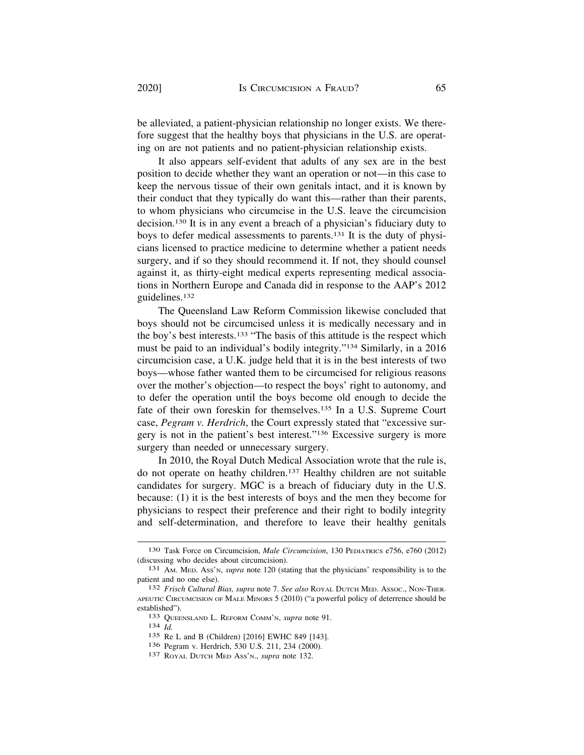be alleviated, a patient-physician relationship no longer exists. We therefore suggest that the healthy boys that physicians in the U.S. are operating on are not patients and no patient-physician relationship exists.

It also appears self-evident that adults of any sex are in the best position to decide whether they want an operation or not—in this case to keep the nervous tissue of their own genitals intact, and it is known by their conduct that they typically do want this—rather than their parents, to whom physicians who circumcise in the U.S. leave the circumcision decision.130 It is in any event a breach of a physician's fiduciary duty to boys to defer medical assessments to parents.131 It is the duty of physicians licensed to practice medicine to determine whether a patient needs surgery, and if so they should recommend it. If not, they should counsel against it, as thirty-eight medical experts representing medical associations in Northern Europe and Canada did in response to the AAP's 2012 guidelines.132

The Queensland Law Reform Commission likewise concluded that boys should not be circumcised unless it is medically necessary and in the boy's best interests.133 "The basis of this attitude is the respect which must be paid to an individual's bodily integrity."134 Similarly, in a 2016 circumcision case, a U.K. judge held that it is in the best interests of two boys—whose father wanted them to be circumcised for religious reasons over the mother's objection—to respect the boys' right to autonomy, and to defer the operation until the boys become old enough to decide the fate of their own foreskin for themselves.135 In a U.S. Supreme Court case, *Pegram v. Herdrich*, the Court expressly stated that "excessive surgery is not in the patient's best interest."136 Excessive surgery is more surgery than needed or unnecessary surgery.

In 2010, the Royal Dutch Medical Association wrote that the rule is, do not operate on heathy children.137 Healthy children are not suitable candidates for surgery. MGC is a breach of fiduciary duty in the U.S. because: (1) it is the best interests of boys and the men they become for physicians to respect their preference and their right to bodily integrity and self-determination, and therefore to leave their healthy genitals

<sup>130</sup> Task Force on Circumcision, *Male Circumcision*, 130 PEDIATRICS e756, e760 (2012) (discussing who decides about circumcision). 131 AM. MED. ASS'N, *supra* note 120 (stating that the physicians' responsibility is to the

patient and no one else). 132 *Frisch Cultural Bias, supra* note 7. *See also* ROYAL DUTCH MED. ASSOC., NON-THER-

APEUTIC CIRCUMCISION OF MALE MINORS 5 (2010) ("a powerful policy of deterrence should be established"). 133 QUEENSLAND L. REFORM COMM'N, *supra* note 91. 134 *Id.* 

<sup>135</sup> Re L and B (Children) [2016] EWHC 849 [143].

<sup>136</sup> Pegram v. Herdrich, 530 U.S. 211, 234 (2000). 137 ROYAL DUTCH MED ASS'N., *supra* note 132.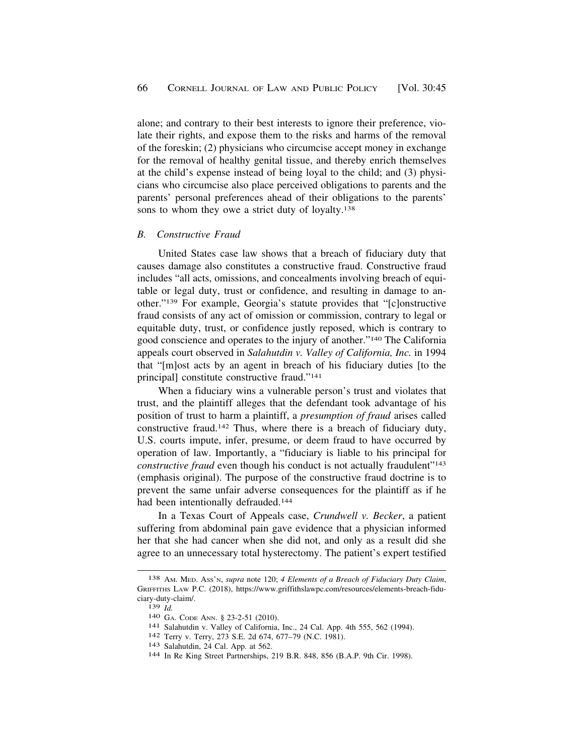<span id="page-21-0"></span>alone; and contrary to their best interests to ignore their preference, violate their rights, and expose them to the risks and harms of the removal of the foreskin; (2) physicians who circumcise accept money in exchange for the removal of healthy genital tissue, and thereby enrich themselves at the child's expense instead of being loyal to the child; and (3) physicians who circumcise also place perceived obligations to parents and the parents' personal preferences ahead of their obligations to the parents' sons to whom they owe a strict duty of loyalty.<sup>138</sup>

### *B. Constructive Fraud*

United States case law shows that a breach of fiduciary duty that causes damage also constitutes a constructive fraud. Constructive fraud includes "all acts, omissions, and concealments involving breach of equitable or legal duty, trust or confidence, and resulting in damage to another."139 For example, Georgia's statute provides that "[c]onstructive fraud consists of any act of omission or commission, contrary to legal or equitable duty, trust, or confidence justly reposed, which is contrary to good conscience and operates to the injury of another."140 The California appeals court observed in *Salahutdin v. Valley of California, Inc.* in 1994 that "[m]ost acts by an agent in breach of his fiduciary duties [to the principal] constitute constructive fraud."141

When a fiduciary wins a vulnerable person's trust and violates that trust, and the plaintiff alleges that the defendant took advantage of his position of trust to harm a plaintiff, a *presumption of fraud* arises called constructive fraud.142 Thus, where there is a breach of fiduciary duty, U.S. courts impute, infer, presume, or deem fraud to have occurred by operation of law. Importantly, a "fiduciary is liable to his principal for *constructive fraud* even though his conduct is not actually fraudulent"<sup>143</sup> (emphasis original). The purpose of the constructive fraud doctrine is to prevent the same unfair adverse consequences for the plaintiff as if he had been intentionally defrauded.<sup>144</sup>

In a Texas Court of Appeals case, *Crundwell v. Becker*, a patient suffering from abdominal pain gave evidence that a physician informed her that she had cancer when she did not, and only as a result did she agree to an unnecessary total hysterectomy. The patient's expert testified

<sup>138</sup> AM. MED. ASS'N, *supra* note 120; *4 Elements of a Breach of Fiduciary Duty Claim*, GRIFFITHS LAW P.C. (2018), <https://www.griffithslawpc.com/resources/elements-breach-fidu>ciary-duty-claim/.

<sup>139</sup> *Id.*<br>
140 GA. Code Ann. § 23-2-51 (2010).<br>
141 Salahutdin v. Valley of California, Inc., 24 Cal. App. 4th 555, 562 (1994).<br>
142 Terry v. Terry, 273 S.E. 2d 674, 677–79 (N.C. 1981).<br>
143 Salahutdin, 24 Cal. App. at 562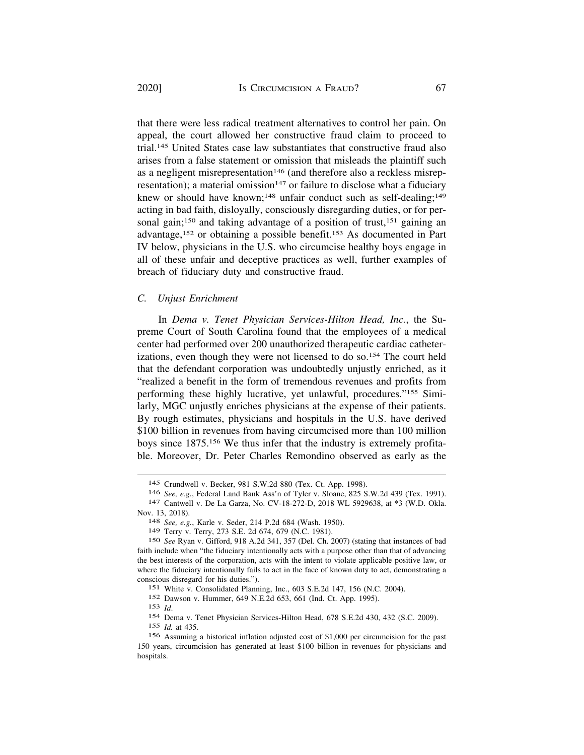that there were less radical treatment alternatives to control her pain. On appeal, the court allowed her constructive fraud claim to proceed to trial.145 United States case law substantiates that constructive fraud also arises from a false statement or omission that misleads the plaintiff such as a negligent misrepresentation<sup>146</sup> (and therefore also a reckless misrepresentation); a material omission<sup>147</sup> or failure to disclose what a fiduciary knew or should have known;<sup>148</sup> unfair conduct such as self-dealing;<sup>149</sup> acting in bad faith, disloyally, consciously disregarding duties, or for personal gain;<sup>150</sup> and taking advantage of a position of trust,<sup>151</sup> gaining an advantage,152 or obtaining a possible benefit.153 As documented in Part IV below, physicians in the U.S. who circumcise healthy boys engage in all of these unfair and deceptive practices as well, further examples of breach of fiduciary duty and constructive fraud.

### *C. Unjust Enrichment*

In *Dema v. Tenet Physician Services-Hilton Head, Inc.*, the Supreme Court of South Carolina found that the employees of a medical center had performed over 200 unauthorized therapeutic cardiac catheterizations, even though they were not licensed to do so.<sup>154</sup> The court held that the defendant corporation was undoubtedly unjustly enriched, as it "realized a benefit in the form of tremendous revenues and profits from performing these highly lucrative, yet unlawful, procedures."155 Similarly, MGC unjustly enriches physicians at the expense of their patients. By rough estimates, physicians and hospitals in the U.S. have derived \$100 billion in revenues from having circumcised more than 100 million boys since 1875.156 We thus infer that the industry is extremely profitable. Moreover, Dr. Peter Charles Remondino observed as early as the

<sup>145</sup> Crundwell v. Becker, 981 S.W.2d 880 (Tex. Ct. App. 1998).

<sup>146</sup>*See, e.g.*, Federal Land Bank Ass'n of Tyler v. Sloane, 825 S.W.2d 439 (Tex. 1991). 147 Cantwell v. De La Garza, No. CV-18-272-D, 2018 WL 5929638, at \*3 (W.D. Okla.

Nov. 13, 2018). 148 *See, e.g.*, Karle v. Seder, 214 P.2d 684 (Wash. 1950).

<sup>149</sup> Terry v. Terry, 273 S.E. 2d 674, 679 (N.C. 1981).

<sup>150</sup> *See* Ryan v. Gifford, 918 A.2d 341, 357 (Del. Ch. 2007) (stating that instances of bad faith include when "the fiduciary intentionally acts with a purpose other than that of advancing the best interests of the corporation, acts with the intent to violate applicable positive law, or where the fiduciary intentionally fails to act in the face of known duty to act, demonstrating a conscious disregard for his duties.").

<sup>151</sup> White v. Consolidated Planning, Inc., 603 S.E.2d 147, 156 (N.C. 2004).

<sup>152</sup> Dawson v. Hummer, 649 N.E.2d 653, 661 (Ind. Ct. App. 1995).

<sup>153</sup>*Id*. 154 Dema v. Tenet Physician Services-Hilton Head, 678 S.E.2d 430, 432 (S.C. 2009).

<sup>155</sup> *Id.* at 435.

<sup>156</sup> Assuming a historical inflation adjusted cost of \$1,000 per circumcision for the past 150 years, circumcision has generated at least \$100 billion in revenues for physicians and hospitals.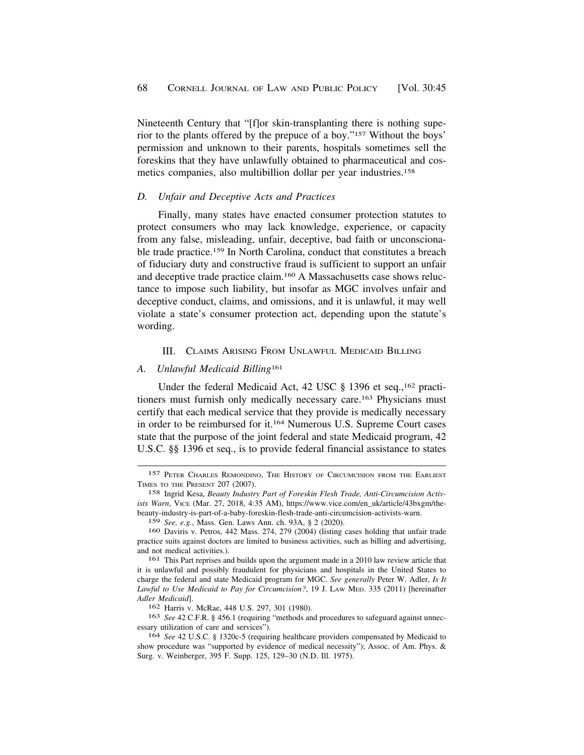<span id="page-23-0"></span>Nineteenth Century that "[f]or skin-transplanting there is nothing superior to the plants offered by the prepuce of a boy."157 Without the boys' permission and unknown to their parents, hospitals sometimes sell the foreskins that they have unlawfully obtained to pharmaceutical and cosmetics companies, also multibillion dollar per year industries.158

### *D. Unfair and Deceptive Acts and Practices*

Finally, many states have enacted consumer protection statutes to protect consumers who may lack knowledge, experience, or capacity from any false, misleading, unfair, deceptive, bad faith or unconscionable trade practice.159 In North Carolina, conduct that constitutes a breach of fiduciary duty and constructive fraud is sufficient to support an unfair and deceptive trade practice claim.160 A Massachusetts case shows reluctance to impose such liability, but insofar as MGC involves unfair and deceptive conduct, claims, and omissions, and it is unlawful, it may well violate a state's consumer protection act, depending upon the statute's wording.

#### III. CLAIMS ARISING FROM UNLAWFUL MEDICAID BILLING

#### *A. Unlawful Medicaid Billing*<sup>161</sup>

Under the federal Medicaid Act, 42 USC § 1396 et seq.,<sup>162</sup> practitioners must furnish only medically necessary care.<sup>163</sup> Physicians must certify that each medical service that they provide is medically necessary in order to be reimbursed for it.164 Numerous U.S. Supreme Court cases state that the purpose of the joint federal and state Medicaid program, 42 U.S.C. §§ 1396 et seq., is to provide federal financial assistance to states

<sup>157</sup> PETER CHARLES REMONDINO, THE HISTORY OF CIRCUMCISION FROM THE EARLIEST TIMES TO THE PRESENT 207 (2007).

<sup>158</sup> Ingrid Kesa, *Beauty Industry Part of Foreskin Flesh Trade, Anti-Circumcision Activists Warn*, VICE (Mar. 27, 2018, 4:35 AM), [https://www.vice.com/en\\_uk/article/43bxgm/the](https://www.vice.com/en_uk/article/43bxgm/the)beauty-industry-is-part-of-a-baby-foreskin-flesh-trade-anti-circumcision-activists-warn.

<sup>159</sup> *See, e.g.*, Mass. Gen. Laws Ann. ch. 93A, § 2 (2020).

<sup>160</sup> Daviris v. Petros, 442 Mass. 274, 279 (2004) (listing cases holding that unfair trade practice suits against doctors are limited to business activities, such as billing and advertising, and not medical activities.).

<sup>161</sup> This Part reprises and builds upon the argument made in a 2010 law review article that it is unlawful and possibly fraudulent for physicians and hospitals in the United States to charge the federal and state Medicaid program for MGC. *See generally* Peter W. Adler, *Is It Lawful to Use Medicaid to Pay for Circumcision?*, 19 J. LAW MED. 335 (2011) [hereinafter *Adler Medicaid*].

<sup>162</sup> Harris v. McRae, 448 U.S. 297, 301 (1980).

<sup>163</sup> *See* 42 C.F.R. § 456.1 (requiring "methods and procedures to safeguard against unnecessary utilization of care and services").

<sup>164</sup> *See* 42 U.S.C. § 1320c-5 (requiring healthcare providers compensated by Medicaid to show procedure was "supported by evidence of medical necessity"); Assoc. of Am. Phys. & Surg. v. Weinberger, 395 F. Supp. 125, 129–30 (N.D. Ill. 1975).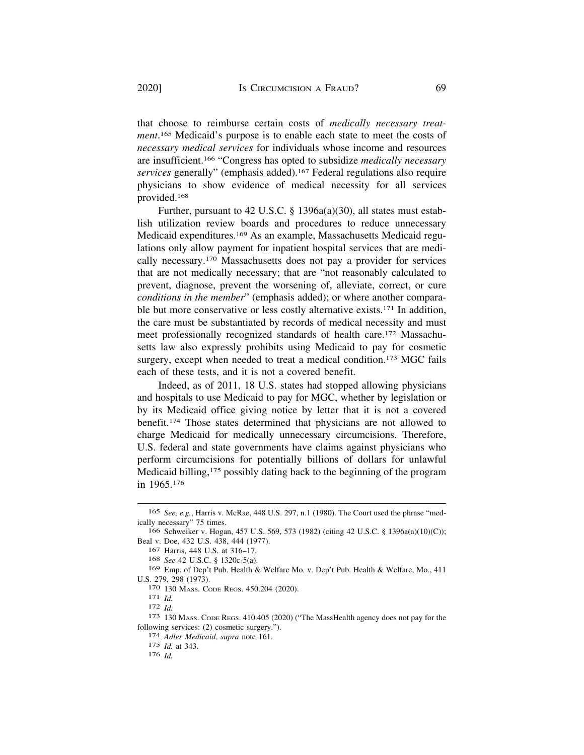that choose to reimburse certain costs of *medically necessary treatment*. 165 Medicaid's purpose is to enable each state to meet the costs of *necessary medical services* for individuals whose income and resources are insufficient.166 "Congress has opted to subsidize *medically necessary services* generally" (emphasis added).167 Federal regulations also require physicians to show evidence of medical necessity for all services provided.168

Further, pursuant to 42 U.S.C. § 1396a(a)(30), all states must establish utilization review boards and procedures to reduce unnecessary Medicaid expenditures.169 As an example, Massachusetts Medicaid regulations only allow payment for inpatient hospital services that are medically necessary.170 Massachusetts does not pay a provider for services that are not medically necessary; that are "not reasonably calculated to prevent, diagnose, prevent the worsening of, alleviate, correct, or cure *conditions in the member*" (emphasis added); or where another comparable but more conservative or less costly alternative exists.171 In addition, the care must be substantiated by records of medical necessity and must meet professionally recognized standards of health care.172 Massachusetts law also expressly prohibits using Medicaid to pay for cosmetic surgery, except when needed to treat a medical condition.<sup>173</sup> MGC fails each of these tests, and it is not a covered benefit.

Indeed, as of 2011, 18 U.S. states had stopped allowing physicians and hospitals to use Medicaid to pay for MGC, whether by legislation or by its Medicaid office giving notice by letter that it is not a covered benefit.174 Those states determined that physicians are not allowed to charge Medicaid for medically unnecessary circumcisions. Therefore, U.S. federal and state governments have claims against physicians who perform circumcisions for potentially billions of dollars for unlawful Medicaid billing,<sup>175</sup> possibly dating back to the beginning of the program in 1965.176

<sup>165</sup> *See, e.g.*, Harris v. McRae, 448 U.S. 297, n.1 (1980). The Court used the phrase "medically necessary" 75 times.

<sup>166</sup> Schweiker v. Hogan, 457 U.S. 569, 573 (1982) (citing 42 U.S.C. § 1396a(a)(10)(C)); Beal v. Doe, 432 U.S. 438, 444 (1977).

<sup>167</sup> Harris, 448 U.S. at 316–17.

<sup>168</sup> *See* 42 U.S.C. § 1320c-5(a).

<sup>169</sup> Emp. of Dep't Pub. Health & Welfare Mo. v. Dep't Pub. Health & Welfare, Mo., 411 U.S. 279, 298 (1973).<br>
<sup>170</sup> 130 Mass. Code Regs. 450.204 (2020).<br>
<sup>171</sup> *Id.*<br>
<sup>172</sup> *Id.*<br>
<sup>173</sup> 130 Mass. Code Regs. 410.405 (2020) ("The MassHealth agency does not pay for the

following services: (2) cosmetic surgery."). 174 *Adler Medicaid*, *supra* note 161.

<sup>175</sup> *Id.* at 343.

<sup>176</sup> *Id.*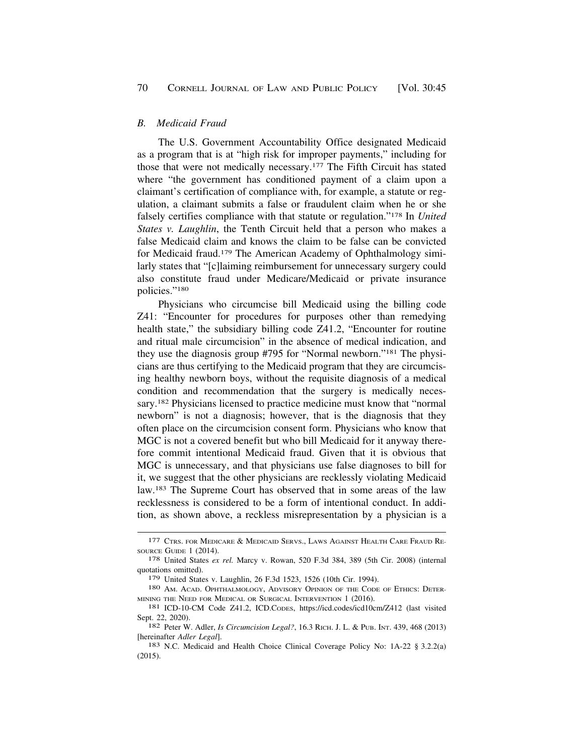### <span id="page-25-0"></span>*B. Medicaid Fraud*

The U.S. Government Accountability Office designated Medicaid as a program that is at "high risk for improper payments," including for those that were not medically necessary.177 The Fifth Circuit has stated where "the government has conditioned payment of a claim upon a claimant's certification of compliance with, for example, a statute or regulation, a claimant submits a false or fraudulent claim when he or she falsely certifies compliance with that statute or regulation."178 In *United States v. Laughlin*, the Tenth Circuit held that a person who makes a false Medicaid claim and knows the claim to be false can be convicted for Medicaid fraud.179 The American Academy of Ophthalmology similarly states that "[c]laiming reimbursement for unnecessary surgery could also constitute fraud under Medicare/Medicaid or private insurance policies."180

Physicians who circumcise bill Medicaid using the billing code Z41: "Encounter for procedures for purposes other than remedying health state," the subsidiary billing code Z41.2, "Encounter for routine and ritual male circumcision" in the absence of medical indication, and they use the diagnosis group #795 for "Normal newborn."181 The physicians are thus certifying to the Medicaid program that they are circumcising healthy newborn boys, without the requisite diagnosis of a medical condition and recommendation that the surgery is medically necessary.182 Physicians licensed to practice medicine must know that "normal newborn" is not a diagnosis; however, that is the diagnosis that they often place on the circumcision consent form. Physicians who know that MGC is not a covered benefit but who bill Medicaid for it anyway therefore commit intentional Medicaid fraud. Given that it is obvious that MGC is unnecessary, and that physicians use false diagnoses to bill for it, we suggest that the other physicians are recklessly violating Medicaid law.183 The Supreme Court has observed that in some areas of the law recklessness is considered to be a form of intentional conduct. In addition, as shown above, a reckless misrepresentation by a physician is a

<sup>177</sup> CTRS. FOR MEDICARE & MEDICAID SERVS., LAWS AGAINST HEALTH CARE FRAUD RE-SOURCE GUIDE 1 (2014). 178 United States *ex rel.* Marcy v. Rowan, 520 F.3d 384, 389 (5th Cir. 2008) (internal

quotations omitted).

<sup>179</sup> United States v. Laughlin, 26 F.3d 1523, 1526 (10th Cir. 1994).<br>180 Am. Acad. Ophthalmology, Advisory Opinion of the Code of Ethics: Deter-

MINING THE NEED FOR MEDICAL OR SURGICAL INTERVENTION 1 (2016).<br><sup>181</sup> ICD-10-CM Code Z41.2, ICD.CODES, <https://icd.codes/icd10cm/Z412>(last visited

Sept. 22, 2020). 182 Peter W. Adler, *Is Circumcision Legal?*, 16.3 RICH. J. L. & PUB. INT. 439, 468 (2013)

<sup>[</sup>hereinafter *Adler Legal*]. 183 N.C. Medicaid and Health Choice Clinical Coverage Policy No: 1A-22 § 3.2.2(a)

<sup>(2015).</sup>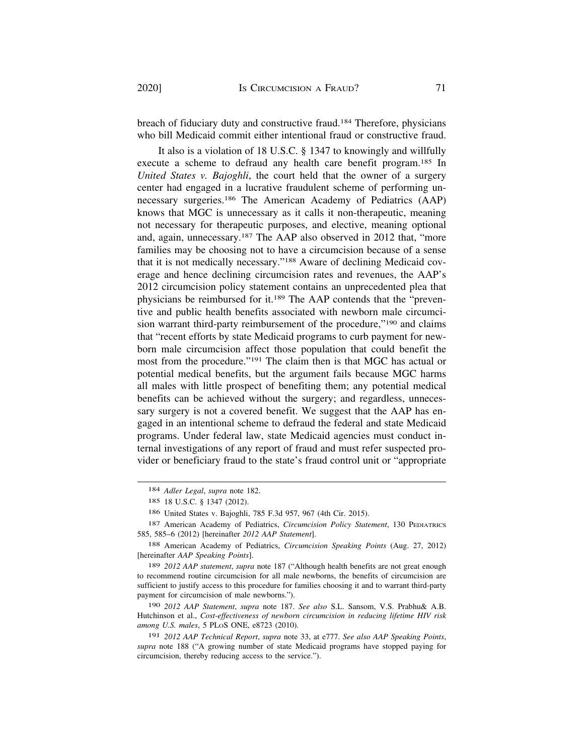breach of fiduciary duty and constructive fraud.184 Therefore, physicians who bill Medicaid commit either intentional fraud or constructive fraud.

It also is a violation of 18 U.S.C. § 1347 to knowingly and willfully execute a scheme to defraud any health care benefit program.185 In *United States v. Bajoghli*, the court held that the owner of a surgery center had engaged in a lucrative fraudulent scheme of performing unnecessary surgeries.186 The American Academy of Pediatrics (AAP) knows that MGC is unnecessary as it calls it non-therapeutic, meaning not necessary for therapeutic purposes, and elective, meaning optional and, again, unnecessary.187 The AAP also observed in 2012 that, "more families may be choosing not to have a circumcision because of a sense that it is not medically necessary."188 Aware of declining Medicaid coverage and hence declining circumcision rates and revenues, the AAP's 2012 circumcision policy statement contains an unprecedented plea that physicians be reimbursed for it.189 The AAP contends that the "preventive and public health benefits associated with newborn male circumcision warrant third-party reimbursement of the procedure,"190 and claims that "recent efforts by state Medicaid programs to curb payment for newborn male circumcision affect those population that could benefit the most from the procedure."191 The claim then is that MGC has actual or potential medical benefits, but the argument fails because MGC harms all males with little prospect of benefiting them; any potential medical benefits can be achieved without the surgery; and regardless, unnecessary surgery is not a covered benefit. We suggest that the AAP has engaged in an intentional scheme to defraud the federal and state Medicaid programs. Under federal law, state Medicaid agencies must conduct internal investigations of any report of fraud and must refer suspected provider or beneficiary fraud to the state's fraud control unit or "appropriate

189 *2012 AAP statement*, *supra* note 187 ("Although health benefits are not great enough to recommend routine circumcision for all male newborns, the benefits of circumcision are sufficient to justify access to this procedure for families choosing it and to warrant third-party payment for circumcision of male newborns.").

190 *2012 AAP Statement*, *supra* note 187. *See also* S.L. Sansom, V.S. Prabhu& A.B. Hutchinson et al., *Cost-effectiveness of newborn circumcision in reducing lifetime HIV risk among U.S. males*, 5 PLOS ONE, e8723 (2010).

191 *2012 AAP Technical Report*, *supra* note 33, at e777. *See also AAP Speaking Points*, *supra* note 188 ("A growing number of state Medicaid programs have stopped paying for circumcision, thereby reducing access to the service.").

<sup>184</sup> *Adler Legal*, *supra* note 182.

<sup>185 18</sup> U.S.C. § 1347 (2012).

<sup>186</sup> United States v. Bajoghli, 785 F.3d 957, 967 (4th Cir. 2015).

<sup>187</sup> American Academy of Pediatrics, *Circumcision Policy Statement*, 130 PEDIATRICS 585, 585–6 (2012) [hereinafter *2012 AAP Statement*].

<sup>188</sup> American Academy of Pediatrics, *Circumcision Speaking Points* (Aug. 27, 2012) [hereinafter *AAP Speaking Points*].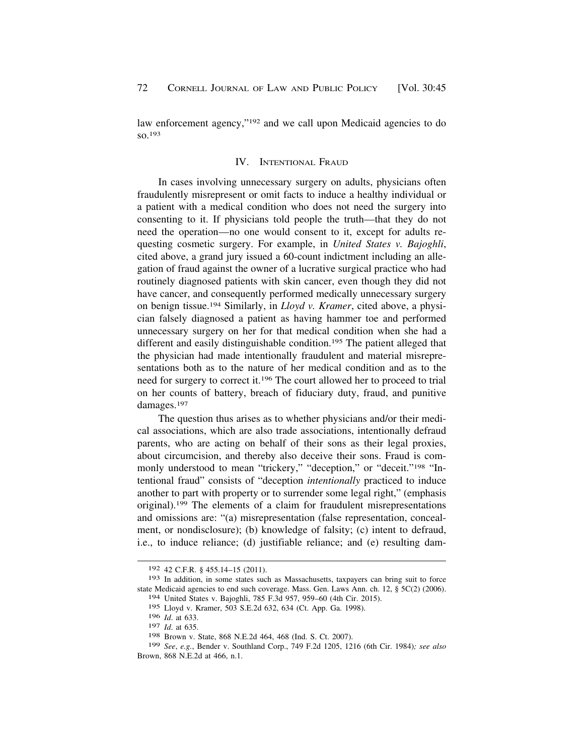<span id="page-27-0"></span>law enforcement agency,"<sup>192</sup> and we call upon Medicaid agencies to do so.193

#### IV. INTENTIONAL FRAUD

In cases involving unnecessary surgery on adults, physicians often fraudulently misrepresent or omit facts to induce a healthy individual or a patient with a medical condition who does not need the surgery into consenting to it. If physicians told people the truth—that they do not need the operation—no one would consent to it, except for adults requesting cosmetic surgery. For example, in *United States v. Bajoghli*, cited above, a grand jury issued a 60-count indictment including an allegation of fraud against the owner of a lucrative surgical practice who had routinely diagnosed patients with skin cancer, even though they did not have cancer, and consequently performed medically unnecessary surgery on benign tissue.194 Similarly, in *Lloyd v. Kramer*, cited above, a physician falsely diagnosed a patient as having hammer toe and performed unnecessary surgery on her for that medical condition when she had a different and easily distinguishable condition.<sup>195</sup> The patient alleged that the physician had made intentionally fraudulent and material misrepresentations both as to the nature of her medical condition and as to the need for surgery to correct it.196 The court allowed her to proceed to trial on her counts of battery, breach of fiduciary duty, fraud, and punitive damages.197

The question thus arises as to whether physicians and/or their medical associations, which are also trade associations, intentionally defraud parents, who are acting on behalf of their sons as their legal proxies, about circumcision, and thereby also deceive their sons. Fraud is commonly understood to mean "trickery," "deception," or "deceit."<sup>198</sup> "Intentional fraud" consists of "deception *intentionally* practiced to induce another to part with property or to surrender some legal right," (emphasis original).199 The elements of a claim for fraudulent misrepresentations and omissions are: "(a) misrepresentation (false representation, concealment, or nondisclosure); (b) knowledge of falsity; (c) intent to defraud, i.e., to induce reliance; (d) justifiable reliance; and (e) resulting dam-

<sup>192 42</sup> C.F.R. § 455.14–15 (2011).

<sup>193</sup> In addition, in some states such as Massachusetts, taxpayers can bring suit to force state Medicaid agencies to end such coverage. Mass. Gen. Laws Ann. ch. 12, § 5C(2) (2006).

<sup>194</sup> United States v. Bajoghli, 785 F.3d 957, 959–60 (4th Cir. 2015).

<sup>195</sup> Lloyd v. Kramer, 503 S.E.2d 632, 634 (Ct. App. Ga. 1998).

<sup>196</sup> *Id*. at 633.

<sup>197</sup> *Id*. at 635.

<sup>198</sup> Brown v. State, 868 N.E.2d 464, 468 (Ind. S. Ct. 2007).

<sup>199</sup> *See*, *e.g.*, Bender v. Southland Corp., 749 F.2d 1205, 1216 (6th Cir. 1984)*; see also*  Brown, 868 N.E.2d at 466, n.1.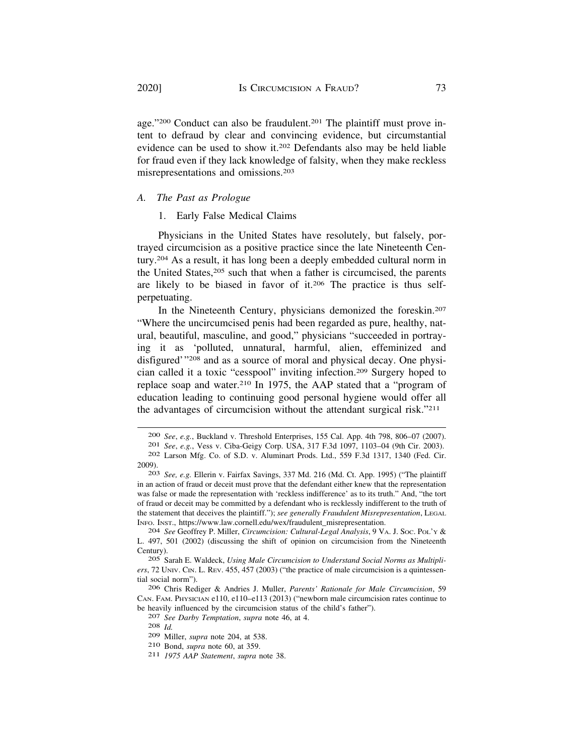age."<sup>200</sup> Conduct can also be fraudulent.<sup>201</sup> The plaintiff must prove intent to defraud by clear and convincing evidence, but circumstantial evidence can be used to show it.202 Defendants also may be held liable for fraud even if they lack knowledge of falsity, when they make reckless misrepresentations and omissions.203

# *A. The Past as Prologue*

# 1. Early False Medical Claims

Physicians in the United States have resolutely, but falsely, portrayed circumcision as a positive practice since the late Nineteenth Century.204 As a result, it has long been a deeply embedded cultural norm in the United States,205 such that when a father is circumcised, the parents are likely to be biased in favor of it.206 The practice is thus selfperpetuating.

In the Nineteenth Century, physicians demonized the foreskin.207 "Where the uncircumcised penis had been regarded as pure, healthy, natural, beautiful, masculine, and good," physicians "succeeded in portraying it as 'polluted, unnatural, harmful, alien, effeminized and disfigured'"208 and as a source of moral and physical decay. One physician called it a toxic "cesspool" inviting infection.209 Surgery hoped to replace soap and water.210 In 1975, the AAP stated that a "program of education leading to continuing good personal hygiene would offer all the advantages of circumcision without the attendant surgical risk."211

<sup>200</sup> See, e.g., Buckland v. Threshold Enterprises, 155 Cal. App. 4th 798, 806–07 (2007). 201 See, e.g., Vess v. Ciba-Geigy Corp. USA, 317 F.3d 1097, 1103–04 (9th Cir. 2003). 202 Larson Mfg. Co. of S.D. v. Aluminart Prods. L

<sup>2009). 203</sup> *See, e.g.* Ellerin v. Fairfax Savings, 337 Md. 216 (Md. Ct. App. 1995) ("The plaintiff

in an action of fraud or deceit must prove that the defendant either knew that the representation was false or made the representation with 'reckless indifference' as to its truth." And, "the tort of fraud or deceit may be committed by a defendant who is recklessly indifferent to the truth of the statement that deceives the plaintiff."); *see generally Fraudulent Misrepresentation*, LEGAL INFO. INST., [https://www.law.cornell.edu/wex/fraudulent\\_misrepresentation.](https://www.law.cornell.edu/wex/fraudulent_misrepresentation) 204 *See* Geoffrey P. Miller, *Circumcision: Cultural-Legal Analysis*, 9 VA. J. SOC. POL'Y &

L. 497, 501 (2002) (discussing the shift of opinion on circumcision from the Nineteenth Century).

<sup>205</sup> Sarah E. Waldeck, *Using Male Circumcision to Understand Social Norms as Multipliers*, 72 UNIV. CIN. L. REV. 455, 457 (2003) ("the practice of male circumcision is a quintessential social norm").

<sup>206</sup> Chris Rediger & Andries J. Muller, *Parents' Rationale for Male Circumcision*, 59 CAN. FAM. PHYSICIAN e110, e110–e113 (2013) ("newborn male circumcision rates continue to be heavily influenced by the circumcision status of the child's father"). 207 *See Darby Temptation*, *supra* note 46, at 4. 208 *Id.* 

<sup>209</sup> Miller, *supra* note 204, at 538. 210 Bond, *supra* note 60, at 359. 211 *1975 AAP Statement*, *supra* note 38.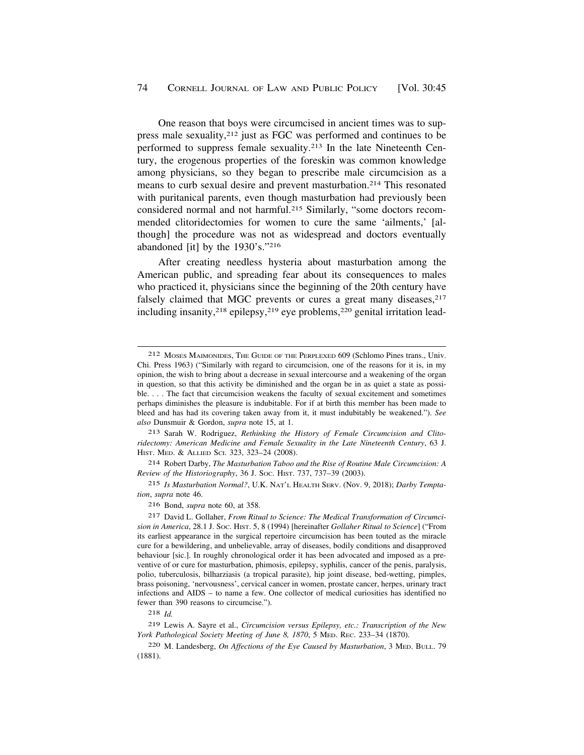One reason that boys were circumcised in ancient times was to suppress male sexuality,212 just as FGC was performed and continues to be performed to suppress female sexuality.213 In the late Nineteenth Century, the erogenous properties of the foreskin was common knowledge among physicians, so they began to prescribe male circumcision as a means to curb sexual desire and prevent masturbation.214 This resonated with puritanical parents, even though masturbation had previously been considered normal and not harmful.215 Similarly, "some doctors recommended clitoridectomies for women to cure the same 'ailments,' [although] the procedure was not as widespread and doctors eventually abandoned [it] by the 1930's."216

After creating needless hysteria about masturbation among the American public, and spreading fear about its consequences to males who practiced it, physicians since the beginning of the 20th century have falsely claimed that MGC prevents or cures a great many diseases, <sup>217</sup> including insanity,<sup>218</sup> epilepsy,<sup>219</sup> eye problems,<sup>220</sup> genital irritation lead-

213 Sarah W. Rodriguez, *Rethinking the History of Female Circumcision and Clitoridectomy: American Medicine and Female Sexuality in the Late Nineteenth Century*, 63 J. HIST. MED. & ALLIED SCI. 323, 323–24 (2008).

214 Robert Darby, *The Masturbation Taboo and the Rise of Routine Male Circumcision: A Review of the Historiography*, 36 J. SOC. HIST. 737, 737–39 (2003).

215 *Is Masturbation Normal?*, U.K. NAT'L HEALTH SERV. (Nov. 9, 2018); *Darby Temptation*, *supra* note 46.

216 Bond, *supra* note 60, at 358.

217 David L. Gollaher, *From Ritual to Science: The Medical Transformation of Circumcision in America*, 28.1 J. SOC. HIST. 5, 8 (1994) [hereinafter *Gollaher Ritual to Science*] ("From its earliest appearance in the surgical repertoire circumcision has been touted as the miracle cure for a bewildering, and unbelievable, array of diseases, bodily conditions and disapproved behaviour [sic.]. In roughly chronological order it has been advocated and imposed as a preventive of or cure for masturbation, phimosis, epilepsy, syphilis, cancer of the penis, paralysis, polio, tuberculosis, bilharziasis (a tropical parasite), hip joint disease, bed-wetting, pimples, brass poisoning, 'nervousness', cervical cancer in women, prostate cancer, herpes, urinary tract infections and AIDS – to name a few. One collector of medical curiosities has identified no fewer than 390 reasons to circumcise.").

218 *Id.* 

219 Lewis A. Sayre et al., *Circumcision versus Epilepsy, etc.: Transcription of the New York Pathological Society Meeting of June 8, 1870*, 5 MED. REC. 233–34 (1870).

220 M. Landesberg, *On Affections of the Eye Caused by Masturbation*, 3 MED. BULL. 79 (1881).

<sup>212</sup> MOSES MAIMONIDES, THE GUIDE OF THE PERPLEXED 609 (Schlomo Pines trans., Univ. Chi. Press 1963) ("Similarly with regard to circumcision, one of the reasons for it is, in my opinion, the wish to bring about a decrease in sexual intercourse and a weakening of the organ in question, so that this activity be diminished and the organ be in as quiet a state as possible. . . . The fact that circumcision weakens the faculty of sexual excitement and sometimes perhaps diminishes the pleasure is indubitable. For if at birth this member has been made to bleed and has had its covering taken away from it, it must indubitably be weakened."). *See also* Dunsmuir & Gordon, *supra* note 15, at 1.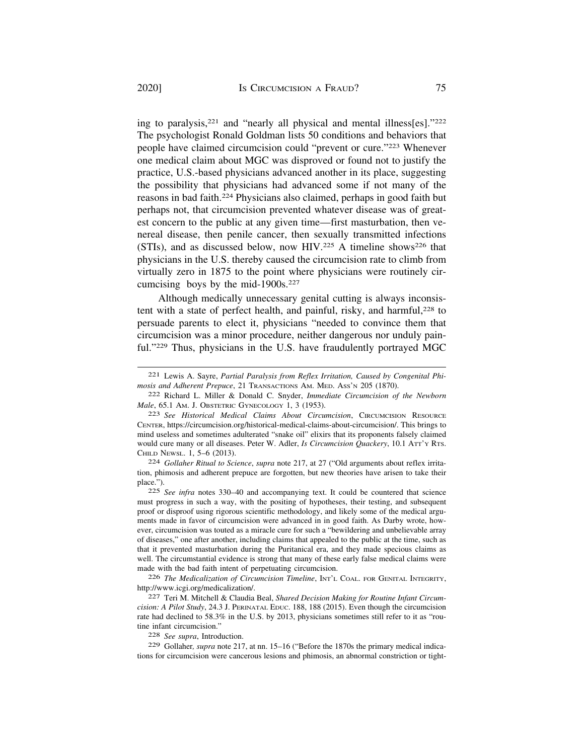ing to paralysis,221 and "nearly all physical and mental illness[es]."222 The psychologist Ronald Goldman lists 50 conditions and behaviors that people have claimed circumcision could "prevent or cure."223 Whenever one medical claim about MGC was disproved or found not to justify the practice, U.S.-based physicians advanced another in its place, suggesting the possibility that physicians had advanced some if not many of the reasons in bad faith.224 Physicians also claimed, perhaps in good faith but perhaps not, that circumcision prevented whatever disease was of greatest concern to the public at any given time—first masturbation, then venereal disease, then penile cancer, then sexually transmitted infections (STIs), and as discussed below, now HIV.<sup>225</sup> A timeline shows<sup>226</sup> that physicians in the U.S. thereby caused the circumcision rate to climb from virtually zero in 1875 to the point where physicians were routinely circumcising boys by the mid-1900s.<sup>227</sup>

Although medically unnecessary genital cutting is always inconsistent with a state of perfect health, and painful, risky, and harmful, $228$  to persuade parents to elect it, physicians "needed to convince them that circumcision was a minor procedure, neither dangerous nor unduly painful."229 Thus, physicians in the U.S. have fraudulently portrayed MGC

tion, phimosis and adherent prepuce are forgotten, but new theories have arisen to take their place.").

225 *See infra* notes 330–40 and accompanying text. It could be countered that science must progress in such a way, with the positing of hypotheses, their testing, and subsequent proof or disproof using rigorous scientific methodology, and likely some of the medical arguments made in favor of circumcision were advanced in in good faith. As Darby wrote, however, circumcision was touted as a miracle cure for such a "bewildering and unbelievable array of diseases," one after another, including claims that appealed to the public at the time, such as that it prevented masturbation during the Puritanical era, and they made specious claims as well. The circumstantial evidence is strong that many of these early false medical claims were made with the bad faith intent of perpetuating circumcision.

226 *The Medicalization of Circumcision Timeline*, INT'L COAL. FOR GENITAL INTEGRITY, [http://www.icgi.org/medicalization/](http://www.icgi.org/medicalization). 227 Teri M. Mitchell & Claudia Beal, *Shared Decision Making for Routine Infant Circum-*

*cision: A Pilot Study*, 24.3 J. PERINATAL EDUC. 188, 188 (2015). Even though the circumcision rate had declined to 58.3% in the U.S. by 2013, physicians sometimes still refer to it as "routine infant circumcision." 228 *See supra*, Introduction.

229 Gollaher*, supra* note 217, at nn. 15–16 ("Before the 1870s the primary medical indications for circumcision were cancerous lesions and phimosis, an abnormal constriction or tight-

<sup>221</sup> Lewis A. Sayre, *Partial Paralysis from Reflex Irritation, Caused by Congenital Phimosis and Adherent Prepuce*, 21 TRANSACTIONS AM. MED. ASS'N 205 (1870).

<sup>222</sup> Richard L. Miller & Donald C. Snyder, *Immediate Circumcision of the Newborn Male*, 65.1 AM. J. OBSTETRIC GYNECOLOGY 1, 3 (1953).

<sup>223</sup> *See Historical Medical Claims About Circumcision*, CIRCUMCISION RESOURCE CENTER, [https://circumcision.org/historical-medical-claims-about-circumcision/](https://circumcision.org/historical-medical-claims-about-circumcision). This brings to mind useless and sometimes adulterated "snake oil" elixirs that its proponents falsely claimed would cure many or all diseases. Peter W. Adler, *Is Circumcision Quackery*, 10.1 ATT'Y RTS. CHILD NEWSL. 1, 5–6 (2013). 224 *Gollaher Ritual to Science*, *supra* note 217, at 27 ("Old arguments about reflex irrita-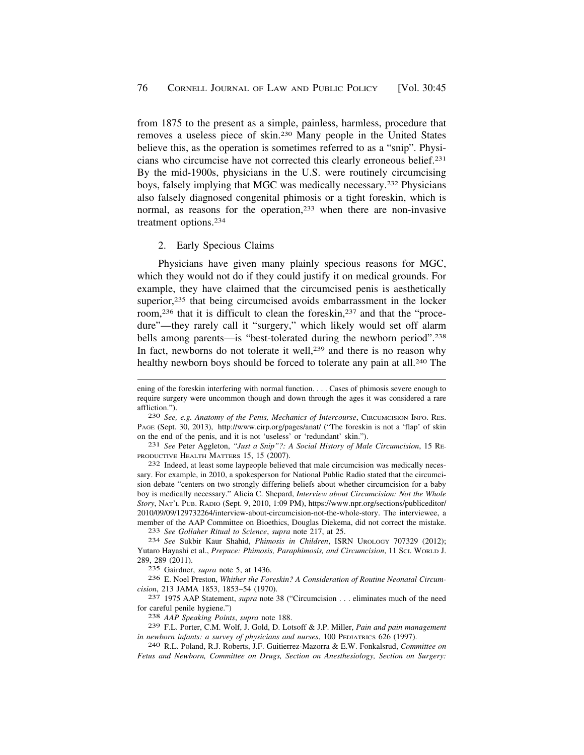<span id="page-31-0"></span>from 1875 to the present as a simple, painless, harmless, procedure that removes a useless piece of skin.230 Many people in the United States believe this, as the operation is sometimes referred to as a "snip". Physicians who circumcise have not corrected this clearly erroneous belief.231 By the mid-1900s, physicians in the U.S. were routinely circumcising boys, falsely implying that MGC was medically necessary.232 Physicians also falsely diagnosed congenital phimosis or a tight foreskin, which is normal, as reasons for the operation,<sup>233</sup> when there are non-invasive treatment options.234

#### 2. Early Specious Claims

Physicians have given many plainly specious reasons for MGC, which they would not do if they could justify it on medical grounds. For example, they have claimed that the circumcised penis is aesthetically superior,<sup>235</sup> that being circumcised avoids embarrassment in the locker room,236 that it is difficult to clean the foreskin,237 and that the "procedure"—they rarely call it "surgery," which likely would set off alarm bells among parents—is "best-tolerated during the newborn period".<sup>238</sup> In fact, newborns do not tolerate it well,<sup>239</sup> and there is no reason why healthy newborn boys should be forced to tolerate any pain at all.<sup>240</sup> The

sary. For example, in 2010, a spokesperson for National Public Radio stated that the circumcision debate "centers on two strongly differing beliefs about whether circumcision for a baby boy is medically necessary." Alicia C. Shepard, *Interview about Circumcision: Not the Whole Story*, NAT'L PUB. RADIO (Sept. 9, 2010, 1:09 PM), [https://www.npr.org/sections/publiceditor/](https://www.npr.org/sections/publiceditor) 2010/09/09/129732264/interview-about-circumcision-not-the-whole-story. The interviewee, a member of the AAP Committee on Bioethics, Douglas Diekema, did not correct the mistake.<br>
<sup>233</sup> See Gollaher Ritual to Science, supra note 217, at 25.<br>
<sup>234</sup> See Sukbir Kaur Shahid, *Phimosis in Children*, ISRN UROLOGY 7073

Yutaro Hayashi et al., *Prepuce: Phimosis, Paraphimosis, and Circumcision*, 11 SCI. WORLD J. 289, 289 (2011).

235 Gairdner, *supra* note 5, at 1436.

236 E. Noel Preston, *Whither the Foreskin? A Consideration of Routine Neonatal Circumcision*, 213 JAMA 1853, 1853–54 (1970). 237 1975 AAP Statement, *supra* note 38 ("Circumcision . . . eliminates much of the need

for careful penile hygiene.") 238 *AAP Speaking Points*, *supra* note 188.

239 F.L. Porter, C.M. Wolf, J. Gold, D. Lotsoff & J.P. Miller, *Pain and pain management in newborn infants: a survey of physicians and nurses*, 100 PEDIATRICS 626 (1997). 240 R.L. Poland, R.J. Roberts, J.F. Guitierrez-Mazorra & E.W. Fonkalsrud, *Committee on* 

*Fetus and Newborn, Committee on Drugs, Section on Anesthesiology, Section on Surgery:* 

ening of the foreskin interfering with normal function. . . . Cases of phimosis severe enough to require surgery were uncommon though and down through the ages it was considered a rare affliction."). 230 *See, e.g. Anatomy of the Penis, Mechanics of Intercourse*, CIRCUMCISION INFO. RES.

PAGE (Sept. 30, 2013), <http://www.cirp.org/pages/anat>/ ("The foreskin is not a 'flap' of skin on the end of the penis, and it is not 'useless' or 'redundant' skin."). 231 *See* Peter Aggleton, *"Just a Snip"?: A Social History of Male Circumcision*, 15 RE-

PRODUCTIVE HEALTH MATTERS 15, 15 (2007).<br><sup>232</sup> Indeed, at least some laypeople believed that male circumcision was medically neces-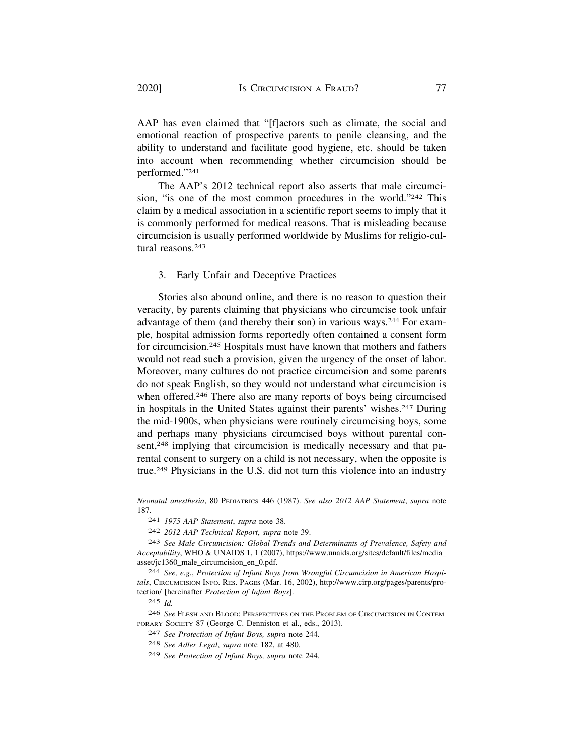AAP has even claimed that "[f]actors such as climate, the social and emotional reaction of prospective parents to penile cleansing, and the ability to understand and facilitate good hygiene, etc. should be taken into account when recommending whether circumcision should be performed."241

The AAP's 2012 technical report also asserts that male circumcision, "is one of the most common procedures in the world."242 This claim by a medical association in a scientific report seems to imply that it is commonly performed for medical reasons. That is misleading because circumcision is usually performed worldwide by Muslims for religio-cultural reasons.<sup>243</sup>

# 3. Early Unfair and Deceptive Practices

Stories also abound online, and there is no reason to question their veracity, by parents claiming that physicians who circumcise took unfair advantage of them (and thereby their son) in various ways.244 For example, hospital admission forms reportedly often contained a consent form for circumcision.245 Hospitals must have known that mothers and fathers would not read such a provision, given the urgency of the onset of labor. Moreover, many cultures do not practice circumcision and some parents do not speak English, so they would not understand what circumcision is when offered.<sup>246</sup> There also are many reports of boys being circumcised in hospitals in the United States against their parents' wishes.247 During the mid-1900s, when physicians were routinely circumcising boys, some and perhaps many physicians circumcised boys without parental consent,<sup>248</sup> implying that circumcision is medically necessary and that parental consent to surgery on a child is not necessary, when the opposite is true.249 Physicians in the U.S. did not turn this violence into an industry

*Neonatal anesthesia*, 80 PEDIATRICS 446 (1987). *See also 2012 AAP Statement*, *supra* note 187.

<sup>241</sup> *1975 AAP Statement*, *supra* note 38.

<sup>242</sup> *2012 AAP Technical Report*, *supra* note 39.

<sup>243</sup> *See Male Circumcision: Global Trends and Determinants of Prevalence, Safety and Acceptability*, WHO & UNAIDS 1, 1 (2007), [https://www.unaids.org/sites/default/files/media\\_](https://www.unaids.org/sites/default/files/media) asset/jc1360\_male\_circumcision\_en\_0.pdf.

<sup>244</sup> *See, e.g.*, *Protection of Infant Boys from Wrongful Circumcision in American Hospitals*, CIRCUMCISION INFO. RES. PAGES (Mar. 16, 2002), <http://www.cirp.org/pages/parents/pro>tection/ [hereinafter *Protection of Infant Boys*].

<sup>245</sup> *Id.* 

<sup>246</sup> *See* FLESH AND BLOOD: PERSPECTIVES ON THE PROBLEM OF CIRCUMCISION IN CONTEM-PORARY SOCIETY 87 (George C. Denniston et al., eds., 2013).

<sup>247</sup> *See Protection of Infant Boys, supra* note 244.

<sup>248</sup> *See Adler Legal*, *supra* note 182, at 480.

<sup>249</sup> *See Protection of Infant Boys, supra* note 244.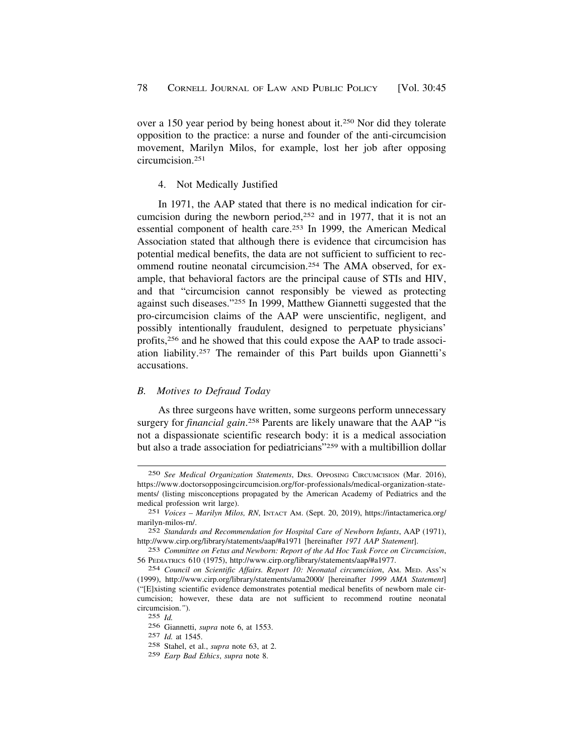<span id="page-33-0"></span>over a 150 year period by being honest about it.250 Nor did they tolerate opposition to the practice: a nurse and founder of the anti-circumcision movement, Marilyn Milos, for example, lost her job after opposing circumcision.251

### 4. Not Medically Justified

In 1971, the AAP stated that there is no medical indication for circumcision during the newborn period,252 and in 1977, that it is not an essential component of health care.253 In 1999, the American Medical Association stated that although there is evidence that circumcision has potential medical benefits, the data are not sufficient to sufficient to recommend routine neonatal circumcision.254 The AMA observed, for example, that behavioral factors are the principal cause of STIs and HIV, and that "circumcision cannot responsibly be viewed as protecting against such diseases."255 In 1999, Matthew Giannetti suggested that the pro-circumcision claims of the AAP were unscientific, negligent, and possibly intentionally fraudulent, designed to perpetuate physicians' profits,256 and he showed that this could expose the AAP to trade association liability.257 The remainder of this Part builds upon Giannetti's accusations.

### *B. Motives to Defraud Today*

As three surgeons have written, some surgeons perform unnecessary surgery for *financial gain*. 258 Parents are likely unaware that the AAP "is not a dispassionate scientific research body: it is a medical association but also a trade association for pediatricians"259 with a multibillion dollar

<sup>250</sup> *See Medical Organization Statements*, DRS. OPPOSING CIRCUMCISION (Mar. 2016), <https://www.doctorsopposingcircumcision.org/for-professionals/medical-organization-state>ments/ (listing misconceptions propagated by the American Academy of Pediatrics and the medical profession writ large).

<sup>251</sup> *Voices – Marilyn Milos, RN*, INTACT AM. (Sept. 20, 2019), [https://intactamerica.org/](https://intactamerica.org) marilyn-milos-rn/.

<sup>252</sup> *Standards and Recommendation for Hospital Care of Newborn Infants*, AAP (1971), <http://www.cirp.org/library/statements/aap/#a1971> [hereinafter *1971 AAP Statement*].

<sup>253</sup> *Committee on Fetus and Newborn: Report of the Ad Hoc Task Force on Circumcision*, 56 PEDIATRICS 610 (1975), [http://www.cirp.org/library/statements/aap/#a1977.](http://www.cirp.org/library/statements/aap/#a1977)

<sup>254</sup> *Council on Scientific Affairs. Report 10: Neonatal circumcision*, AM. MED. ASS'N (1999), [http://www.cirp.org/library/statements/ama2000/](http://www.cirp.org/library/statements/ama2000) [hereinafter *1999 AMA Statement*] ("[E]xisting scientific evidence demonstrates potential medical benefits of newborn male circumcision; however, these data are not sufficient to recommend routine neonatal circumcision.*"*).

<sup>255</sup> *Id.* 

<sup>256</sup> Giannetti, *supra* note 6, at 1553.

<sup>257</sup> *Id.* at 1545.

<sup>258</sup> Stahel, et al., *supra* note 63, at 2.

<sup>259</sup> *Earp Bad Ethics*, *supra* note 8.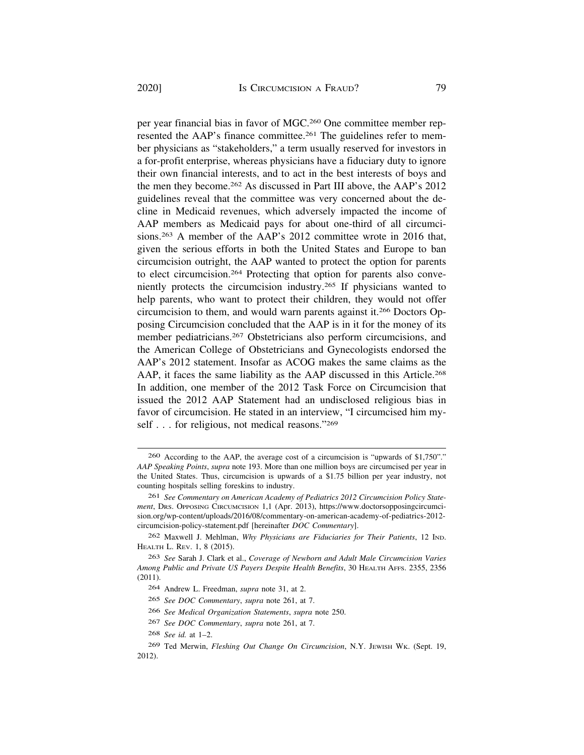per year financial bias in favor of MGC.260 One committee member represented the AAP's finance committee.<sup>261</sup> The guidelines refer to member physicians as "stakeholders," a term usually reserved for investors in a for-profit enterprise, whereas physicians have a fiduciary duty to ignore their own financial interests, and to act in the best interests of boys and the men they become.262 As discussed in Part III above, the AAP's 2012 guidelines reveal that the committee was very concerned about the decline in Medicaid revenues, which adversely impacted the income of AAP members as Medicaid pays for about one-third of all circumcisions.263 A member of the AAP's 2012 committee wrote in 2016 that, given the serious efforts in both the United States and Europe to ban circumcision outright, the AAP wanted to protect the option for parents to elect circumcision.264 Protecting that option for parents also conveniently protects the circumcision industry.265 If physicians wanted to help parents, who want to protect their children, they would not offer circumcision to them, and would warn parents against it.266 Doctors Opposing Circumcision concluded that the AAP is in it for the money of its member pediatricians.<sup>267</sup> Obstetricians also perform circumcisions, and the American College of Obstetricians and Gynecologists endorsed the AAP's 2012 statement. Insofar as ACOG makes the same claims as the AAP, it faces the same liability as the AAP discussed in this Article.268 In addition, one member of the 2012 Task Force on Circumcision that issued the 2012 AAP Statement had an undisclosed religious bias in favor of circumcision. He stated in an interview, "I circumcised him myself . . . for religious, not medical reasons."269

<sup>260</sup> According to the AAP, the average cost of a circumcision is "upwards of \$1,750"." *AAP Speaking Points*, *supra* note 193. More than one million boys are circumcised per year in the United States. Thus, circumcision is upwards of a \$1.75 billion per year industry, not counting hospitals selling foreskins to industry.

<sup>261</sup> *See Commentary on American Academy of Pediatrics 2012 Circumcision Policy Statement*, DRS. OPPOSING CIRCUMCISION 1,1 (Apr. 2013), <https://www.doctorsopposingcircumci>[sion.org/wp-content/uploads/2016/08/commentary-on-american-academy-of-pediatrics-2012](https://sion.org/wp-content/uploads/2016/08/commentary-on-american-academy-of-pediatrics-2012) circumcision-policy-statement.pdf [hereinafter *DOC Commentary*].

<sup>262</sup> Maxwell J. Mehlman, *Why Physicians are Fiduciaries for Their Patients*, 12 IND. HEALTH L. REV. 1, 8 (2015).

<sup>263</sup> *See* Sarah J. Clark et al., *Coverage of Newborn and Adult Male Circumcision Varies Among Public and Private US Payers Despite Health Benefits*, 30 HEALTH AFFS. 2355, 2356 (2011).

<sup>264</sup> Andrew L. Freedman, *supra* note 31, at 2.

<sup>265</sup> *See DOC Commentary*, *supra* note 261, at 7.

<sup>266</sup> *See Medical Organization Statements*, *supra* note 250.

<sup>267</sup> *See DOC Commentary*, *supra* note 261, at 7.

<sup>268</sup> *See id.* at 1–2.

<sup>269</sup> Ted Merwin, *Fleshing Out Change On Circumcision*, N.Y. JEWISH WK. (Sept. 19, 2012).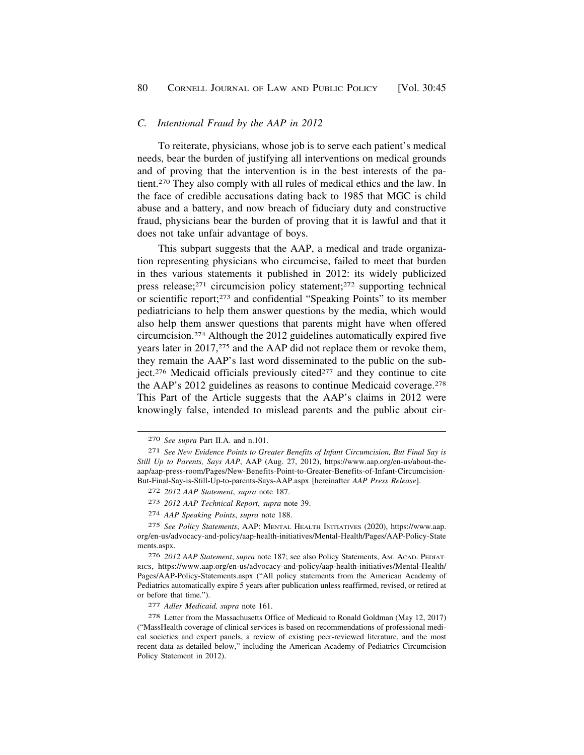#### <span id="page-35-0"></span>*C. Intentional Fraud by the AAP in 2012*

To reiterate, physicians, whose job is to serve each patient's medical needs, bear the burden of justifying all interventions on medical grounds and of proving that the intervention is in the best interests of the patient.270 They also comply with all rules of medical ethics and the law. In the face of credible accusations dating back to 1985 that MGC is child abuse and a battery, and now breach of fiduciary duty and constructive fraud, physicians bear the burden of proving that it is lawful and that it does not take unfair advantage of boys.

This subpart suggests that the AAP, a medical and trade organization representing physicians who circumcise, failed to meet that burden in thes various statements it published in 2012: its widely publicized press release;271 circumcision policy statement;272 supporting technical or scientific report;273 and confidential "Speaking Points" to its member pediatricians to help them answer questions by the media, which would also help them answer questions that parents might have when offered circumcision.274 Although the 2012 guidelines automatically expired five years later in 2017,275 and the AAP did not replace them or revoke them, they remain the AAP's last word disseminated to the public on the subject.<sup>276</sup> Medicaid officials previously cited<sup> $277$ </sup> and they continue to cite the AAP's 2012 guidelines as reasons to continue Medicaid coverage.278 This Part of the Article suggests that the AAP's claims in 2012 were knowingly false, intended to mislead parents and the public about cir-

277 *Adler Medicaid, supra* note 161.

278 Letter from the Massachusetts Office of Medicaid to Ronald Goldman (May 12, 2017) ("MassHealth coverage of clinical services is based on recommendations of professional medical societies and expert panels, a review of existing peer-reviewed literature, and the most recent data as detailed below," including the American Academy of Pediatrics Circumcision Policy Statement in 2012).

<sup>270</sup> *See supra* Part II.A. and n.101.

<sup>271</sup> *See New Evidence Points to Greater Benefits of Infant Circumcision, But Final Say is Still Up to Parents, Says AAP*, AAP (Aug. 27, 2012), <https://www.aap.org/en-us/about-the>aap/aap-press-room/Pages/New-Benefits-Point-to-Greater-Benefits-of-Infant-Circumcision-But-Final-Say-is-Still-Up-to-parents-Says-AAP.aspx [hereinafter *AAP Press Release*].

<sup>272</sup> *2012 AAP Statement*, *supra* note 187.

<sup>273</sup> *2012 AAP Technical Report*, *supra* note 39.

<sup>274</sup> *AAP Speaking Points*, *supra* note 188.

<sup>275</sup> *See Policy Statements*, AAP: MENTAL HEALTH INITIATIVES (2020), [https://www.aap.](https://www.aap) org/en-us/advocacy-and-policy/aap-health-initiatives/Mental-Health/Pages/AAP-Policy-State ments.aspx.

<sup>276</sup> *2012 AAP Statement*, *supra* note 187; see also Policy Statements, AM. ACAD. PEDIAT-RICS, <https://www.aap.org/en-us/advocacy-and-policy/aap-health-initiatives/Mental-Health>/ Pages/AAP-Policy-Statements.aspx ("All policy statements from the American Academy of Pediatrics automatically expire 5 years after publication unless reaffirmed, revised, or retired at or before that time.").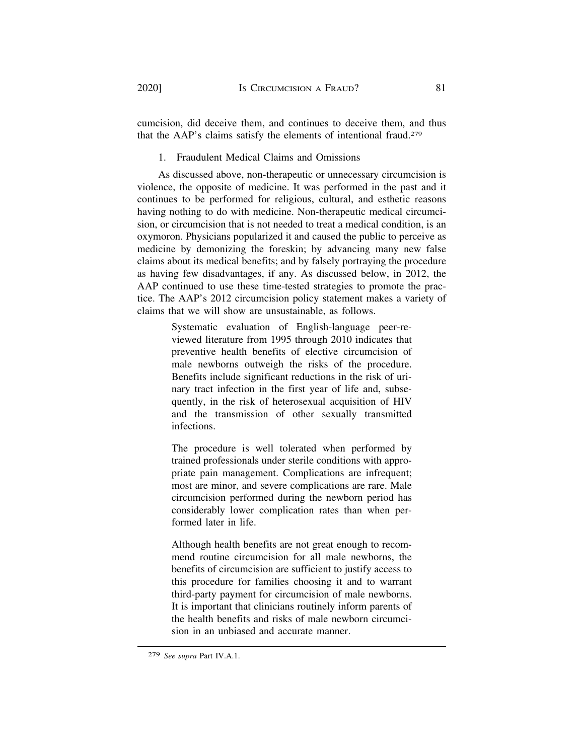cumcision, did deceive them, and continues to deceive them, and thus that the AAP's claims satisfy the elements of intentional fraud.279

1. Fraudulent Medical Claims and Omissions

As discussed above, non-therapeutic or unnecessary circumcision is violence, the opposite of medicine. It was performed in the past and it continues to be performed for religious, cultural, and esthetic reasons having nothing to do with medicine. Non-therapeutic medical circumcision, or circumcision that is not needed to treat a medical condition, is an oxymoron. Physicians popularized it and caused the public to perceive as medicine by demonizing the foreskin; by advancing many new false claims about its medical benefits; and by falsely portraying the procedure as having few disadvantages, if any. As discussed below, in 2012, the AAP continued to use these time-tested strategies to promote the practice. The AAP's 2012 circumcision policy statement makes a variety of claims that we will show are unsustainable, as follows.

> Systematic evaluation of English-language peer-reviewed literature from 1995 through 2010 indicates that preventive health benefits of elective circumcision of male newborns outweigh the risks of the procedure. Benefits include significant reductions in the risk of urinary tract infection in the first year of life and, subsequently, in the risk of heterosexual acquisition of HIV and the transmission of other sexually transmitted infections.

> The procedure is well tolerated when performed by trained professionals under sterile conditions with appropriate pain management. Complications are infrequent; most are minor, and severe complications are rare. Male circumcision performed during the newborn period has considerably lower complication rates than when performed later in life.

> Although health benefits are not great enough to recommend routine circumcision for all male newborns, the benefits of circumcision are sufficient to justify access to this procedure for families choosing it and to warrant third-party payment for circumcision of male newborns. It is important that clinicians routinely inform parents of the health benefits and risks of male newborn circumcision in an unbiased and accurate manner.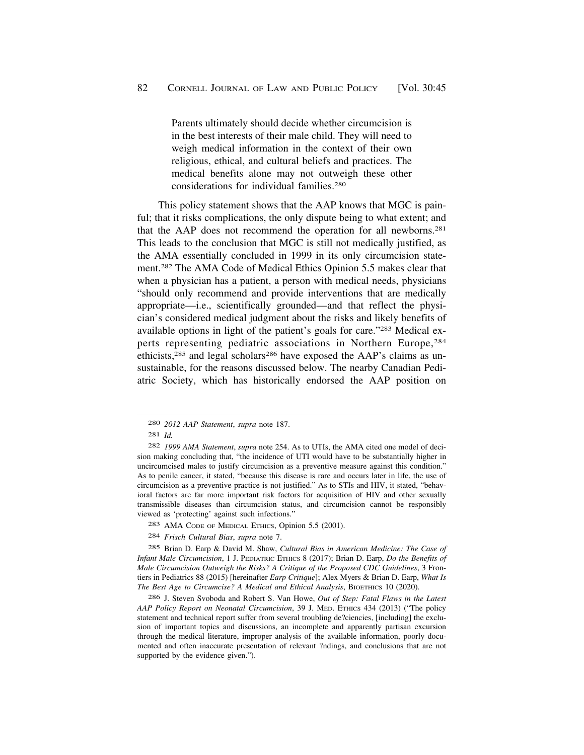Parents ultimately should decide whether circumcision is in the best interests of their male child. They will need to weigh medical information in the context of their own religious, ethical, and cultural beliefs and practices. The medical benefits alone may not outweigh these other considerations for individual families.280

This policy statement shows that the AAP knows that MGC is painful; that it risks complications, the only dispute being to what extent; and that the AAP does not recommend the operation for all newborns.281 This leads to the conclusion that MGC is still not medically justified, as the AMA essentially concluded in 1999 in its only circumcision statement.282 The AMA Code of Medical Ethics Opinion 5.5 makes clear that when a physician has a patient, a person with medical needs, physicians "should only recommend and provide interventions that are medically appropriate—i.e., scientifically grounded—and that reflect the physician's considered medical judgment about the risks and likely benefits of available options in light of the patient's goals for care."283 Medical experts representing pediatric associations in Northern Europe,284 ethicists,285 and legal scholars286 have exposed the AAP's claims as unsustainable, for the reasons discussed below. The nearby Canadian Pediatric Society, which has historically endorsed the AAP position on

- 283 AMA CODE OF MEDICAL ETHICS, Opinion 5.5 (2001).
- 284 *Frisch Cultural Bias*, *supra* note 7.

285 Brian D. Earp & David M. Shaw, *Cultural Bias in American Medicine: The Case of Infant Male Circumcision*, 1 J. PEDIATRIC ETHICS 8 (2017); Brian D. Earp, *Do the Benefits of Male Circumcision Outweigh the Risks? A Critique of the Proposed CDC Guidelines*, 3 Frontiers in Pediatrics 88 (2015) [hereinafter *Earp Critique*]; Alex Myers & Brian D. Earp, *What Is The Best Age to Circumcise? A Medical and Ethical Analysis*, BIOETHICS 10 (2020).

286 J. Steven Svoboda and Robert S. Van Howe, *Out of Step: Fatal Flaws in the Latest AAP Policy Report on Neonatal Circumcision*, 39 J. MED. ETHICS 434 (2013) ("The policy statement and technical report suffer from several troubling de?ciencies, [including] the exclusion of important topics and discussions, an incomplete and apparently partisan excursion through the medical literature, improper analysis of the available information, poorly documented and often inaccurate presentation of relevant ?ndings, and conclusions that are not supported by the evidence given.").

<sup>280</sup> *2012 AAP Statement*, *supra* note 187.

<sup>281</sup> *Id.* 

<sup>282</sup> *1999 AMA Statement*, *supra* note 254. As to UTIs, the AMA cited one model of decision making concluding that, "the incidence of UTI would have to be substantially higher in uncircumcised males to justify circumcision as a preventive measure against this condition." As to penile cancer, it stated, "because this disease is rare and occurs later in life, the use of circumcision as a preventive practice is not justified." As to STIs and HIV, it stated, "behavioral factors are far more important risk factors for acquisition of HIV and other sexually transmissible diseases than circumcision status, and circumcision cannot be responsibly viewed as 'protecting' against such infections."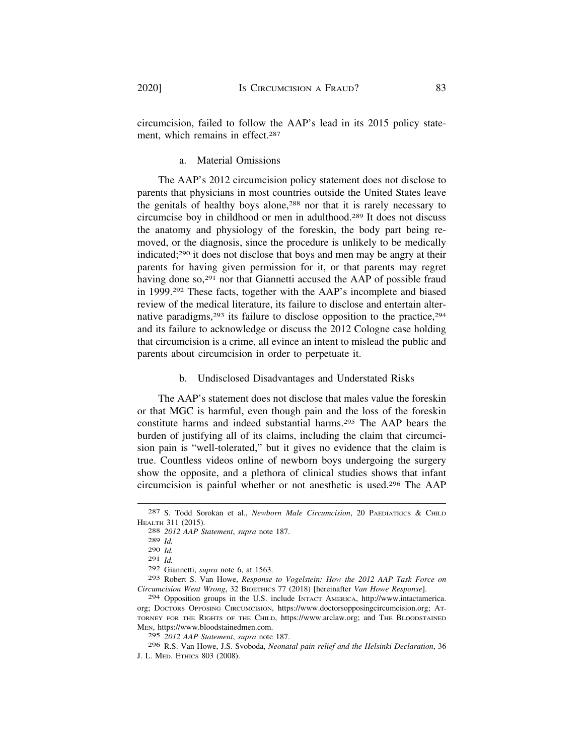circumcision, failed to follow the AAP's lead in its 2015 policy statement, which remains in effect.<sup>287</sup>

a. Material Omissions

The AAP's 2012 circumcision policy statement does not disclose to parents that physicians in most countries outside the United States leave the genitals of healthy boys alone,<sup>288</sup> nor that it is rarely necessary to circumcise boy in childhood or men in adulthood.289 It does not discuss the anatomy and physiology of the foreskin, the body part being removed, or the diagnosis, since the procedure is unlikely to be medically indicated;290 it does not disclose that boys and men may be angry at their parents for having given permission for it, or that parents may regret having done so,<sup>291</sup> nor that Giannetti accused the AAP of possible fraud in 1999.292 These facts, together with the AAP's incomplete and biased review of the medical literature, its failure to disclose and entertain alternative paradigms,  $293$  its failure to disclose opposition to the practice,  $294$ and its failure to acknowledge or discuss the 2012 Cologne case holding that circumcision is a crime, all evince an intent to mislead the public and parents about circumcision in order to perpetuate it.

### b. Undisclosed Disadvantages and Understated Risks

The AAP's statement does not disclose that males value the foreskin or that MGC is harmful, even though pain and the loss of the foreskin constitute harms and indeed substantial harms.295 The AAP bears the burden of justifying all of its claims, including the claim that circumcision pain is "well-tolerated," but it gives no evidence that the claim is true. Countless videos online of newborn boys undergoing the surgery show the opposite, and a plethora of clinical studies shows that infant circumcision is painful whether or not anesthetic is used.296 The AAP

296 R.S. Van Howe, J.S. Svoboda, *Neonatal pain relief and the Helsinki Declaration*, 36 J. L. MED. ETHICS 803 (2008).

<sup>287</sup> S. Todd Sorokan et al., *Newborn Male Circumcision*, 20 PAEDIATRICS & CHILD HEALTH 311 (2015). 288 *2012 AAP Statement*, *supra* note 187.

<sup>289</sup> *Id.* 

<sup>290</sup> *Id.* 

<sup>291</sup> *Id.* 

<sup>292</sup> Giannetti, *supra* note 6, at 1563.

<sup>293</sup> Robert S. Van Howe, *Response to Vogelstein: How the 2012 AAP Task Force on Circumcision Went Wrong*, 32 BIOETHICS 77 (2018) [hereinafter *Van Howe Response*].

<sup>294</sup> Opposition groups in the U.S. include INTACT AMERICA, [http://www.intactamerica.](http://www.intactamerica) org; DOCTORS OPPOSING CIRCUMCISION, <https://www.doctorsopposingcircumcision.org>; AT-TORNEY FOR THE RIGHTS OF THE CHILD, [https://www.arclaw.org;](https://www.arclaw.org) and THE BLOODSTAINED MEN, <https://www.bloodstainedmen.com>. 295 *2012 AAP Statement*, *supra* note 187.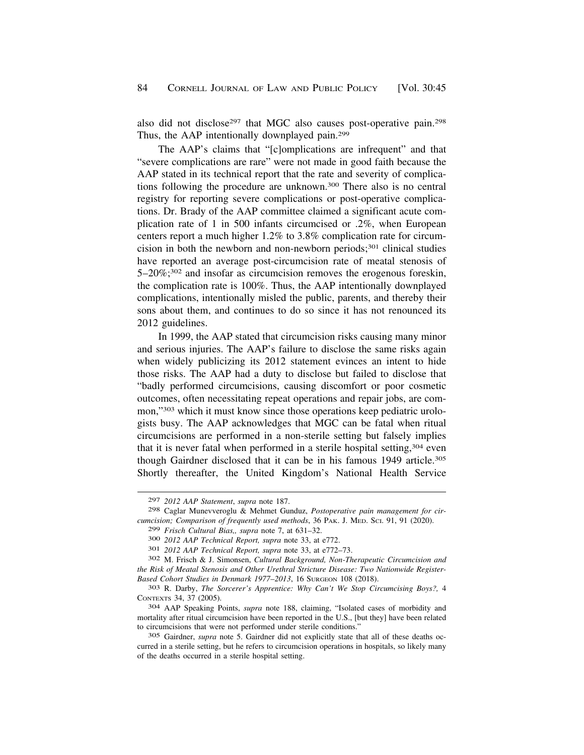also did not disclose<sup>297</sup> that MGC also causes post-operative pain.<sup>298</sup> Thus, the AAP intentionally downplayed pain.299

The AAP's claims that "[c]omplications are infrequent" and that "severe complications are rare" were not made in good faith because the AAP stated in its technical report that the rate and severity of complications following the procedure are unknown.300 There also is no central registry for reporting severe complications or post-operative complications. Dr. Brady of the AAP committee claimed a significant acute complication rate of 1 in 500 infants circumcised or .2%, when European centers report a much higher 1.2% to 3.8% complication rate for circumcision in both the newborn and non-newborn periods; $301$  clinical studies have reported an average post-circumcision rate of meatal stenosis of 5–20%;302 and insofar as circumcision removes the erogenous foreskin, the complication rate is 100%. Thus, the AAP intentionally downplayed complications, intentionally misled the public, parents, and thereby their sons about them, and continues to do so since it has not renounced its 2012 guidelines.

In 1999, the AAP stated that circumcision risks causing many minor and serious injuries. The AAP's failure to disclose the same risks again when widely publicizing its 2012 statement evinces an intent to hide those risks. The AAP had a duty to disclose but failed to disclose that "badly performed circumcisions, causing discomfort or poor cosmetic outcomes, often necessitating repeat operations and repair jobs, are common,"303 which it must know since those operations keep pediatric urologists busy. The AAP acknowledges that MGC can be fatal when ritual circumcisions are performed in a non-sterile setting but falsely implies that it is never fatal when performed in a sterile hospital setting,<sup>304</sup> even though Gairdner disclosed that it can be in his famous 1949 article.305 Shortly thereafter, the United Kingdom's National Health Service

<sup>297</sup> *2012 AAP Statement*, *supra* note 187.

<sup>298</sup> Caglar Munevveroglu & Mehmet Gunduz, *Postoperative pain management for circumcision; Comparison of frequently used methods*, 36 PAK. J. MED. SCI. 91, 91 (2020).

<sup>299</sup> Frisch Cultural Bias,, supra note 7, at 631–32.<br>300 2012 AAP Technical Report, supra note 33, at e772.<br>301 2012 AAP Technical Report, supra note 33, at e772–73.<br>302 M. Frisch & J. Simonsen, Cultural Background, Non-The *the Risk of Meatal Stenosis and Other Urethral Stricture Disease: Two Nationwide Register-*

*Based Cohort Studies in Denmark 1977–2013*, 16 SURGEON 108 (2018). 303 R. Darby, *The Sorcerer's Apprentice: Why Can't We Stop Circumcising Boys?,* <sup>4</sup> CONTEXTS 34, 37 (2005). 304 AAP Speaking Points, *supra* note 188, claiming, "Isolated cases of morbidity and

mortality after ritual circumcision have been reported in the U.S., [but they] have been related to circumcisions that were not performed under sterile conditions."

<sup>305</sup> Gairdner, *supra* note 5. Gairdner did not explicitly state that all of these deaths occurred in a sterile setting, but he refers to circumcision operations in hospitals, so likely many of the deaths occurred in a sterile hospital setting.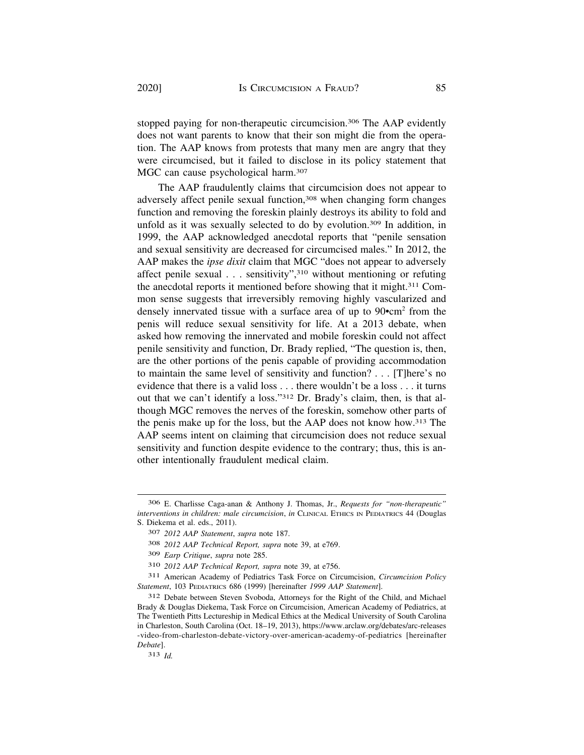stopped paying for non-therapeutic circumcision.<sup>306</sup> The AAP evidently does not want parents to know that their son might die from the operation. The AAP knows from protests that many men are angry that they were circumcised, but it failed to disclose in its policy statement that MGC can cause psychological harm.<sup>307</sup>

The AAP fraudulently claims that circumcision does not appear to adversely affect penile sexual function,308 when changing form changes function and removing the foreskin plainly destroys its ability to fold and unfold as it was sexually selected to do by evolution.<sup>309</sup> In addition, in 1999, the AAP acknowledged anecdotal reports that "penile sensation and sexual sensitivity are decreased for circumcised males." In 2012, the AAP makes the *ipse dixit* claim that MGC "does not appear to adversely affect penile sexual . . . sensitivity",310 without mentioning or refuting the anecdotal reports it mentioned before showing that it might.311 Common sense suggests that irreversibly removing highly vascularized and densely innervated tissue with a surface area of up to  $90$ •cm<sup>2</sup> from the penis will reduce sexual sensitivity for life. At a 2013 debate, when asked how removing the innervated and mobile foreskin could not affect penile sensitivity and function, Dr. Brady replied, "The question is, then, are the other portions of the penis capable of providing accommodation to maintain the same level of sensitivity and function? . . . [T]here's no evidence that there is a valid loss . . . there wouldn't be a loss . . . it turns out that we can't identify a loss."312 Dr. Brady's claim, then, is that although MGC removes the nerves of the foreskin, somehow other parts of the penis make up for the loss, but the AAP does not know how.313 The AAP seems intent on claiming that circumcision does not reduce sexual sensitivity and function despite evidence to the contrary; thus, this is another intentionally fraudulent medical claim.

<sup>306</sup> E. Charlisse Caga-anan & Anthony J. Thomas, Jr., *Requests for "non-therapeutic" interventions in children: male circumcision*, *in* CLINICAL ETHICS IN PEDIATRICS 44 (Douglas S. Diekema et al. eds., 2011).

<sup>307</sup> *2012 AAP Statement*, *supra* note 187.

<sup>308</sup> *2012 AAP Technical Report, supra* note 39, at e769.

<sup>309</sup> *Earp Critique*, *supra* note 285.

<sup>310</sup> *2012 AAP Technical Report, supra* note 39, at e756.

<sup>311</sup> American Academy of Pediatrics Task Force on Circumcision, *Circumcision Policy Statement*, 103 PEDIATRICS 686 (1999) [hereinafter *1999 AAP Statement*].

<sup>312</sup> Debate between Steven Svoboda, Attorneys for the Right of the Child, and Michael Brady & Douglas Diekema, Task Force on Circumcision, American Academy of Pediatrics, at The Twentieth Pitts Lectureship in Medical Ethics at the Medical University of South Carolina in Charleston, South Carolina (Oct. 18–19, 2013),<https://www.arclaw.org/debates/arc-releases> -video-from-charleston-debate-victory-over-american-academy-of-pediatrics [hereinafter *Debate*].

<sup>313</sup> *Id.*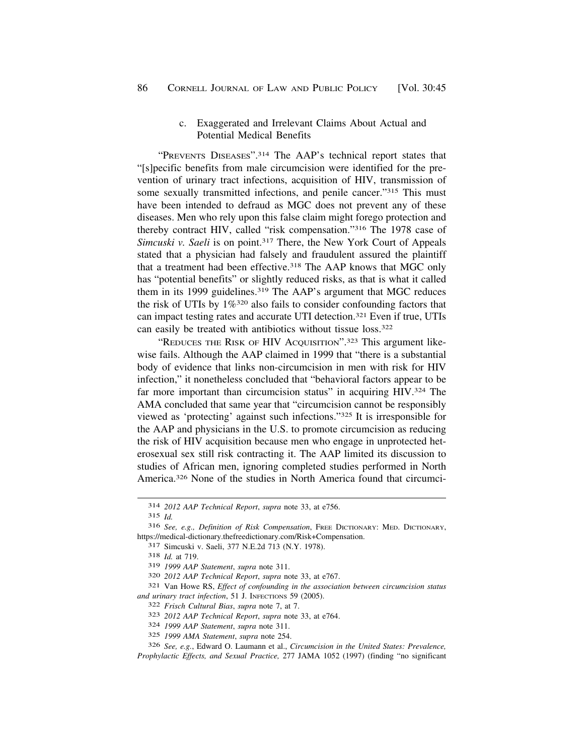### c. Exaggerated and Irrelevant Claims About Actual and Potential Medical Benefits

<span id="page-41-0"></span>"PREVENTS DISEASES".314 The AAP's technical report states that "[s]pecific benefits from male circumcision were identified for the prevention of urinary tract infections, acquisition of HIV, transmission of some sexually transmitted infections, and penile cancer."<sup>315</sup> This must have been intended to defraud as MGC does not prevent any of these diseases. Men who rely upon this false claim might forego protection and thereby contract HIV, called "risk compensation."316 The 1978 case of *Simcuski v. Saeli* is on point.317 There, the New York Court of Appeals stated that a physician had falsely and fraudulent assured the plaintiff that a treatment had been effective.<sup>318</sup> The AAP knows that MGC only has "potential benefits" or slightly reduced risks, as that is what it called them in its 1999 guidelines.319 The AAP's argument that MGC reduces the risk of UTIs by 1%<sup>320</sup> also fails to consider confounding factors that can impact testing rates and accurate UTI detection.321 Even if true, UTIs can easily be treated with antibiotics without tissue loss.322

"REDUCES THE RISK OF HIV ACQUISITION".<sup>323</sup> This argument likewise fails. Although the AAP claimed in 1999 that "there is a substantial body of evidence that links non-circumcision in men with risk for HIV infection," it nonetheless concluded that "behavioral factors appear to be far more important than circumcision status" in acquiring HIV.<sup>324</sup> The AMA concluded that same year that "circumcision cannot be responsibly viewed as 'protecting' against such infections."325 It is irresponsible for the AAP and physicians in the U.S. to promote circumcision as reducing the risk of HIV acquisition because men who engage in unprotected heterosexual sex still risk contracting it. The AAP limited its discussion to studies of African men, ignoring completed studies performed in North America.326 None of the studies in North America found that circumci-

320 *2012 AAP Technical Report*, *supra* note 33, at e767.

<sup>314</sup> *2012 AAP Technical Report*, *supra* note 33, at e756.

<sup>315</sup> *Id.* 

<sup>316</sup> *See, e.g., Definition of Risk Compensation*, FREE DICTIONARY: MED. DICTIONARY, [https://medical-dictionary.thefreedictionary.com/Risk+Compensation.](https://medical-dictionary.thefreedictionary.com/Risk+Compensation) 317 Simcuski v. Saeli, 377 N.E.2d 713 (N.Y. 1978). 318 *Id.* at 719.

<sup>319</sup> *1999 AAP Statement*, *supra* note 311.

<sup>321</sup> Van Howe RS, *Effect of confounding in the association between circumcision status and urinary tract infection*, 51 J. INFECTIONS 59 (2005).

<sup>322</sup> *Frisch Cultural Bias*, *supra* note 7, at 7.

<sup>323</sup> *2012 AAP Technical Report*, *supra* note 33, at e764.

<sup>324</sup> *1999 AAP Statement*, *supra* note 311.

<sup>325</sup> *1999 AMA Statement*, *supra* note 254.

<sup>326</sup> *See, e.g.*, Edward O. Laumann et al., *Circumcision in the United States: Prevalence, Prophylactic Effects, and Sexual Practice,* 277 JAMA 1052 (1997) (finding "no significant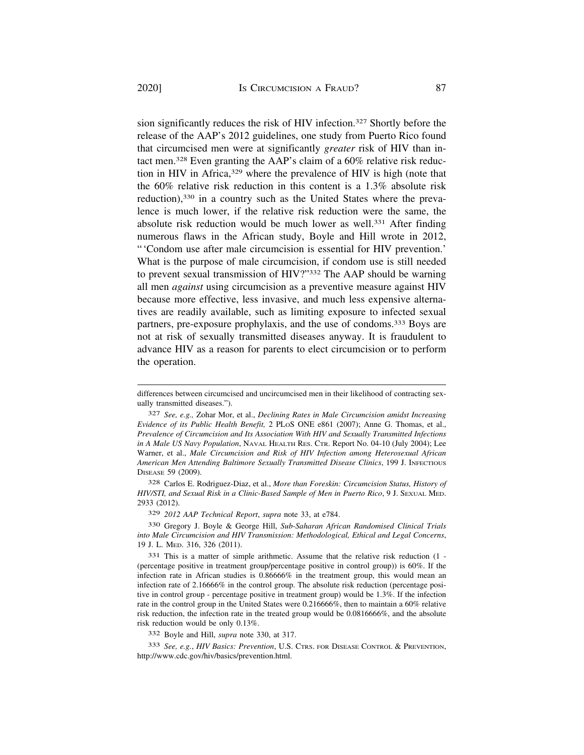sion significantly reduces the risk of HIV infection.327 Shortly before the release of the AAP's 2012 guidelines, one study from Puerto Rico found that circumcised men were at significantly *greater* risk of HIV than intact men.328 Even granting the AAP's claim of a 60% relative risk reduction in HIV in Africa,<sup>329</sup> where the prevalence of HIV is high (note that the 60% relative risk reduction in this content is a 1.3% absolute risk reduction),<sup>330</sup> in a country such as the United States where the prevalence is much lower, if the relative risk reduction were the same, the absolute risk reduction would be much lower as well.<sup>331</sup> After finding numerous flaws in the African study, Boyle and Hill wrote in 2012, "'Condom use after male circumcision is essential for HIV prevention.' What is the purpose of male circumcision, if condom use is still needed to prevent sexual transmission of HIV?"332 The AAP should be warning all men *against* using circumcision as a preventive measure against HIV because more effective, less invasive, and much less expensive alternatives are readily available, such as limiting exposure to infected sexual partners, pre-exposure prophylaxis, and the use of condoms.333 Boys are not at risk of sexually transmitted diseases anyway. It is fraudulent to advance HIV as a reason for parents to elect circumcision or to perform the operation.

328 Carlos E. Rodriguez-Diaz, et al., *More than Foreskin: Circumcision Status, History of HIV/STI, and Sexual Risk in a Clinic-Based Sample of Men in Puerto Rico*, 9 J. SEXUAL MED. 2933 (2012).

329 *2012 AAP Technical Report*, *supra* note 33, at e784.

330 Gregory J. Boyle & George Hill, *Sub-Saharan African Randomised Clinical Trials into Male Circumcision and HIV Transmission: Methodological, Ethical and Legal Concerns*, 19 J. L. MED. 316, 326 (2011).

331 This is a matter of simple arithmetic. Assume that the relative risk reduction (1 - (percentage positive in treatment group/percentage positive in control group)) is 60%. If the infection rate in African studies is 0.86666% in the treatment group, this would mean an infection rate of 2.16666% in the control group. The absolute risk reduction (percentage positive in control group - percentage positive in treatment group) would be 1.3%. If the infection rate in the control group in the United States were 0.216666%, then to maintain a 60% relative risk reduction, the infection rate in the treated group would be 0.0816666%, and the absolute risk reduction would be only 0.13%.

332 Boyle and Hill, *supra* note 330, at 317.

333 *See, e.g.*, *HIV Basics: Prevention*, U.S. CTRS. FOR DISEASE CONTROL & PREVENTION, <http://www.cdc.gov/hiv/basics/prevention.html>.

differences between circumcised and uncircumcised men in their likelihood of contracting sexually transmitted diseases.").

<sup>327</sup> *See, e.g.,* Zohar Mor, et al., *Declining Rates in Male Circumcision amidst Increasing Evidence of its Public Health Benefit,* 2 PLOS ONE e861 (2007); Anne G. Thomas, et al., *Prevalence of Circumcision and Its Association With HIV and Sexually Transmitted Infections in A Male US Navy Population*, NAVAL HEALTH RES. CTR. Report No. 04-10 (July 2004); Lee Warner, et al., *Male Circumcision and Risk of HIV Infection among Heterosexual African American Men Attending Baltimore Sexually Transmitted Disease Clinics*, 199 J. INFECTIOUS DISEASE 59 (2009).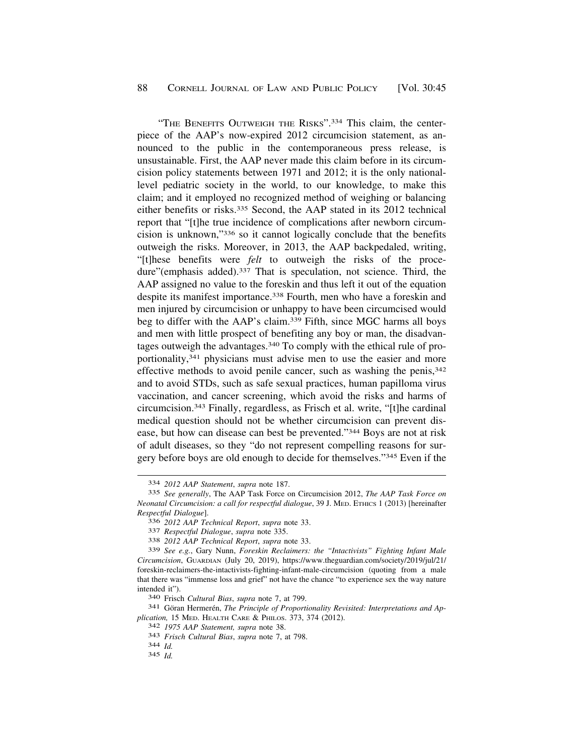"THE BENEFITS OUTWEIGH THE RISKS".334 This claim, the centerpiece of the AAP's now-expired 2012 circumcision statement, as announced to the public in the contemporaneous press release, is unsustainable. First, the AAP never made this claim before in its circumcision policy statements between 1971 and 2012; it is the only nationallevel pediatric society in the world, to our knowledge, to make this claim; and it employed no recognized method of weighing or balancing either benefits or risks.335 Second, the AAP stated in its 2012 technical report that "[t]he true incidence of complications after newborn circumcision is unknown,"336 so it cannot logically conclude that the benefits outweigh the risks. Moreover, in 2013, the AAP backpedaled, writing, "[t]hese benefits were *felt* to outweigh the risks of the procedure"(emphasis added).<sup>337</sup> That is speculation, not science. Third, the AAP assigned no value to the foreskin and thus left it out of the equation despite its manifest importance.338 Fourth, men who have a foreskin and men injured by circumcision or unhappy to have been circumcised would beg to differ with the AAP's claim.339 Fifth, since MGC harms all boys and men with little prospect of benefiting any boy or man, the disadvantages outweigh the advantages.340 To comply with the ethical rule of proportionality,341 physicians must advise men to use the easier and more effective methods to avoid penile cancer, such as washing the penis,  $342$ and to avoid STDs, such as safe sexual practices, human papilloma virus vaccination, and cancer screening, which avoid the risks and harms of circumcision.343 Finally, regardless, as Frisch et al. write, "[t]he cardinal medical question should not be whether circumcision can prevent disease, but how can disease can best be prevented."344 Boys are not at risk of adult diseases, so they "do not represent compelling reasons for surgery before boys are old enough to decide for themselves."345 Even if the

<sup>334</sup> *2012 AAP Statement*, *supra* note 187.

<sup>335</sup> *See generally*, The AAP Task Force on Circumcision 2012, *The AAP Task Force on Neonatal Circumcision: a call for respectful dialogue*, 39 J. MED. ETHICS 1 (2013) [hereinafter *Respectful Dialogue*].

<sup>336</sup>*2012 AAP Technical Report*, *supra* note 33. 337 *Respectful Dialogue*, *supra* note 335. 338 *2012 AAP Technical Report*, *supra* note 33.

<sup>339</sup> *See e.g.*, Gary Nunn, *Foreskin Reclaimers: the "Intactivists" Fighting Infant Male Circumcision*, GUARDIAN (July 20, 2019), [https://www.theguardian.com/society/2019/jul/21/](https://www.theguardian.com/society/2019/jul/21) foreskin-reclaimers-the-intactivists-fighting-infant-male-circumcision (quoting from a male that there was "immense loss and grief" not have the chance "to experience sex the way nature intended it").<br><sup>340</sup> Frisch *Cultural Bias*, *supra* note 7, at 799.<br><sup>341</sup> Göran Hermerén, *The Principle of Proportionality Revisited: Interpretations and Ap-*

*plication,* 15 MED. HEALTH CARE & PHILOS. 373, 374 (2012). 342 *1975 AAP Statement, supra* note 38. 343 *Frisch Cultural Bias*, *supra* note 7, at 798. 344 *Id.* 

<sup>345</sup> *Id.*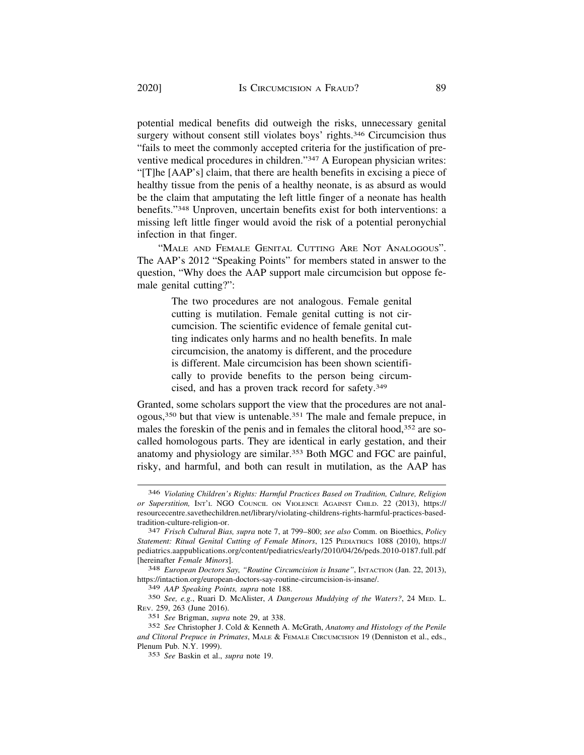potential medical benefits did outweigh the risks, unnecessary genital surgery without consent still violates boys' rights.<sup>346</sup> Circumcision thus "fails to meet the commonly accepted criteria for the justification of preventive medical procedures in children."347 A European physician writes: "[T]he [AAP's] claim, that there are health benefits in excising a piece of healthy tissue from the penis of a healthy neonate, is as absurd as would be the claim that amputating the left little finger of a neonate has health benefits."348 Unproven, uncertain benefits exist for both interventions: a missing left little finger would avoid the risk of a potential peronychial infection in that finger.

"MALE AND FEMALE GENITAL CUTTING ARE NOT ANALOGOUS". The AAP's 2012 "Speaking Points" for members stated in answer to the question, "Why does the AAP support male circumcision but oppose female genital cutting?":

> The two procedures are not analogous. Female genital cutting is mutilation. Female genital cutting is not circumcision. The scientific evidence of female genital cutting indicates only harms and no health benefits. In male circumcision, the anatomy is different, and the procedure is different. Male circumcision has been shown scientifically to provide benefits to the person being circumcised, and has a proven track record for safety.349

Granted, some scholars support the view that the procedures are not analogous,350 but that view is untenable.351 The male and female prepuce, in males the foreskin of the penis and in females the clitoral hood,<sup>352</sup> are socalled homologous parts. They are identical in early gestation, and their anatomy and physiology are similar.353 Both MGC and FGC are painful, risky, and harmful, and both can result in mutilation, as the AAP has

<sup>346</sup> *Violating Children's Rights: Harmful Practices Based on Tradition, Culture, Religion or Superstition,* INT'L NGO COUNCIL ON VIOLENCE AGAINST CHILD. 22 (2013), https:// [resourcecentre.savethechildren.net/library/violating-childrens-rights-harmful-practices-based](https://resourcecentre.savethechildren.net/library/violating-childrens-rights-harmful-practices-based)tradition-culture-religion-or. 347 *Frisch Cultural Bias, supra* note 7, at 799–800; *see also* Comm. on Bioethics, *Policy* 

*Statement: Ritual Genital Cutting of Female Minors*, 125 PEDIATRICS 1088 (2010), https:// [pediatrics.aappublications.org/content/pediatrics/early/2010/04/26/peds.2010-0187.full.pdf](https://pediatrics.aappublications.org/content/pediatrics/early/2010/04/26/peds.2010-0187.full.pdf)  [hereinafter *Female Minors*]. 348 *European Doctors Say, "Routine Circumcision is Insane"*, INTACTION (Jan. 22, 2013),

<https://intaction.org/european-doctors-say-routine-circumcision-is-insane>/.

<sup>349</sup> *AAP Speaking Points, supra* note 188.

<sup>350</sup> *See, e.g.*, Ruari D. McAlister, *A Dangerous Muddying of the Waters?*, 24 MED. L. REV. 259, 263 (June 2016).

<sup>351</sup> *See* Brigman, *supra* note 29, at 338.

<sup>352</sup> *See* Christopher J. Cold & Kenneth A. McGrath, *Anatomy and Histology of the Penile and Clitoral Prepuce in Primates*, MALE & FEMALE CIRCUMCISION 19 (Denniston et al., eds., Plenum Pub. N.Y. 1999).

<sup>353</sup> *See* Baskin et al., *supra* note 19.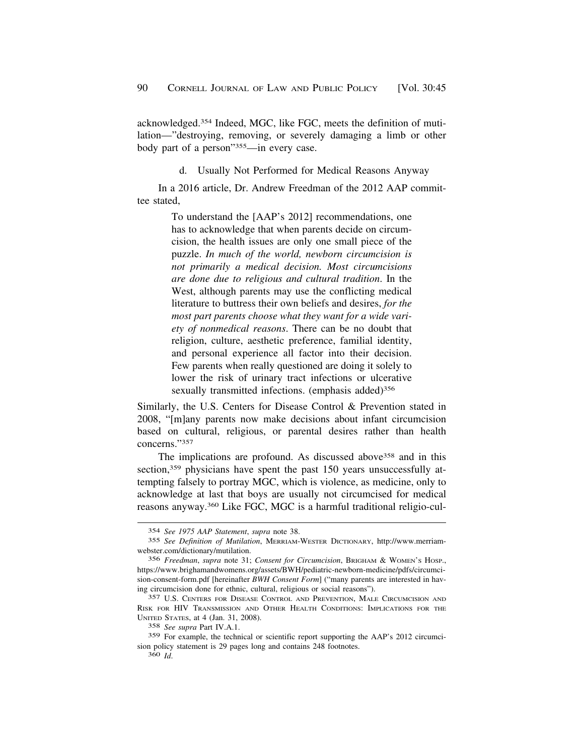<span id="page-45-0"></span>acknowledged.354 Indeed, MGC, like FGC, meets the definition of mutilation—"destroying, removing, or severely damaging a limb or other body part of a person"355—in every case.

d. Usually Not Performed for Medical Reasons Anyway

In a 2016 article, Dr. Andrew Freedman of the 2012 AAP committee stated,

> To understand the [AAP's 2012] recommendations, one has to acknowledge that when parents decide on circumcision, the health issues are only one small piece of the puzzle. *In much of the world, newborn circumcision is not primarily a medical decision. Most circumcisions are done due to religious and cultural tradition*. In the West, although parents may use the conflicting medical literature to buttress their own beliefs and desires, *for the most part parents choose what they want for a wide variety of nonmedical reasons*. There can be no doubt that religion, culture, aesthetic preference, familial identity, and personal experience all factor into their decision. Few parents when really questioned are doing it solely to lower the risk of urinary tract infections or ulcerative sexually transmitted infections. (emphasis added)<sup>356</sup>

Similarly, the U.S. Centers for Disease Control & Prevention stated in 2008, "[m]any parents now make decisions about infant circumcision based on cultural, religious, or parental desires rather than health concerns."357

The implications are profound. As discussed above358 and in this section,<sup>359</sup> physicians have spent the past 150 years unsuccessfully attempting falsely to portray MGC, which is violence, as medicine, only to acknowledge at last that boys are usually not circumcised for medical reasons anyway.360 Like FGC, MGC is a harmful traditional religio-cul-

<sup>354</sup> *See 1975 AAP Statement*, *supra* note 38.

<sup>355</sup> *See Definition of Mutilation*, MERRIAM-WESTER DICTIONARY, <http://www.merriam>[webster.com/dictionary/mutilation](https://webster.com/dictionary/mutilation). 356 *Freedman*, *supra* note 31; *Consent for Circumcision*, BRIGHAM & WOMEN'S HOSP.,

<https://www.brighamandwomens.org/assets/BWH/pediatric-newborn-medicine/pdfs/circumci>sion-consent-form.pdf [hereinafter *BWH Consent Form*] ("many parents are interested in having circumcision done for ethnic, cultural, religious or social reasons").

<sup>357</sup> U.S. CENTERS FOR DISEASE CONTROL AND PREVENTION, MALE CIRCUMCISION AND RISK FOR HIV TRANSMISSION AND OTHER HEALTH CONDITIONS: IMPLICATIONS FOR THE UNITED STATES, at 4 (Jan. 31, 2008).

<sup>358</sup> *See supra* Part IV.A.1.

<sup>359</sup> For example, the technical or scientific report supporting the AAP's 2012 circumcision policy statement is 29 pages long and contains 248 footnotes.

<sup>360</sup> *Id*.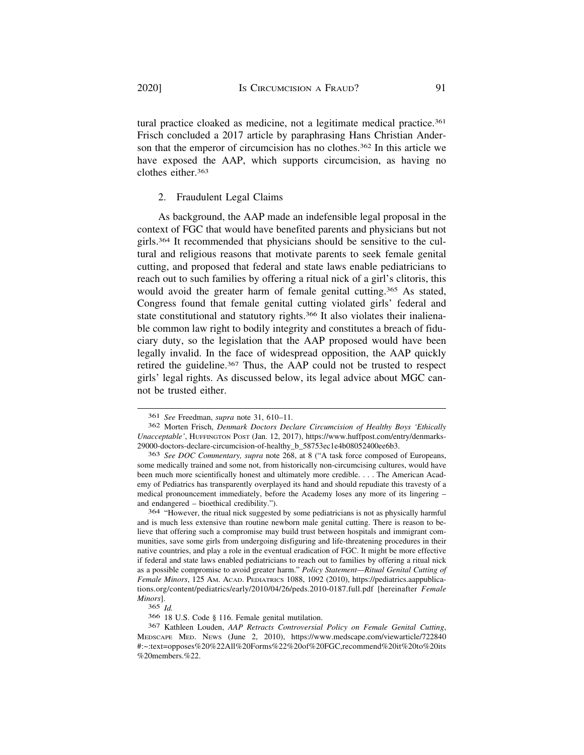tural practice cloaked as medicine, not a legitimate medical practice.361 Frisch concluded a 2017 article by paraphrasing Hans Christian Anderson that the emperor of circumcision has no clothes.<sup>362</sup> In this article we have exposed the AAP, which supports circumcision, as having no clothes either.363

# 2. Fraudulent Legal Claims

As background, the AAP made an indefensible legal proposal in the context of FGC that would have benefited parents and physicians but not girls.364 It recommended that physicians should be sensitive to the cultural and religious reasons that motivate parents to seek female genital cutting, and proposed that federal and state laws enable pediatricians to reach out to such families by offering a ritual nick of a girl's clitoris, this would avoid the greater harm of female genital cutting.<sup>365</sup> As stated, Congress found that female genital cutting violated girls' federal and state constitutional and statutory rights.366 It also violates their inalienable common law right to bodily integrity and constitutes a breach of fiduciary duty, so the legislation that the AAP proposed would have been legally invalid. In the face of widespread opposition, the AAP quickly retired the guideline.367 Thus, the AAP could not be trusted to respect girls' legal rights. As discussed below, its legal advice about MGC cannot be trusted either.

364 "However, the ritual nick suggested by some pediatricians is not as physically harmful and is much less extensive than routine newborn male genital cutting. There is reason to believe that offering such a compromise may build trust between hospitals and immigrant communities, save some girls from undergoing disfiguring and life-threatening procedures in their native countries, and play a role in the eventual eradication of FGC. It might be more effective if federal and state laws enabled pediatricians to reach out to families by offering a ritual nick as a possible compromise to avoid greater harm." *Policy Statement—Ritual Genital Cutting of Female Minors*, 125 AM. ACAD. PEDIATRICS 1088, 1092 (2010), <https://pediatrics.aappublica>[tions.org/content/pediatrics/early/2010/04/26/peds.2010-0187.full.pdf](https://tions.org/content/pediatrics/early/2010/04/26/peds.2010-0187.full.pdf) [hereinafter *Female Minors*].

365 *Id.* 

366 18 U.S. Code § 116. Female genital mutilation.

367 Kathleen Louden, *AAP Retracts Controversial Policy on Female Genital Cutting*, MEDSCAPE MED. NEWS (June 2, 2010), <https://www.medscape.com/viewarticle/722840> #:~:text=opposes%20%22All%20Forms%22%20of%20FGC,recommend%20it%20to%20its %20members.%22.

<sup>361</sup>*See* Freedman, *supra* note 31, 610–11*.* 362 Morten Frisch, *Denmark Doctors Declare Circumcision of Healthy Boys 'Ethically Unacceptable'*, HUFFINGTON POST (Jan. 12, 2017), <https://www.huffpost.com/entry/denmarks>-29000-doctors-declare-circumcision-of-healthy\_b\_58753ec1e4b08052400ee6b3.

<sup>363</sup> *See DOC Commentary, supra* note 268, at 8 ("A task force composed of Europeans, some medically trained and some not, from historically non-circumcising cultures, would have been much more scientifically honest and ultimately more credible. . . . The American Academy of Pediatrics has transparently overplayed its hand and should repudiate this travesty of a medical pronouncement immediately, before the Academy loses any more of its lingering – and endangered – bioethical credibility.").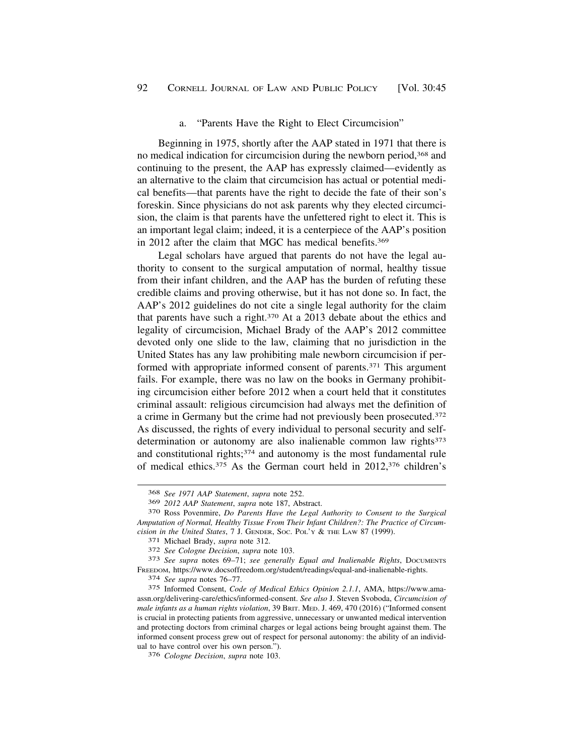#### a. "Parents Have the Right to Elect Circumcision"

<span id="page-47-0"></span>Beginning in 1975, shortly after the AAP stated in 1971 that there is no medical indication for circumcision during the newborn period,368 and continuing to the present, the AAP has expressly claimed—evidently as an alternative to the claim that circumcision has actual or potential medical benefits—that parents have the right to decide the fate of their son's foreskin. Since physicians do not ask parents why they elected circumcision, the claim is that parents have the unfettered right to elect it. This is an important legal claim; indeed, it is a centerpiece of the AAP's position in 2012 after the claim that MGC has medical benefits.369

Legal scholars have argued that parents do not have the legal authority to consent to the surgical amputation of normal, healthy tissue from their infant children, and the AAP has the burden of refuting these credible claims and proving otherwise, but it has not done so. In fact, the AAP's 2012 guidelines do not cite a single legal authority for the claim that parents have such a right.370 At a 2013 debate about the ethics and legality of circumcision, Michael Brady of the AAP's 2012 committee devoted only one slide to the law, claiming that no jurisdiction in the United States has any law prohibiting male newborn circumcision if performed with appropriate informed consent of parents.371 This argument fails. For example, there was no law on the books in Germany prohibiting circumcision either before 2012 when a court held that it constitutes criminal assault: religious circumcision had always met the definition of a crime in Germany but the crime had not previously been prosecuted.372 As discussed, the rights of every individual to personal security and selfdetermination or autonomy are also inalienable common law rights<sup>373</sup> and constitutional rights;<sup>374</sup> and autonomy is the most fundamental rule of medical ethics.375 As the German court held in 2012,376 children's

FREEDOM, [https://www.docsoffreedom.org/student/readings/equal-and-inalienable-rights.](https://www.docsoffreedom.org/student/readings/equal-and-inalienable-rights) 374 *See supra* notes 76–77.

<sup>368</sup> *See 1971 AAP Statement*, *supra* note 252.

<sup>369</sup>*2012 AAP Statement*, *supra* note 187, Abstract. 370 Ross Povenmire, *Do Parents Have the Legal Authority to Consent to the Surgical Amputation of Normal, Healthy Tissue From Their Infant Children?: The Practice of Circum*cision in the United States, 7 J. GENDER, Soc. POL'Y & THE LAW 87 (1999).<br>
371 Michael Brady, *supra* note 312.<br>
372 See Cologne Decision, *supra* note 103.<br>
373 See *supra* notes 69–71; *see generally Equal and Inalienab* 

<sup>375</sup> Informed Consent, *Code of Medical Ethics Opinion 2.1.1*, AMA, <https://www.ama>[assn.org/delivering-care/ethics/informed-consent](https://assn.org/delivering-care/ethics/informed-consent). *See also* J. Steven Svoboda, *Circumcision of male infants as a human rights violation*, 39 BRIT. MED. J. 469, 470 (2016) ("Informed consent is crucial in protecting patients from aggressive, unnecessary or unwanted medical intervention and protecting doctors from criminal charges or legal actions being brought against them. The informed consent process grew out of respect for personal autonomy: the ability of an individual to have control over his own person.").

<sup>376</sup> *Cologne Decision*, *supra* note 103.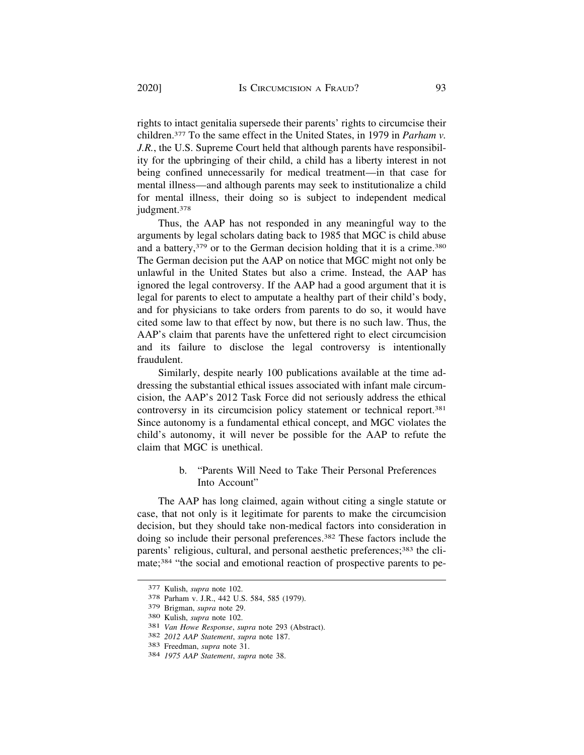rights to intact genitalia supersede their parents' rights to circumcise their children.377 To the same effect in the United States, in 1979 in *Parham v. J.R.*, the U.S. Supreme Court held that although parents have responsibility for the upbringing of their child, a child has a liberty interest in not being confined unnecessarily for medical treatment—in that case for mental illness—and although parents may seek to institutionalize a child for mental illness, their doing so is subject to independent medical judgment.378

Thus, the AAP has not responded in any meaningful way to the arguments by legal scholars dating back to 1985 that MGC is child abuse and a battery,<sup>379</sup> or to the German decision holding that it is a crime.<sup>380</sup> The German decision put the AAP on notice that MGC might not only be unlawful in the United States but also a crime. Instead, the AAP has ignored the legal controversy. If the AAP had a good argument that it is legal for parents to elect to amputate a healthy part of their child's body, and for physicians to take orders from parents to do so, it would have cited some law to that effect by now, but there is no such law. Thus, the AAP's claim that parents have the unfettered right to elect circumcision and its failure to disclose the legal controversy is intentionally fraudulent.

Similarly, despite nearly 100 publications available at the time addressing the substantial ethical issues associated with infant male circumcision, the AAP's 2012 Task Force did not seriously address the ethical controversy in its circumcision policy statement or technical report.381 Since autonomy is a fundamental ethical concept, and MGC violates the child's autonomy, it will never be possible for the AAP to refute the claim that MGC is unethical.

> b. "Parents Will Need to Take Their Personal Preferences Into Account"

The AAP has long claimed, again without citing a single statute or case, that not only is it legitimate for parents to make the circumcision decision, but they should take non-medical factors into consideration in doing so include their personal preferences.382 These factors include the parents' religious, cultural, and personal aesthetic preferences;<sup>383</sup> the climate;384 "the social and emotional reaction of prospective parents to pe-

<sup>377</sup> Kulish, *supra* note 102. 378 Parham v. J.R., 442 U.S. 584, 585 (1979).

<sup>379</sup> Brigman, *supra* note 29.<br>380 Kulish, *supra* note 102.<br>381 *Van Howe Response, supra* note 293 (Abstract).<br>382 2012 AAP Statement, *supra* note 187.<br>383 Freedman, *supra* note 31.<br>384 1975 AAP Statement, *supra* note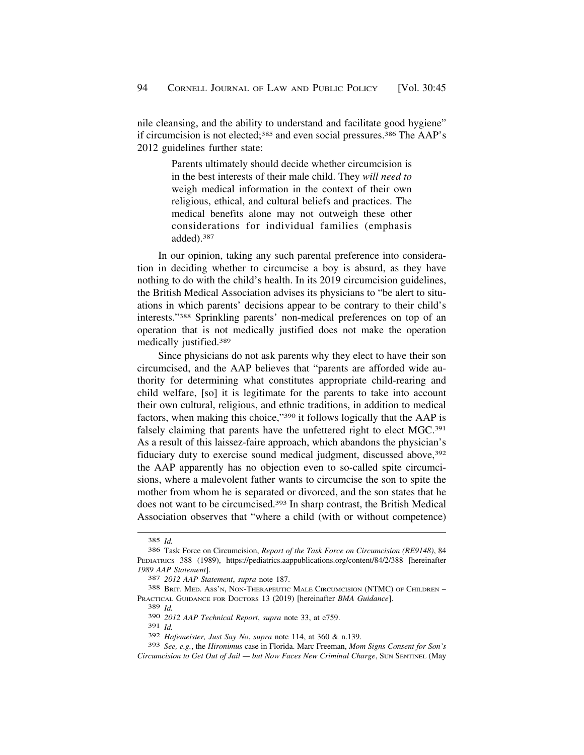nile cleansing, and the ability to understand and facilitate good hygiene" if circumcision is not elected;385 and even social pressures.386 The AAP's 2012 guidelines further state:

> Parents ultimately should decide whether circumcision is in the best interests of their male child. They *will need to*  weigh medical information in the context of their own religious, ethical, and cultural beliefs and practices. The medical benefits alone may not outweigh these other considerations for individual families (emphasis added).387

In our opinion, taking any such parental preference into consideration in deciding whether to circumcise a boy is absurd, as they have nothing to do with the child's health. In its 2019 circumcision guidelines, the British Medical Association advises its physicians to "be alert to situations in which parents' decisions appear to be contrary to their child's interests."388 Sprinkling parents' non-medical preferences on top of an operation that is not medically justified does not make the operation medically justified.389

Since physicians do not ask parents why they elect to have their son circumcised, and the AAP believes that "parents are afforded wide authority for determining what constitutes appropriate child-rearing and child welfare, [so] it is legitimate for the parents to take into account their own cultural, religious, and ethnic traditions, in addition to medical factors, when making this choice,"390 it follows logically that the AAP is falsely claiming that parents have the unfettered right to elect MGC.<sup>391</sup> As a result of this laissez-faire approach, which abandons the physician's fiduciary duty to exercise sound medical judgment, discussed above, 392 the AAP apparently has no objection even to so-called spite circumcisions, where a malevolent father wants to circumcise the son to spite the mother from whom he is separated or divorced, and the son states that he does not want to be circumcised.393 In sharp contrast, the British Medical Association observes that "where a child (with or without competence)

391 *Id.* 

<sup>385</sup> *Id.* 

<sup>386</sup> Task Force on Circumcision, *Report of the Task Force on Circumcision (RE9148)*, 84 PEDIATRICS 388 (1989), <https://pediatrics.aappublications.org/content/84/2/388>[hereinafter *1989 AAP Statement*]. 387 *2012 AAP Statement*, *supra* note 187. 388 BRIT. MED. ASS'N, NON-THERAPEUTIC MALE CIRCUMCISION (NTMC) OF CHILDREN –

PRACTICAL GUIDANCE FOR DOCTORS 13 (2019) [hereinafter *BMA Guidance*].

<sup>389</sup> *Id.* 

<sup>390</sup> *2012 AAP Technical Report*, *supra* note 33, at e759.

<sup>392</sup> *Hafemeister, Just Say No*, *supra* note 114, at 360 & n.139.

<sup>393</sup> *See, e.g.*, the *Hironimus* case in Florida. Marc Freeman, *Mom Signs Consent for Son's Circumcision to Get Out of Jail — but Now Faces New Criminal Charge*, SUN SENTINEL (May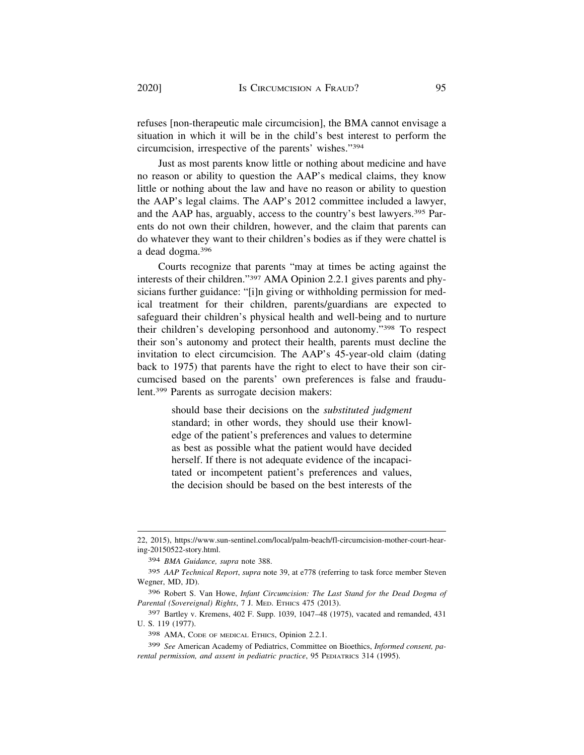refuses [non-therapeutic male circumcision], the BMA cannot envisage a situation in which it will be in the child's best interest to perform the circumcision, irrespective of the parents' wishes."394

Just as most parents know little or nothing about medicine and have no reason or ability to question the AAP's medical claims, they know little or nothing about the law and have no reason or ability to question the AAP's legal claims. The AAP's 2012 committee included a lawyer, and the AAP has, arguably, access to the country's best lawyers.395 Parents do not own their children, however, and the claim that parents can do whatever they want to their children's bodies as if they were chattel is a dead dogma.396

Courts recognize that parents "may at times be acting against the interests of their children."397 AMA Opinion 2.2.1 gives parents and physicians further guidance: "[i]n giving or withholding permission for medical treatment for their children, parents/guardians are expected to safeguard their children's physical health and well-being and to nurture their children's developing personhood and autonomy."398 To respect their son's autonomy and protect their health, parents must decline the invitation to elect circumcision. The AAP's 45-year-old claim (dating back to 1975) that parents have the right to elect to have their son circumcised based on the parents' own preferences is false and fraudulent.399 Parents as surrogate decision makers:

> should base their decisions on the *substituted judgment*  standard; in other words, they should use their knowledge of the patient's preferences and values to determine as best as possible what the patient would have decided herself. If there is not adequate evidence of the incapacitated or incompetent patient's preferences and values, the decision should be based on the best interests of the

<sup>22, 2015),</sup> <https://www.sun-sentinel.com/local/palm-beach/fl-circumcision-mother-court-hear>ing-20150522-story.html.

<sup>394</sup> *BMA Guidance, supra* note 388.

<sup>395</sup> *AAP Technical Report*, *supra* note 39, at e778 (referring to task force member Steven Wegner, MD, JD).

<sup>396</sup> Robert S. Van Howe, *Infant Circumcision: The Last Stand for the Dead Dogma of Parental (Sovereignal) Rights*, 7 J. MED. ETHICS 475 (2013).

<sup>397</sup> Bartley v. Kremens, 402 F. Supp. 1039, 1047–48 (1975), vacated and remanded, 431 U. S. 119 (1977).

<sup>398</sup> AMA, CODE OF MEDICAL ETHICS, Opinion 2.2.1.

<sup>399</sup> *See* American Academy of Pediatrics, Committee on Bioethics, *Informed consent, parental permission, and assent in pediatric practice*, 95 PEDIATRICS 314 (1995).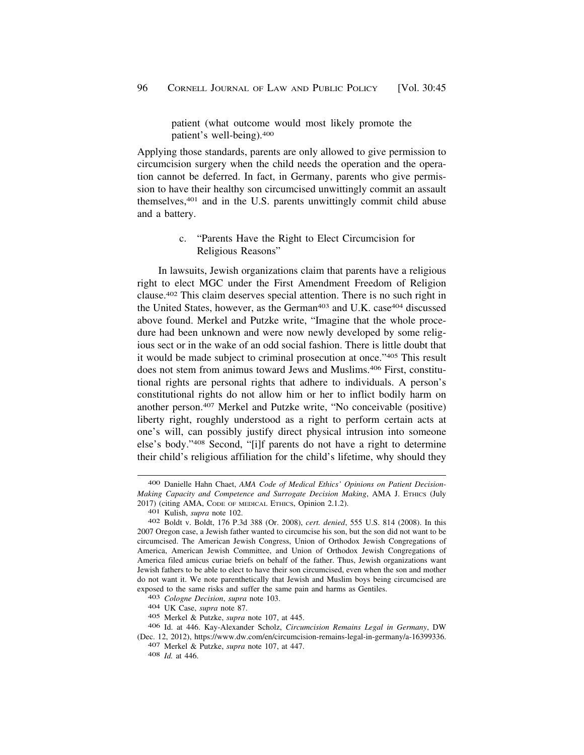patient (what outcome would most likely promote the patient's well-being).400

<span id="page-51-0"></span>Applying those standards, parents are only allowed to give permission to circumcision surgery when the child needs the operation and the operation cannot be deferred. In fact, in Germany, parents who give permission to have their healthy son circumcised unwittingly commit an assault themselves,401 and in the U.S. parents unwittingly commit child abuse and a battery.

# c. "Parents Have the Right to Elect Circumcision for Religious Reasons"

In lawsuits, Jewish organizations claim that parents have a religious right to elect MGC under the First Amendment Freedom of Religion clause.402 This claim deserves special attention. There is no such right in the United States, however, as the German<sup>403</sup> and U.K. case<sup>404</sup> discussed above found. Merkel and Putzke write, "Imagine that the whole procedure had been unknown and were now newly developed by some religious sect or in the wake of an odd social fashion. There is little doubt that it would be made subject to criminal prosecution at once."405 This result does not stem from animus toward Jews and Muslims.406 First, constitutional rights are personal rights that adhere to individuals. A person's constitutional rights do not allow him or her to inflict bodily harm on another person.407 Merkel and Putzke write, "No conceivable (positive) liberty right, roughly understood as a right to perform certain acts at one's will, can possibly justify direct physical intrusion into someone else's body."408 Second, "[i]f parents do not have a right to determine their child's religious affiliation for the child's lifetime, why should they

<sup>400</sup> Danielle Hahn Chaet, *AMA Code of Medical Ethics' Opinions on Patient Decision-Making Capacity and Competence and Surrogate Decision Making*, AMA J. ETHICS (July 2017) (citing AMA, CODE OF MEDICAL ETHICS, Opinion 2.1.2). 401 Kulish, *supra* note 102. 402 Boldt v. Boldt, 176 P.3d 388 (Or. 2008), *cert. denied*, 555 U.S. 814 (2008). In this

<sup>2007</sup> Oregon case, a Jewish father wanted to circumcise his son, but the son did not want to be circumcised. The American Jewish Congress, Union of Orthodox Jewish Congregations of America, American Jewish Committee, and Union of Orthodox Jewish Congregations of America filed amicus curiae briefs on behalf of the father. Thus, Jewish organizations want Jewish fathers to be able to elect to have their son circumcised, even when the son and mother do not want it. We note parenthetically that Jewish and Muslim boys being circumcised are exposed to the same risks and suffer the same pain and harms as Gentiles. 403 *Cologne Decision*, *supra* note 103. 404 UK Case, *supra* note 87.

<sup>405</sup> Merkel & Putzke, *supra* note 107, at 445.

<sup>406</sup> Id. at 446. Kay-Alexander Scholz, *Circumcision Remains Legal in Germany*, DW (Dec. 12, 2012), [https://www.dw.com/en/circumcision-remains-legal-in-germany/a-16399336.](https://www.dw.com/en/circumcision-remains-legal-in-germany/a-16399336) 407 Merkel & Putzke, *supra* note 107, at 447. 408 *Id.* at 446.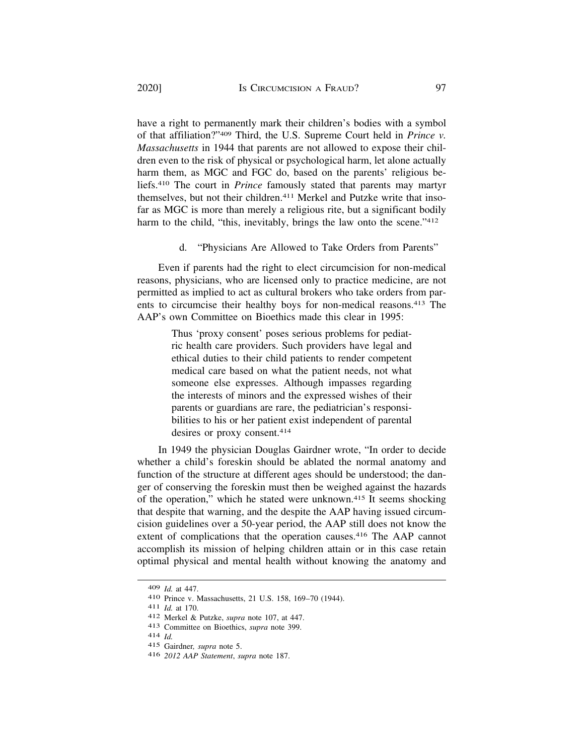have a right to permanently mark their children's bodies with a symbol of that affiliation?"409 Third, the U.S. Supreme Court held in *Prince v. Massachusetts* in 1944 that parents are not allowed to expose their children even to the risk of physical or psychological harm, let alone actually harm them, as MGC and FGC do, based on the parents' religious beliefs.410 The court in *Prince* famously stated that parents may martyr themselves, but not their children.411 Merkel and Putzke write that insofar as MGC is more than merely a religious rite, but a significant bodily harm to the child, "this, inevitably, brings the law onto the scene."<sup>412</sup>

d. "Physicians Are Allowed to Take Orders from Parents"

Even if parents had the right to elect circumcision for non-medical reasons, physicians, who are licensed only to practice medicine, are not permitted as implied to act as cultural brokers who take orders from parents to circumcise their healthy boys for non-medical reasons.413 The AAP's own Committee on Bioethics made this clear in 1995:

> Thus 'proxy consent' poses serious problems for pediatric health care providers. Such providers have legal and ethical duties to their child patients to render competent medical care based on what the patient needs, not what someone else expresses. Although impasses regarding the interests of minors and the expressed wishes of their parents or guardians are rare, the pediatrician's responsibilities to his or her patient exist independent of parental desires or proxy consent.414

In 1949 the physician Douglas Gairdner wrote, "In order to decide whether a child's foreskin should be ablated the normal anatomy and function of the structure at different ages should be understood; the danger of conserving the foreskin must then be weighed against the hazards of the operation," which he stated were unknown.415 It seems shocking that despite that warning, and the despite the AAP having issued circumcision guidelines over a 50-year period, the AAP still does not know the extent of complications that the operation causes.<sup>416</sup> The AAP cannot accomplish its mission of helping children attain or in this case retain optimal physical and mental health without knowing the anatomy and

<sup>409</sup> *Id.* at 447.<br>410 Prince v. Massachusetts, 21 U.S. 158, 169–70 (1944).<br>411 *Id.* at 170.<br>412 Merkel & Putzke, *supra* note 107, at 447.<br>413 Committee on Bioethics, *supra* note 399.<br>414 *Id.* 

<sup>415</sup> Gairdner*, supra* note 5.

<sup>416</sup> *2012 AAP Statement*, *supra* note 187.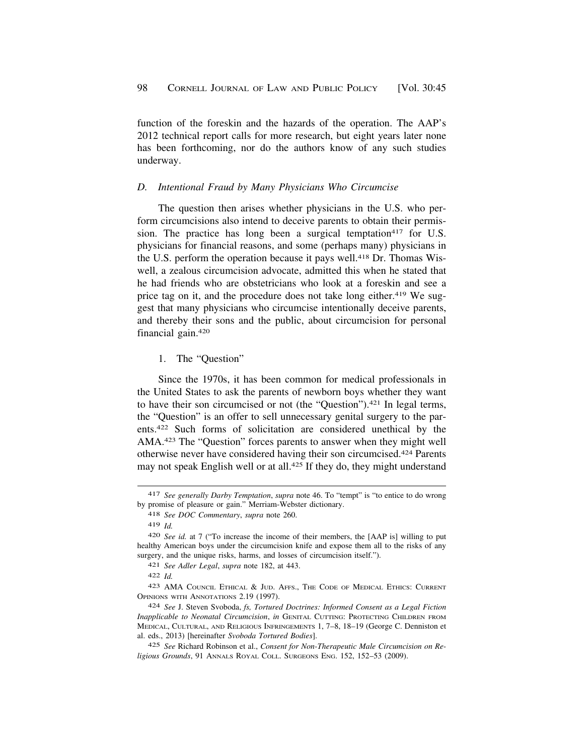<span id="page-53-0"></span>function of the foreskin and the hazards of the operation. The AAP's 2012 technical report calls for more research, but eight years later none has been forthcoming, nor do the authors know of any such studies underway.

### *D. Intentional Fraud by Many Physicians Who Circumcise*

The question then arises whether physicians in the U.S. who perform circumcisions also intend to deceive parents to obtain their permission. The practice has long been a surgical temptation<sup>417</sup> for U.S. physicians for financial reasons, and some (perhaps many) physicians in the U.S. perform the operation because it pays well.418 Dr. Thomas Wiswell, a zealous circumcision advocate, admitted this when he stated that he had friends who are obstetricians who look at a foreskin and see a price tag on it, and the procedure does not take long either.<sup>419</sup> We suggest that many physicians who circumcise intentionally deceive parents, and thereby their sons and the public, about circumcision for personal financial gain.420

#### 1. The "Question"

Since the 1970s, it has been common for medical professionals in the United States to ask the parents of newborn boys whether they want to have their son circumcised or not (the "Question").421 In legal terms, the "Question" is an offer to sell unnecessary genital surgery to the parents.422 Such forms of solicitation are considered unethical by the AMA.423 The "Question" forces parents to answer when they might well otherwise never have considered having their son circumcised.424 Parents may not speak English well or at all.<sup>425</sup> If they do, they might understand

421 *See Adler Legal*, *supra* note 182, at 443.

<sup>417</sup> *See generally Darby Temptation*, *supra* note 46. To "tempt" is "to entice to do wrong by promise of pleasure or gain." Merriam-Webster dictionary.

<sup>418</sup> *See DOC Commentary*, *supra* note 260.

<sup>419</sup> *Id.* 

<sup>420</sup> *See id.* at 7 ("To increase the income of their members, the [AAP is] willing to put healthy American boys under the circumcision knife and expose them all to the risks of any surgery, and the unique risks, harms, and losses of circumcision itself.").

<sup>422</sup> *Id.* 

<sup>423</sup> AMA COUNCIL ETHICAL & JUD. AFFS., THE CODE OF MEDICAL ETHICS: CURRENT OPINIONS WITH ANNOTATIONS 2.19 (1997).

<sup>424</sup> *See* J. Steven Svoboda, *fs, Tortured Doctrines: Informed Consent as a Legal Fiction Inapplicable to Neonatal Circumcision*, *in* GENITAL CUTTING: PROTECTING CHILDREN FROM MEDICAL, CULTURAL, AND RELIGIOUS INFRINGEMENTS 1, 7–8, 18–19 (George C. Denniston et al. eds., 2013) [hereinafter *Svoboda Tortured Bodies*].

<sup>425</sup> *See* Richard Robinson et al., *Consent for Non-Therapeutic Male Circumcision on Religious Grounds*, 91 ANNALS ROYAL COLL. SURGEONS ENG. 152, 152–53 (2009).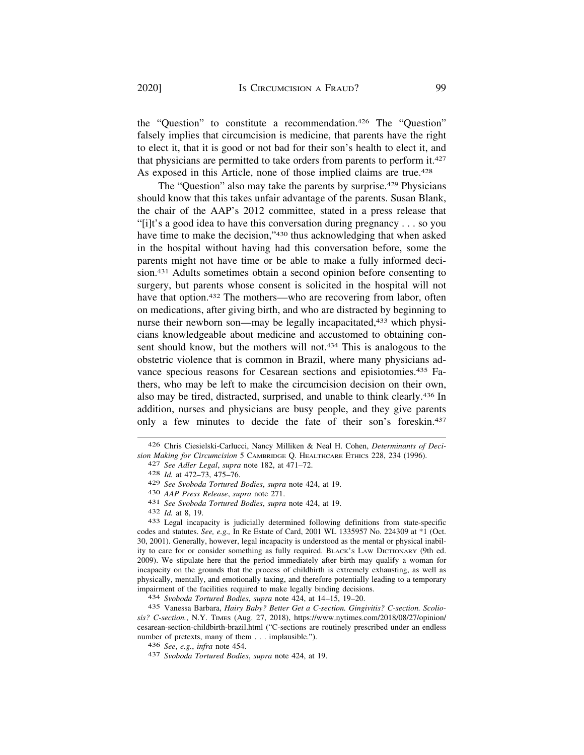the "Question" to constitute a recommendation.426 The "Question" falsely implies that circumcision is medicine, that parents have the right to elect it, that it is good or not bad for their son's health to elect it, and that physicians are permitted to take orders from parents to perform it.427 As exposed in this Article, none of those implied claims are true.<sup>428</sup>

The "Question" also may take the parents by surprise.<sup>429</sup> Physicians should know that this takes unfair advantage of the parents. Susan Blank, the chair of the AAP's 2012 committee, stated in a press release that "[i]t's a good idea to have this conversation during pregnancy . . . so you have time to make the decision,"430 thus acknowledging that when asked in the hospital without having had this conversation before, some the parents might not have time or be able to make a fully informed decision.431 Adults sometimes obtain a second opinion before consenting to surgery, but parents whose consent is solicited in the hospital will not have that option.<sup>432</sup> The mothers—who are recovering from labor, often on medications, after giving birth, and who are distracted by beginning to nurse their newborn son—may be legally incapacitated,<sup>433</sup> which physicians knowledgeable about medicine and accustomed to obtaining consent should know, but the mothers will not.<sup>434</sup> This is analogous to the obstetric violence that is common in Brazil, where many physicians advance specious reasons for Cesarean sections and episiotomies.435 Fathers, who may be left to make the circumcision decision on their own, also may be tired, distracted, surprised, and unable to think clearly.436 In addition, nurses and physicians are busy people, and they give parents only a few minutes to decide the fate of their son's foreskin.437

- 
- 
- 

429 See Svoboda Tortured Bodies, supra note 424, at 19.<br>430 AAP Press Release, supra note 271.<br>431 See Svoboda Tortured Bodies, supra note 424, at 19.<br>432 Id. at 8, 19.<br>433 Legal incapacity is judicially determined followi codes and statutes. *See, e.g.,* In Re Estate of Card, 2001 WL 1335957 No. 224309 at \*1 (Oct. 30, 2001). Generally, however, legal incapacity is understood as the mental or physical inability to care for or consider something as fully required. BLACK'S LAW DICTIONARY (9th ed. 2009). We stipulate here that the period immediately after birth may qualify a woman for incapacity on the grounds that the process of childbirth is extremely exhausting, as well as physically, mentally, and emotionally taxing, and therefore potentially leading to a temporary impairment of the facilities required to make legally binding decisions. 434 *Svoboda Tortured Bodies*, *supra* note 424, at 14–15, 19–20.

435 Vanessa Barbara, *Hairy Baby? Better Get a C-section. Gingivitis? C-section. Scoliosis? C-section.*, N.Y. TIMES (Aug. 27, 2018), [https://www.nytimes.com/2018/08/27/opinion/](https://www.nytimes.com/2018/08/27/opinion) cesarean-section-childbirth-brazil.html ("C-sections are routinely prescribed under an endless number of pretexts, many of them . . . implausible.").

<sup>426</sup> Chris Ciesielski-Carlucci, Nancy Milliken & Neal H. Cohen, *Determinants of Decision Making for Circumcision* 5 CAMBRIDGE Q. HEALTHCARE ETHICS 228, 234 (1996). 427 *See Adler Legal*, *supra* note 182, at 471–72. 428 *Id.* at 472–73, 475–76.

<sup>436</sup>*See*, *e.g.*, *infra* note 454. 437 *Svoboda Tortured Bodies*, *supra* note 424, at 19.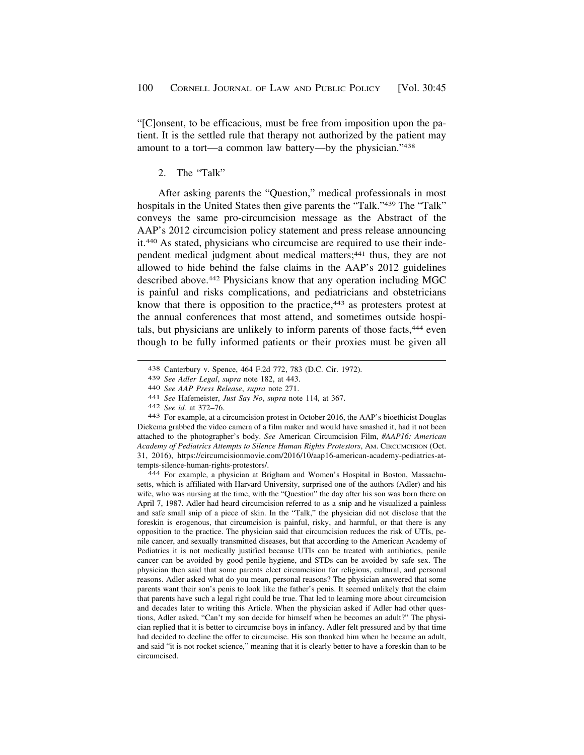<span id="page-55-0"></span>"[C]onsent, to be efficacious, must be free from imposition upon the patient. It is the settled rule that therapy not authorized by the patient may amount to a tort—a common law battery—by the physician."438

### 2. The "Talk"

After asking parents the "Question," medical professionals in most hospitals in the United States then give parents the "Talk."<sup>439</sup> The "Talk" conveys the same pro-circumcision message as the Abstract of the AAP's 2012 circumcision policy statement and press release announcing it.440 As stated, physicians who circumcise are required to use their independent medical judgment about medical matters;<sup>441</sup> thus, they are not allowed to hide behind the false claims in the AAP's 2012 guidelines described above.442 Physicians know that any operation including MGC is painful and risks complications, and pediatricians and obstetricians know that there is opposition to the practice,<sup>443</sup> as protesters protest at the annual conferences that most attend, and sometimes outside hospitals, but physicians are unlikely to inform parents of those facts,444 even though to be fully informed patients or their proxies must be given all

setts, which is affiliated with Harvard University, surprised one of the authors (Adler) and his wife, who was nursing at the time, with the "Question" the day after his son was born there on April 7, 1987. Adler had heard circumcision referred to as a snip and he visualized a painless and safe small snip of a piece of skin. In the "Talk," the physician did not disclose that the foreskin is erogenous, that circumcision is painful, risky, and harmful, or that there is any opposition to the practice. The physician said that circumcision reduces the risk of UTIs, penile cancer, and sexually transmitted diseases, but that according to the American Academy of Pediatrics it is not medically justified because UTIs can be treated with antibiotics, penile cancer can be avoided by good penile hygiene, and STDs can be avoided by safe sex. The physician then said that some parents elect circumcision for religious, cultural, and personal reasons. Adler asked what do you mean, personal reasons? The physician answered that some parents want their son's penis to look like the father's penis. It seemed unlikely that the claim that parents have such a legal right could be true. That led to learning more about circumcision and decades later to writing this Article. When the physician asked if Adler had other questions, Adler asked, "Can't my son decide for himself when he becomes an adult?" The physician replied that it is better to circumcise boys in infancy. Adler felt pressured and by that time had decided to decline the offer to circumcise. His son thanked him when he became an adult, and said "it is not rocket science," meaning that it is clearly better to have a foreskin than to be circumcised.

<sup>438</sup> Canterbury v. Spence, 464 F.2d 772, 783 (D.C. Cir. 1972).

<sup>439</sup> See Adler Legal, supra note 182, at 443.<br>440 See AAP Press Release, supra note 271.<br>441 See Hafemeister, Just Say No, supra note 114, at 367.<br>442 See id. at 372–76.<br>443 For example, at a circumcision protest in October Diekema grabbed the video camera of a film maker and would have smashed it, had it not been attached to the photographer's body. *See* American Circumcision Film, *#AAP16: American Academy of Pediatrics Attempts to Silence Human Rights Protestors*, AM. CIRCUMCISION (Oct. 31, 2016), <https://circumcisionmovie.com/2016/10/aap16-american-academy-pediatrics-at>tempts-silence-human-rights-protestors/. 444 For example, a physician at Brigham and Women's Hospital in Boston, Massachu-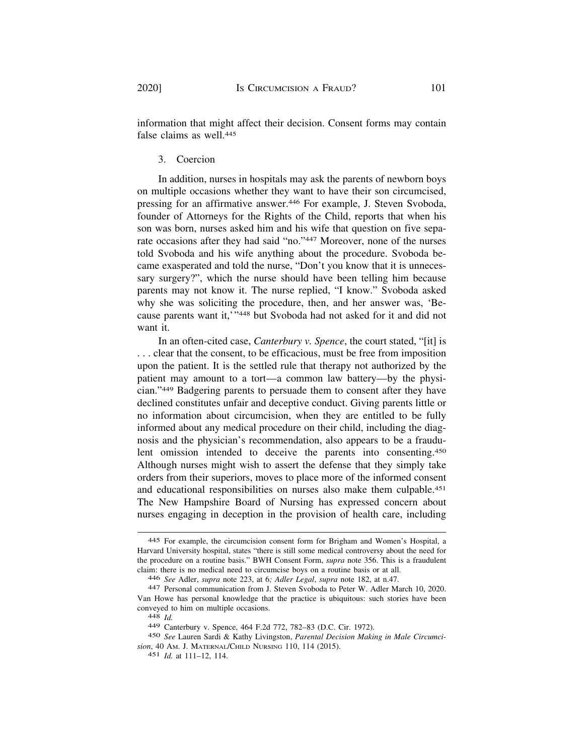information that might affect their decision. Consent forms may contain false claims as well 445

3. Coercion

In addition, nurses in hospitals may ask the parents of newborn boys on multiple occasions whether they want to have their son circumcised, pressing for an affirmative answer.446 For example, J. Steven Svoboda, founder of Attorneys for the Rights of the Child, reports that when his son was born, nurses asked him and his wife that question on five separate occasions after they had said "no."447 Moreover, none of the nurses told Svoboda and his wife anything about the procedure. Svoboda became exasperated and told the nurse, "Don't you know that it is unnecessary surgery?", which the nurse should have been telling him because parents may not know it. The nurse replied, "I know." Svoboda asked why she was soliciting the procedure, then, and her answer was, 'Because parents want it,'"448 but Svoboda had not asked for it and did not want it.

In an often-cited case, *Canterbury v. Spence*, the court stated, "[it] is . . . clear that the consent, to be efficacious, must be free from imposition upon the patient. It is the settled rule that therapy not authorized by the patient may amount to a tort—a common law battery—by the physician."449 Badgering parents to persuade them to consent after they have declined constitutes unfair and deceptive conduct. Giving parents little or no information about circumcision, when they are entitled to be fully informed about any medical procedure on their child, including the diagnosis and the physician's recommendation, also appears to be a fraudulent omission intended to deceive the parents into consenting.450 Although nurses might wish to assert the defense that they simply take orders from their superiors, moves to place more of the informed consent and educational responsibilities on nurses also make them culpable.451 The New Hampshire Board of Nursing has expressed concern about nurses engaging in deception in the provision of health care, including

<sup>445</sup> For example, the circumcision consent form for Brigham and Women's Hospital, a Harvard University hospital, states "there is still some medical controversy about the need for the procedure on a routine basis." BWH Consent Form, *supra* note 356. This is a fraudulent claim: there is no medical need to circumcise boys on a routine basis or at all.

<sup>446</sup>*See* Adler, *supra* note 223, at 6*; Adler Legal*, *supra* note 182, at n.47. 447 Personal communication from J. Steven Svoboda to Peter W. Adler March 10, 2020. Van Howe has personal knowledge that the practice is ubiquitous: such stories have been conveyed to him on multiple occasions. 448 *Id.* 

<sup>449</sup> Canterbury v. Spence, 464 F.2d 772, 782–83 (D.C. Cir. 1972).

<sup>450</sup> *See* Lauren Sardi & Kathy Livingston, *Parental Decision Making in Male Circumcision*, 40 AM. J. MATERNAL/CHILD NURSING 110, 114 (2015).

<sup>451</sup> *Id.* at 111–12, 114.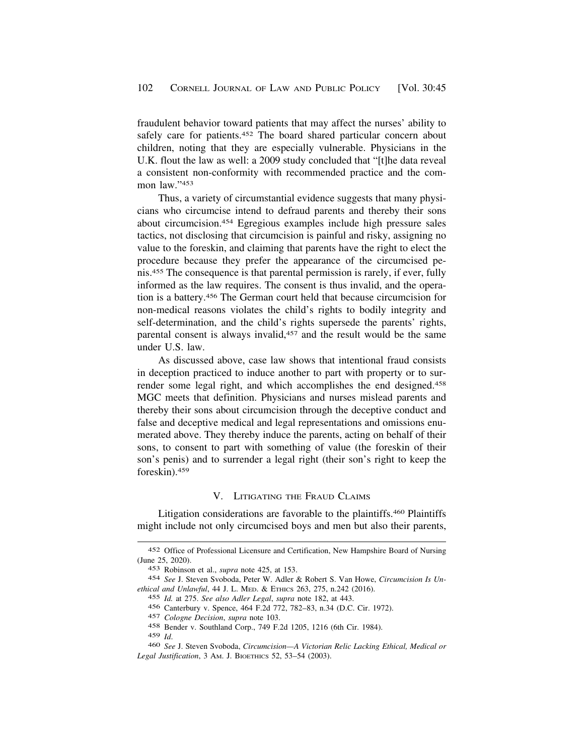<span id="page-57-0"></span>fraudulent behavior toward patients that may affect the nurses' ability to safely care for patients.452 The board shared particular concern about children, noting that they are especially vulnerable. Physicians in the U.K. flout the law as well: a 2009 study concluded that "[t]he data reveal a consistent non-conformity with recommended practice and the common law."453

Thus, a variety of circumstantial evidence suggests that many physicians who circumcise intend to defraud parents and thereby their sons about circumcision.454 Egregious examples include high pressure sales tactics, not disclosing that circumcision is painful and risky, assigning no value to the foreskin, and claiming that parents have the right to elect the procedure because they prefer the appearance of the circumcised penis.455 The consequence is that parental permission is rarely, if ever, fully informed as the law requires. The consent is thus invalid, and the operation is a battery.456 The German court held that because circumcision for non-medical reasons violates the child's rights to bodily integrity and self-determination, and the child's rights supersede the parents' rights, parental consent is always invalid,<sup>457</sup> and the result would be the same under U.S. law.

As discussed above, case law shows that intentional fraud consists in deception practiced to induce another to part with property or to surrender some legal right, and which accomplishes the end designed.458 MGC meets that definition. Physicians and nurses mislead parents and thereby their sons about circumcision through the deceptive conduct and false and deceptive medical and legal representations and omissions enumerated above. They thereby induce the parents, acting on behalf of their sons, to consent to part with something of value (the foreskin of their son's penis) and to surrender a legal right (their son's right to keep the foreskin).459

#### V. LITIGATING THE FRAUD CLAIMS

Litigation considerations are favorable to the plaintiffs.460 Plaintiffs might include not only circumcised boys and men but also their parents,

<sup>452</sup> Office of Professional Licensure and Certification, New Hampshire Board of Nursing (June 25, 2020).

<sup>453</sup> Robinson et al., *supra* note 425, at 153.

<sup>454</sup> *See* J. Steven Svoboda, Peter W. Adler & Robert S. Van Howe, *Circumcision Is Unethical and Unlawful*, 44 J. L. MED. & ETHICS 263, 275, n.242 (2016).

<sup>455</sup> *Id.* at 275. *See also Adler Legal*, *supra* note 182, at 443.

<sup>456</sup> Canterbury v. Spence, 464 F.2d 772, 782–83, n.34 (D.C. Cir. 1972).

<sup>457</sup> *Cologne Decision*, *supra* note 103.

<sup>458</sup> Bender v. Southland Corp., 749 F.2d 1205, 1216 (6th Cir. 1984).

<sup>459</sup>*Id*. 460 *See* J. Steven Svoboda, *Circumcision—A Victorian Relic Lacking Ethical, Medical or Legal Justification*, 3 AM. J. BIOETHICS 52, 53–54 (2003).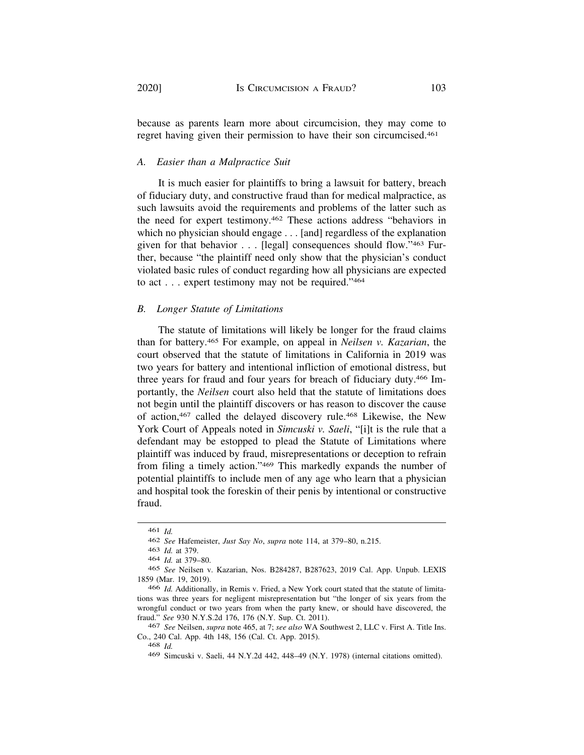because as parents learn more about circumcision, they may come to regret having given their permission to have their son circumcised.461

### *A. Easier than a Malpractice Suit*

It is much easier for plaintiffs to bring a lawsuit for battery, breach of fiduciary duty, and constructive fraud than for medical malpractice, as such lawsuits avoid the requirements and problems of the latter such as the need for expert testimony.462 These actions address "behaviors in which no physician should engage . . . [and] regardless of the explanation given for that behavior . . . [legal] consequences should flow."463 Further, because "the plaintiff need only show that the physician's conduct violated basic rules of conduct regarding how all physicians are expected to act . . . expert testimony may not be required."464

### *B. Longer Statute of Limitations*

The statute of limitations will likely be longer for the fraud claims than for battery.465 For example, on appeal in *Neilsen v. Kazarian*, the court observed that the statute of limitations in California in 2019 was two years for battery and intentional infliction of emotional distress, but three years for fraud and four years for breach of fiduciary duty.466 Importantly, the *Neilsen* court also held that the statute of limitations does not begin until the plaintiff discovers or has reason to discover the cause of action,467 called the delayed discovery rule.468 Likewise, the New York Court of Appeals noted in *Simcuski v. Saeli*, "[i]t is the rule that a defendant may be estopped to plead the Statute of Limitations where plaintiff was induced by fraud, misrepresentations or deception to refrain from filing a timely action."469 This markedly expands the number of potential plaintiffs to include men of any age who learn that a physician and hospital took the foreskin of their penis by intentional or constructive fraud.

<sup>461</sup> *Id.* 

<sup>462</sup> *See* Hafemeister, *Just Say No*, *supra* note 114, at 379–80, n.215.

<sup>463</sup> *Id.* at 379.

<sup>464</sup> *Id.* at 379–80.

<sup>465</sup> *See* Neilsen v. Kazarian, Nos. B284287, B287623, 2019 Cal. App. Unpub. LEXIS 1859 (Mar. 19, 2019).

<sup>466</sup> *Id.* Additionally, in Remis v. Fried, a New York court stated that the statute of limitations was three years for negligent misrepresentation but "the longer of six years from the wrongful conduct or two years from when the party knew, or should have discovered, the fraud." *See* 930 [N.Y.S.2d](https://N.Y.S.2d) 176, 176 (N.Y. Sup. Ct. 2011).

<sup>467</sup> *See* Neilsen, *supra* note 465, at 7; *see also* WA Southwest 2, LLC v. First A. Title Ins. Co., 240 Cal. App. 4th 148, 156 (Cal. Ct. App. 2015).

<sup>468</sup> *Id.* 

<sup>469</sup> Simcuski v. Saeli, 44 N.Y.2d 442, 448–49 (N.Y. 1978) (internal citations omitted).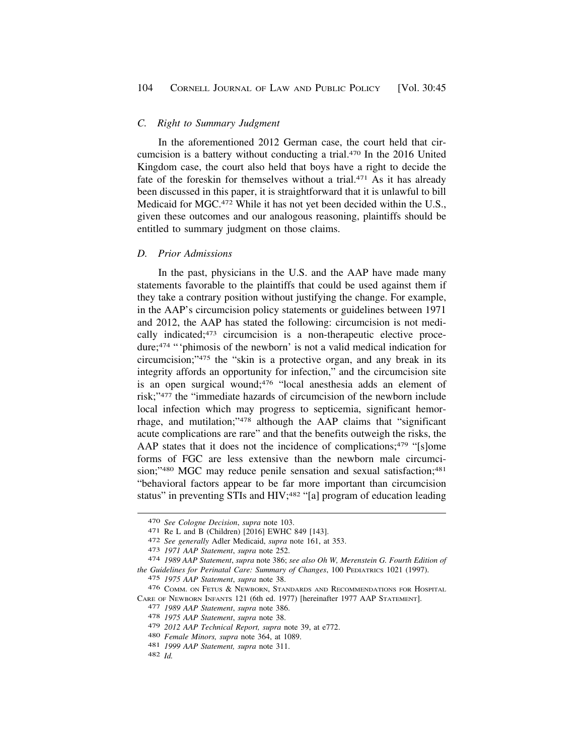### <span id="page-59-0"></span>*C. Right to Summary Judgment*

In the aforementioned 2012 German case, the court held that circumcision is a battery without conducting a trial.470 In the 2016 United Kingdom case, the court also held that boys have a right to decide the fate of the foreskin for themselves without a trial.<sup>471</sup> As it has already been discussed in this paper, it is straightforward that it is unlawful to bill Medicaid for MGC.472 While it has not yet been decided within the U.S., given these outcomes and our analogous reasoning, plaintiffs should be entitled to summary judgment on those claims.

### *D. Prior Admissions*

In the past, physicians in the U.S. and the AAP have made many statements favorable to the plaintiffs that could be used against them if they take a contrary position without justifying the change. For example, in the AAP's circumcision policy statements or guidelines between 1971 and 2012, the AAP has stated the following: circumcision is not medically indicated;473 circumcision is a non-therapeutic elective procedure;474 "'phimosis of the newborn' is not a valid medical indication for circumcision;"475 the "skin is a protective organ, and any break in its integrity affords an opportunity for infection," and the circumcision site is an open surgical wound;476 "local anesthesia adds an element of risk;"477 the "immediate hazards of circumcision of the newborn include local infection which may progress to septicemia, significant hemorrhage, and mutilation;"478 although the AAP claims that "significant acute complications are rare" and that the benefits outweigh the risks, the AAP states that it does not the incidence of complications;<sup>479</sup> "[s]ome forms of FGC are less extensive than the newborn male circumcision;"<sup>480</sup> MGC may reduce penile sensation and sexual satisfaction;<sup>481</sup> "behavioral factors appear to be far more important than circumcision status" in preventing STIs and HIV;<sup>482</sup> "[a] program of education leading

<sup>470</sup> See Cologne Decision, supra note 103.<br>471 Re L and B (Children) [2016] EWHC 849 [143].<br>472 See generally Adler Medicaid, supra note 161, at 353.<br>473 1971 AAP Statement, supra note 252.<br>474 1989 AAP Statement, supra not *the Guidelines for Perinatal Care: Summary of Changes*, 100 PEDIATRICS 1021 (1997).

<sup>475</sup> *1975 AAP Statement*, *supra* note 38.

<sup>476</sup> COMM. ON FETUS & NEWBORN, STANDARDS AND RECOMMENDATIONS FOR HOSPITAL CARE OF NEWBORN INFANTS 121 (6th ed. 1977) [hereinafter 1977 AAP STATEMENT]. 477 *1989 AAP Statement*, *supra* note 386. 478 *1975 AAP Statement*, *supra* note 38.

<sup>479</sup>*2012 AAP Technical Report, supra* note 39, at e772. 480 *Female Minors, supra* note 364, at 1089. 481 *1999 AAP Statement, supra* note 311. 482 *Id.*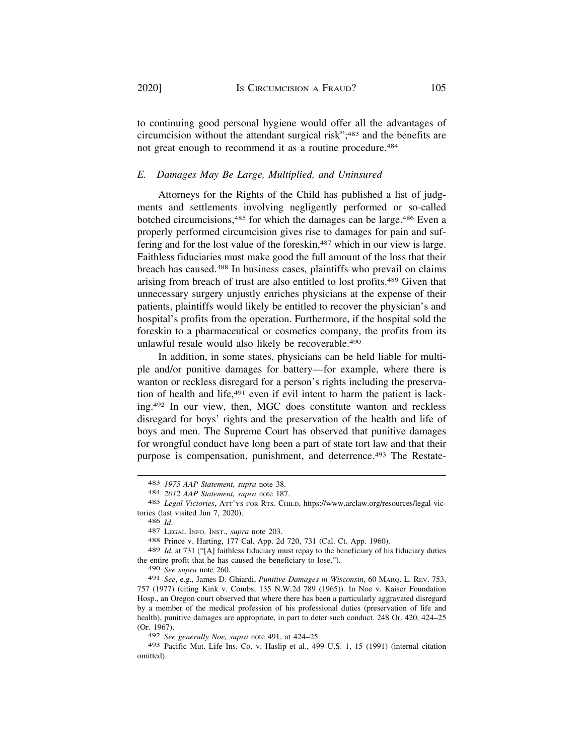to continuing good personal hygiene would offer all the advantages of circumcision without the attendant surgical risk";483 and the benefits are not great enough to recommend it as a routine procedure.<sup>484</sup>

### *E. Damages May Be Large, Multiplied, and Uninsured*

Attorneys for the Rights of the Child has published a list of judgments and settlements involving negligently performed or so-called botched circumcisions,<sup>485</sup> for which the damages can be large.<sup>486</sup> Even a properly performed circumcision gives rise to damages for pain and suffering and for the lost value of the foreskin,<sup>487</sup> which in our view is large. Faithless fiduciaries must make good the full amount of the loss that their breach has caused.488 In business cases, plaintiffs who prevail on claims arising from breach of trust are also entitled to lost profits.489 Given that unnecessary surgery unjustly enriches physicians at the expense of their patients, plaintiffs would likely be entitled to recover the physician's and hospital's profits from the operation. Furthermore, if the hospital sold the foreskin to a pharmaceutical or cosmetics company, the profits from its unlawful resale would also likely be recoverable.490

In addition, in some states, physicians can be held liable for multiple and/or punitive damages for battery—for example, where there is wanton or reckless disregard for a person's rights including the preservation of health and life,<sup>491</sup> even if evil intent to harm the patient is lacking.492 In our view, then, MGC does constitute wanton and reckless disregard for boys' rights and the preservation of the health and life of boys and men. The Supreme Court has observed that punitive damages for wrongful conduct have long been a part of state tort law and that their purpose is compensation, punishment, and deterrence.<sup>493</sup> The Restate-

<sup>486</sup>*Id*. 487 LEGAL INFO. INST., *supra* note 203. 488 Prince v. Harting, 177 Cal. App. 2d 720, 731 (Cal. Ct. App. 1960).

489 *Id.* at 731 ("[A] faithless fiduciary must repay to the beneficiary of his fiduciary duties the entire profit that he has caused the beneficiary to lose.").

490 *See supra* note 260.

492 *See generally Noe, supra* note 491, at 424–25.

<sup>483</sup>*1975 AAP Statement, supra* note 38. 484 *2012 AAP Statement, supra* note 187.

<sup>485</sup> *Legal Victories*, ATT'YS FOR RTS. CHILD, <https://www.arclaw.org/resources/legal-vic>tories (last visited Jun 7, 2020).

<sup>491</sup> *See*, e.g., James D. Ghiardi, *Punitive Damages in Wisconsin*, 60 MARQ. L. REV. 753, 757 (1977) (citing Kink v. Combs, 135 N.W.2d 789 (1965)). In Noe v. Kaiser Foundation Hosp., an Oregon court observed that where there has been a particularly aggravated disregard by a member of the medical profession of his professional duties (preservation of life and health), punitive damages are appropriate, in part to deter such conduct. 248 Or. 420, 424–25 (Or. 1967).

<sup>493</sup> Pacific Mut. Life Ins. Co. v. Haslip et al., 499 U.S. 1, 15 (1991) (internal citation omitted).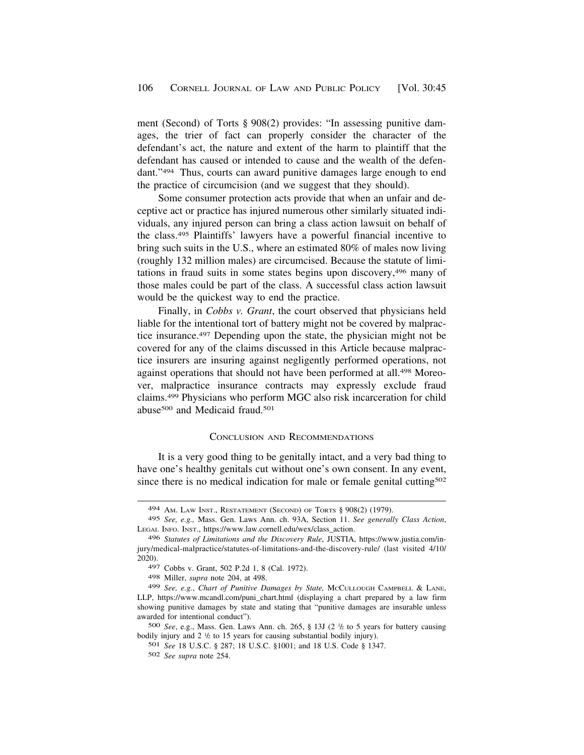<span id="page-61-0"></span>ment (Second) of Torts § 908(2) provides: "In assessing punitive damages, the trier of fact can properly consider the character of the defendant's act, the nature and extent of the harm to plaintiff that the defendant has caused or intended to cause and the wealth of the defendant."494 Thus, courts can award punitive damages large enough to end the practice of circumcision (and we suggest that they should).

Some consumer protection acts provide that when an unfair and deceptive act or practice has injured numerous other similarly situated individuals, any injured person can bring a class action lawsuit on behalf of the class.495 Plaintiffs' lawyers have a powerful financial incentive to bring such suits in the U.S., where an estimated 80% of males now living (roughly 132 million males) are circumcised. Because the statute of limitations in fraud suits in some states begins upon discovery,496 many of those males could be part of the class. A successful class action lawsuit would be the quickest way to end the practice.

Finally, in *Cobbs v. Grant*, the court observed that physicians held liable for the intentional tort of battery might not be covered by malpractice insurance.497 Depending upon the state, the physician might not be covered for any of the claims discussed in this Article because malpractice insurers are insuring against negligently performed operations, not against operations that should not have been performed at all.<sup>498</sup> Moreover, malpractice insurance contracts may expressly exclude fraud claims.499 Physicians who perform MGC also risk incarceration for child abuse<sup>500</sup> and Medicaid fraud.<sup>501</sup>

#### CONCLUSION AND RECOMMENDATIONS

It is a very good thing to be genitally intact, and a very bad thing to have one's healthy genitals cut without one's own consent. In any event, since there is no medical indication for male or female genital cutting<sup>502</sup>

<sup>494</sup> AM. LAW INST., RESTATEMENT (SECOND) OF TORTS § 908(2) (1979).

<sup>495</sup> *See, e.g.,* Mass. Gen. Laws Ann. ch. 93A, Section 11. *See generally Class Action*, LEGAL INFO. INST., [https://www.law.cornell.edu/wex/class\\_action](https://www.law.cornell.edu/wex/class_action). 496 *Statutes of Limitations and the Discovery Rule*, JUSTIA, <https://www.justia.com/in>-

jury/medical-malpractice/statutes-of-limitations-and-the-discovery-rule/ (last visited 4/10/ 2020).

<sup>497</sup> Cobbs v. Grant, 502 P.2d 1, 8 (Cal. 1972).

<sup>498</sup> Miller, *supra* note 204, at 498.

<sup>499</sup> *See, e.g.*, *Chart of Punitive Damages by State,* MCCULLOUGH CAMPBELL & LANE, LLP, [https://www.mcandl.com/puni\\_chart.html](https://www.mcandl.com/puni_chart.html) (displaying a chart prepared by a law firm showing punitive damages by state and stating that "punitive damages are insurable unless awarded for intentional conduct").

<sup>500</sup> *See*, e.g., Mass. Gen. Laws Ann. ch. 265, § 13J (2 1 /2 to 5 years for battery causing bodily injury and  $2 \frac{1}{2}$  to 15 years for causing substantial bodily injury).

<sup>501</sup> *See* 18 U.S.C. § 287; 18 U.S.C. §1001; and 18 U.S. Code § 1347.

<sup>502</sup> *See supra* note 254.